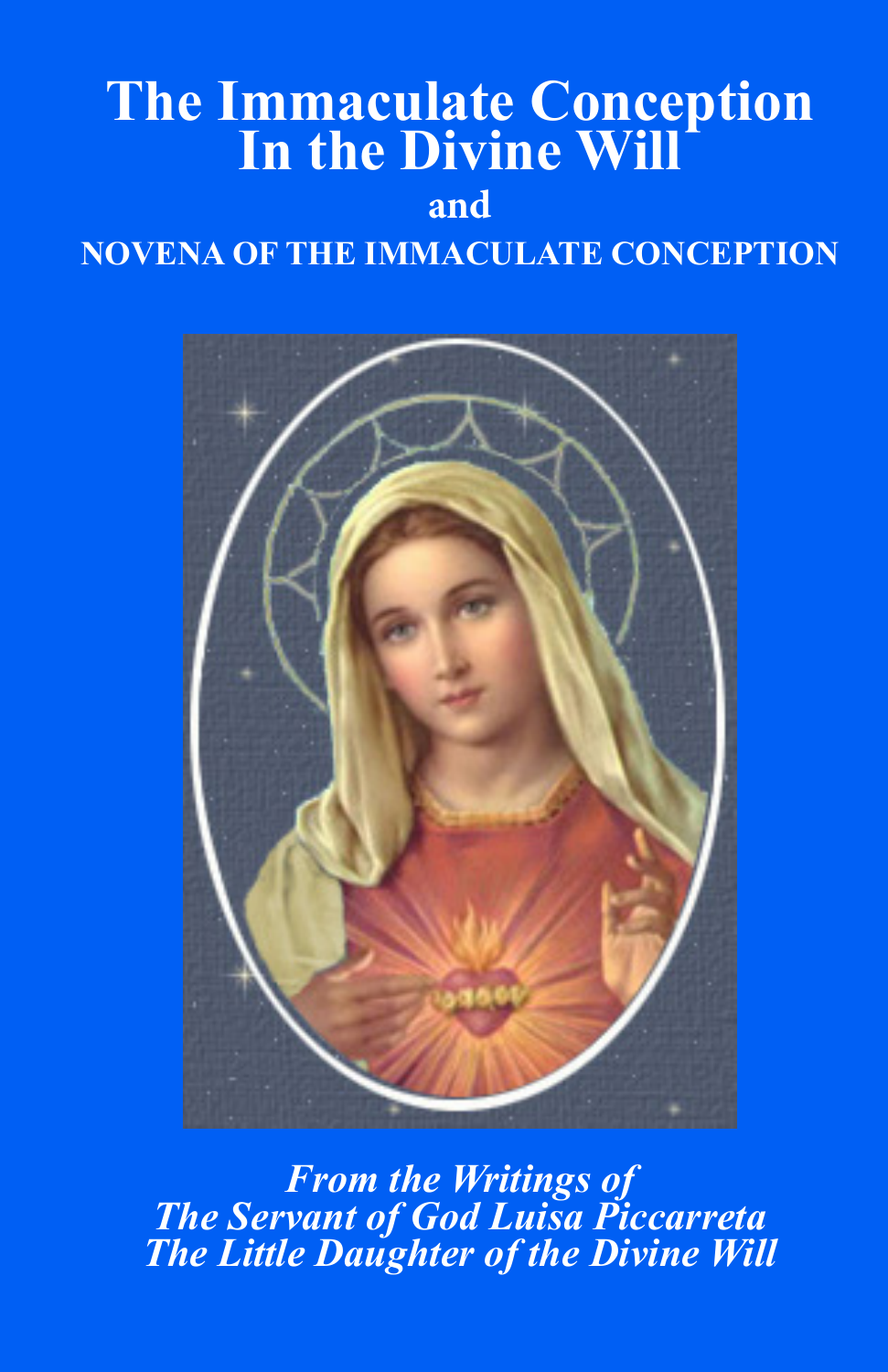# **The Immaculate Conception In the Divine Will**

## **and**

## **NOVENA OF THE IMMACULATE CONCEPTION**



*From the Writings of The Servant of God Luisa Piccarreta The Little Daughter of the Divine Will*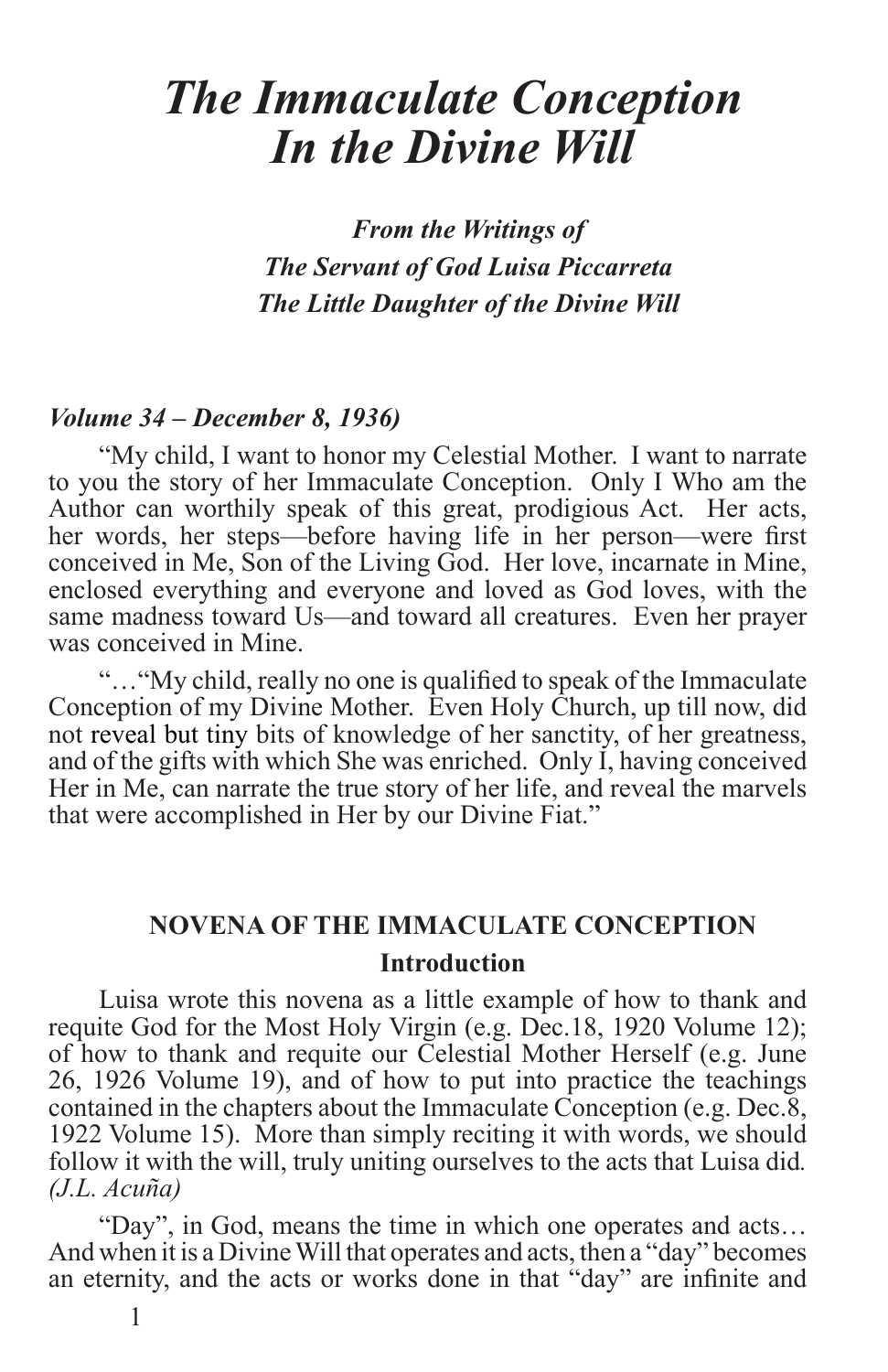# *The Immaculate Conception In the Divine Will*

*From the Writings of The Servant of God Luisa Piccarreta The Little Daughter of the Divine Will*

#### *Volume 34 – December 8, 1936)*

"My child, I want to honor my Celestial Mother. I want to narrate to you the story of her Immaculate Conception. Only I Who am the Author can worthily speak of this great, prodigious Act. Her acts, her words, her steps—before having life in her person—were first conceived in Me, Son of the Living God. Her love, incarnate in Mine, enclosed everything and everyone and loved as God loves, with the same madness toward Us—and toward all creatures. Even her prayer was conceived in Mine.

"…"My child, really no one is qualified to speak of the Immaculate Conception of my Divine Mother. Even Holy Church, up till now, did not reveal but tiny bits of knowledge of her sanctity, of her greatness, and of the gifts with which She was enriched. Only I, having conceived Her in Me, can narrate the true story of her life, and reveal the marvels that were accomplished in Her by our Divine Fiat."

#### **NOVENA OF THE IMMACULATE CONCEPTION Introduction**

Luisa wrote this novena as a little example of how to thank and requite God for the Most Holy Virgin (e.g. Dec.18, 1920 Volume 12); of how to thank and requite our Celestial Mother Herself (e.g. June 26, 1926 Volume 19), and of how to put into practice the teachings contained in the chapters about the Immaculate Conception (e.g. Dec.8, 1922 Volume 15). More than simply reciting it with words, we should follow it with the will, truly uniting ourselves to the acts that Luisa did*. (J.L. Acuña)*

"Day", in God, means the time in which one operates and acts… And when it is a Divine Will that operates and acts, then a "day" becomes an eternity, and the acts or works done in that "day" are infinite and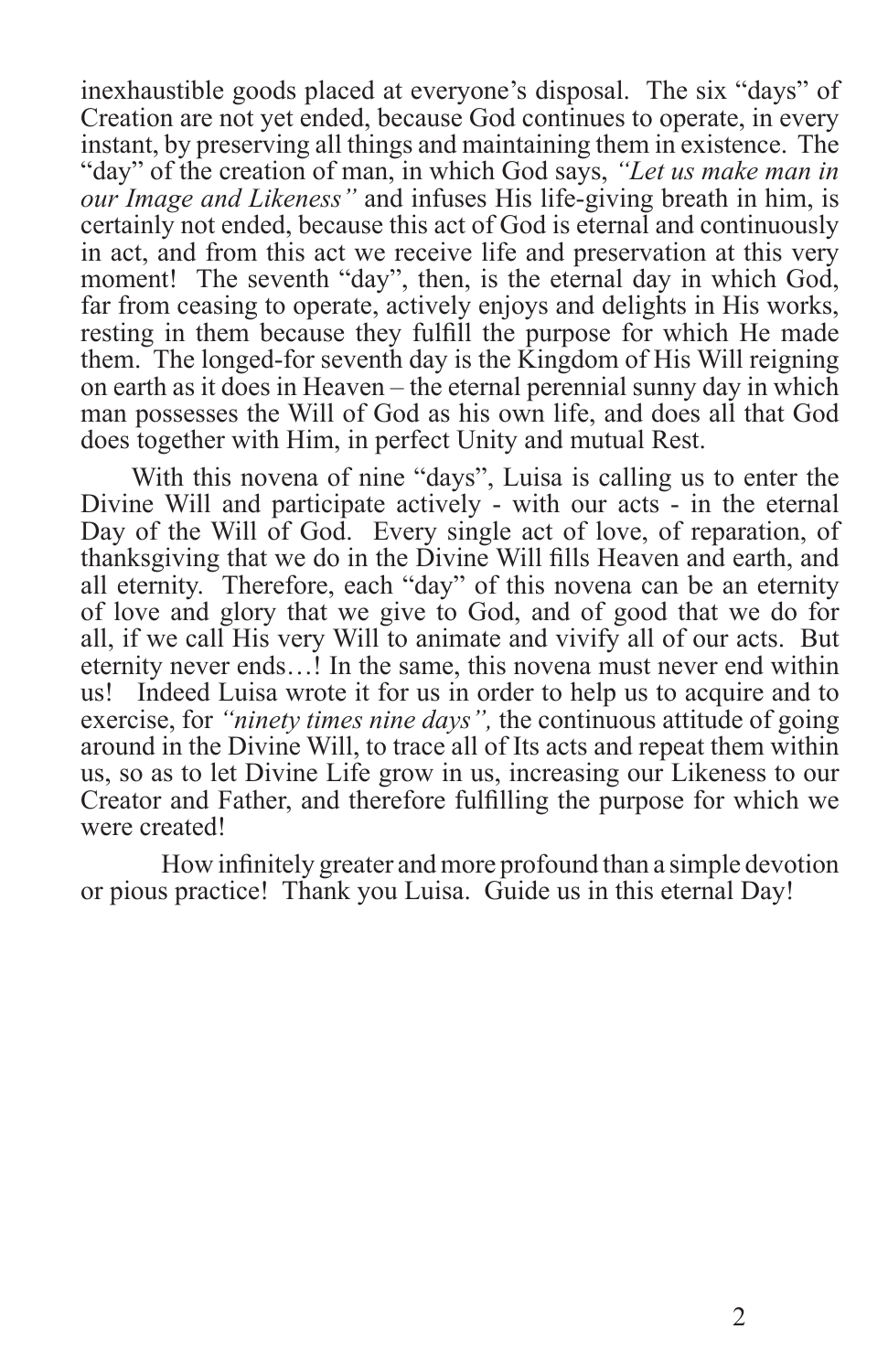inexhaustible goods placed at everyone's disposal. The six "days" of Creation are not yet ended, because God continues to operate, in every instant, by preserving all things and maintaining them in existence. The "day" of the creation of man, in which God says, *"Let us make man in our Image and Likeness"* and infuses His life-giving breath in him, is certainly not ended, because this act of God is eternal and continuously in act, and from this act we receive life and preservation at this very moment! The seventh "day", then, is the eternal day in which God, far from ceasing to operate, actively enjoys and delights in His works, resting in them because they fulfill the purpose for which He made them. The longed-for seventh day is the Kingdom of His Will reigning on earth as it does in Heaven – the eternal perennial sunny day in which man possesses the Will of God as his own life, and does all that God does together with Him, in perfect Unity and mutual Rest.

With this novena of nine "days", Luisa is calling us to enter the Divine Will and participate actively - with our acts - in the eternal Day of the Will of God. Every single act of love, of reparation, of thanksgiving that we do in the Divine Will fills Heaven and earth, and all eternity. Therefore, each "day" of this novena can be an eternity of love and glory that we give to God, and of good that we do for all, if we call His very Will to animate and vivify all of our acts. But eternity never ends…! In the same, this novena must never end within us! Indeed Luisa wrote it for us in order to help us to acquire and to exercise, for *"ninety times nine days",* the continuous attitude of going around in the Divine Will, to trace all of Its acts and repeat them within us, so as to let Divine Life grow in us, increasing our Likeness to our Creator and Father, and therefore fulfilling the purpose for which we were created!

How infinitely greater and more profound than a simple devotion or pious practice! Thank you Luisa. Guide us in this eternal Day!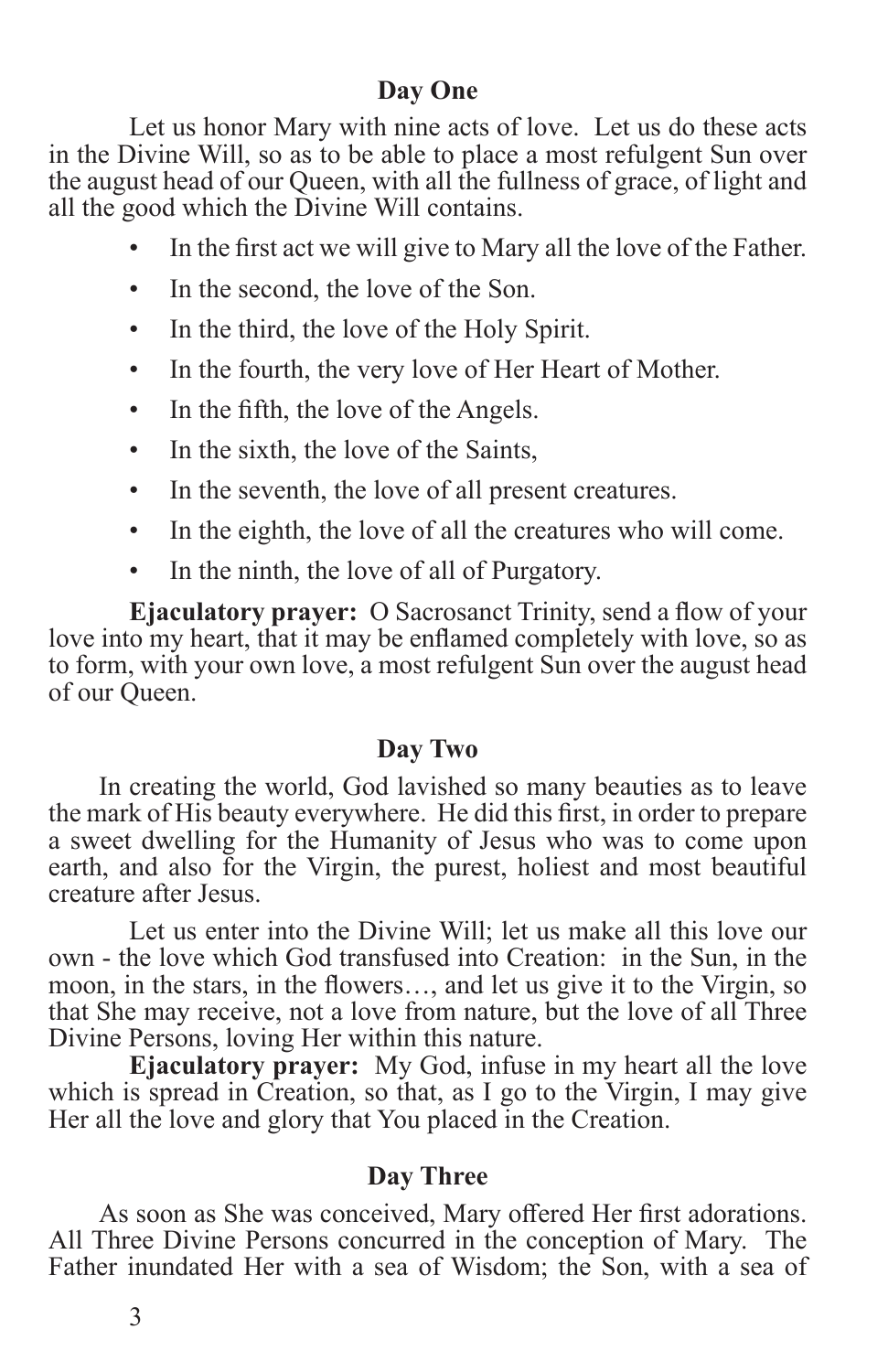#### **Day One**

Let us honor Mary with nine acts of love. Let us do these acts in the Divine Will, so as to be able to place a most refulgent Sun over the august head of our Queen, with all the fullness of grace, of light and all the good which the Divine Will contains.

- In the first act we will give to Mary all the love of the Father.
- In the second, the love of the Son.
- In the third, the love of the Holy Spirit.
- In the fourth, the very love of Her Heart of Mother.
- In the fifth, the love of the Angels.
- In the sixth, the love of the Saints,
- In the seventh, the love of all present creatures.
- In the eighth, the love of all the creatures who will come.
- In the ninth, the love of all of Purgatory.

**Ejaculatory prayer:** O Sacrosanct Trinity, send a flow of your love into my heart, that it may be enflamed completely with love, so as to form, with your own love, a most refulgent Sun over the august head of our Queen.

#### **Day Two**

In creating the world, God lavished so many beauties as to leave the mark of His beauty everywhere. He did this first, in order to prepare a sweet dwelling for the Humanity of Jesus who was to come upon earth, and also for the Virgin, the purest, holiest and most beautiful creature after Jesus.

Let us enter into the Divine Will; let us make all this love our own - the love which God transfused into Creation: in the Sun, in the moon, in the stars, in the flowers…, and let us give it to the Virgin, so that She may receive, not a love from nature, but the love of all Three Divine Persons, loving Her within this nature.

**Ejaculatory prayer:** My God, infuse in my heart all the love which is spread in Creation, so that, as I go to the Virgin, I may give Her all the love and glory that You placed in the Creation.

#### **Day Three**

As soon as She was conceived, Mary offered Her first adorations. All Three Divine Persons concurred in the conception of Mary. The Father inundated Her with a sea of Wisdom; the Son, with a sea of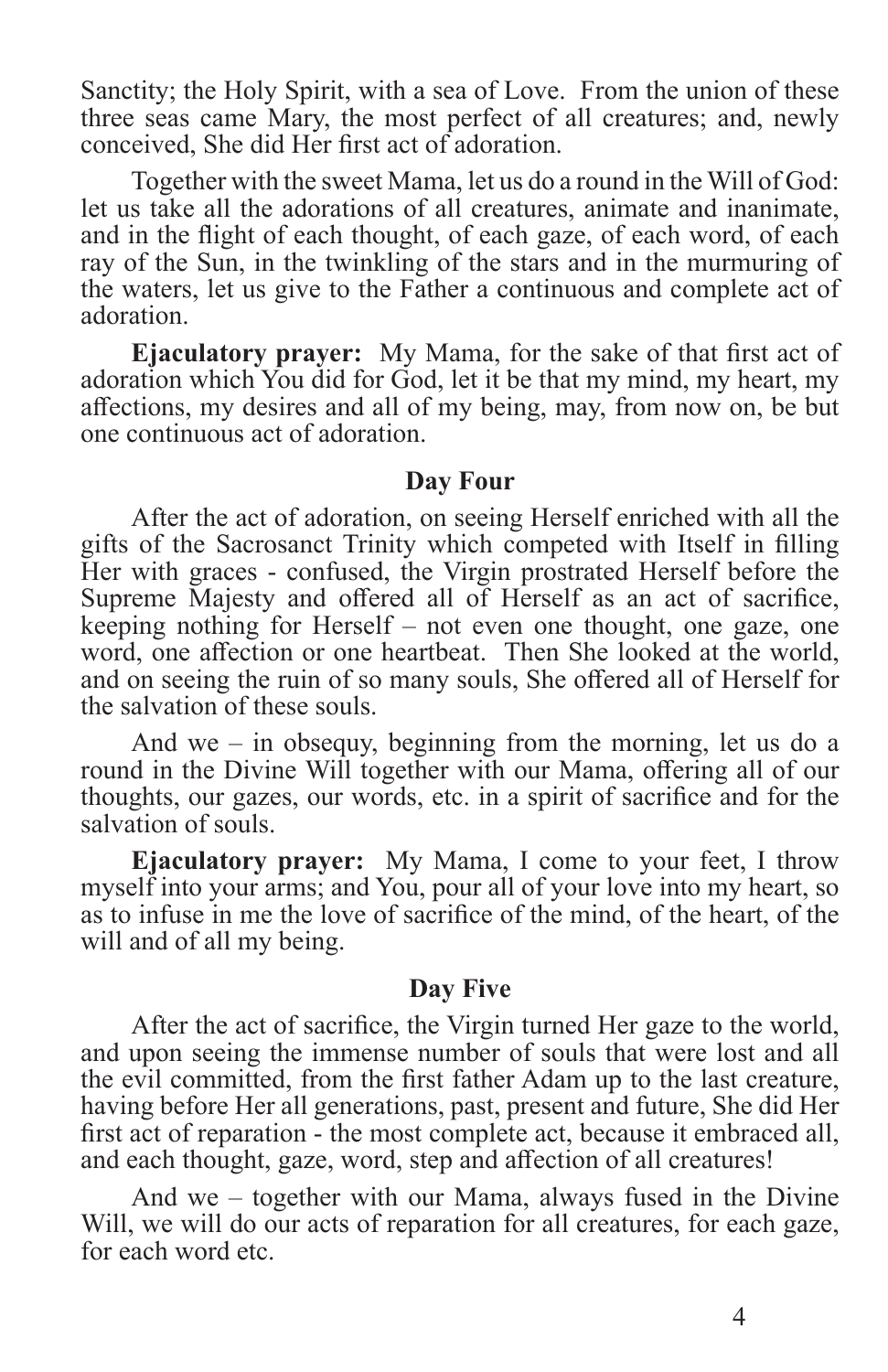Sanctity; the Holy Spirit, with a sea of Love. From the union of these three seas came Mary, the most perfect of all creatures; and, newly conceived, She did Her first act of adoration.

Together with the sweet Mama, let us do a round in the Will of God: let us take all the adorations of all creatures, animate and inanimate, and in the flight of each thought, of each gaze, of each word, of each ray of the Sun, in the twinkling of the stars and in the murmuring of the waters, let us give to the Father a continuous and complete act of adoration.

**Ejaculatory prayer:** My Mama, for the sake of that first act of adoration which You did for God, let it be that my mind, my heart, my affections, my desires and all of my being, may, from now on, be but one continuous act of adoration.

#### **Day Four**

After the act of adoration, on seeing Herself enriched with all the gifts of the Sacrosanct Trinity which competed with Itself in filling Her with graces - confused, the Virgin prostrated Herself before the Supreme Majesty and offered all of Herself as an act of sacrifice, keeping nothing for Herself – not even one thought, one gaze, one word, one affection or one heartbeat. Then She looked at the world, and on seeing the ruin of so many souls, She offered all of Herself for the salvation of these souls.

And we – in obsequy, beginning from the morning, let us do a round in the Divine Will together with our Mama, offering all of our thoughts, our gazes, our words, etc. in a spirit of sacrifice and for the salvation of souls.

**Ejaculatory prayer:** My Mama, I come to your feet, I throw myself into your arms; and You, pour all of your love into my heart, so as to infuse in me the love of sacrifice of the mind, of the heart, of the will and of all my being.

#### **Day Five**

After the act of sacrifice, the Virgin turned Her gaze to the world, and upon seeing the immense number of souls that were lost and all the evil committed, from the first father Adam up to the last creature, having before Her all generations, past, present and future, She did Her first act of reparation - the most complete act, because it embraced all, and each thought, gaze, word, step and affection of all creatures!

And we – together with our Mama, always fused in the Divine Will, we will do our acts of reparation for all creatures, for each gaze, for each word etc.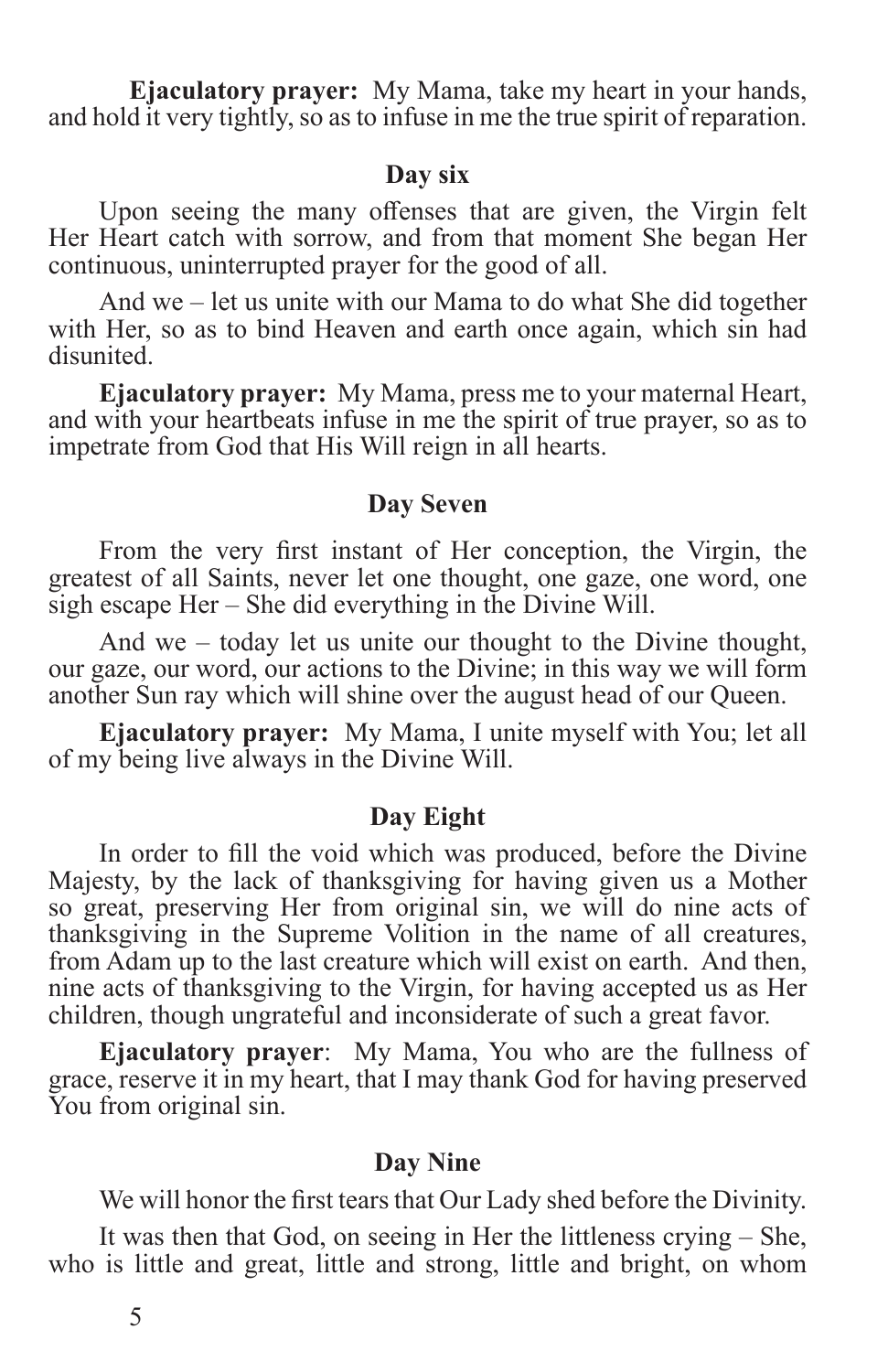**Ejaculatory prayer:** My Mama, take my heart in your hands, and hold it very tightly, so as to infuse in me the true spirit of reparation.

#### **Day six**

Upon seeing the many offenses that are given, the Virgin felt Her Heart catch with sorrow, and from that moment She began Her continuous, uninterrupted prayer for the good of all.

And we – let us unite with our Mama to do what She did together with Her, so as to bind Heaven and earth once again, which sin had disunited.

**Ejaculatory prayer:** My Mama, press me to your maternal Heart, and with your heartbeats infuse in me the spirit of true prayer, so as to impetrate from God that His Will reign in all hearts.

#### **Day Seven**

From the very first instant of Her conception, the Virgin, the greatest of all Saints, never let one thought, one gaze, one word, one sigh escape Her – She did everything in the Divine Will.

And we – today let us unite our thought to the Divine thought, our gaze, our word, our actions to the Divine; in this way we will form another Sun ray which will shine over the august head of our Queen.

**Ejaculatory prayer:** My Mama, I unite myself with You; let all of my being live always in the Divine Will.

#### **Day Eight**

In order to fill the void which was produced, before the Divine Majesty, by the lack of thanksgiving for having given us a Mother so great, preserving Her from original sin, we will do nine acts of thanksgiving in the Supreme Volition in the name of all creatures, from Adam up to the last creature which will exist on earth. And then, nine acts of thanksgiving to the Virgin, for having accepted us as Her children, though ungrateful and inconsiderate of such a great favor.

**Ejaculatory prayer**: My Mama, You who are the fullness of grace, reserve it in my heart, that I may thank God for having preserved You from original sin.

#### **Day Nine**

We will honor the first tears that Our Lady shed before the Divinity.

It was then that God, on seeing in Her the littleness crying – She, who is little and great, little and strong, little and bright, on whom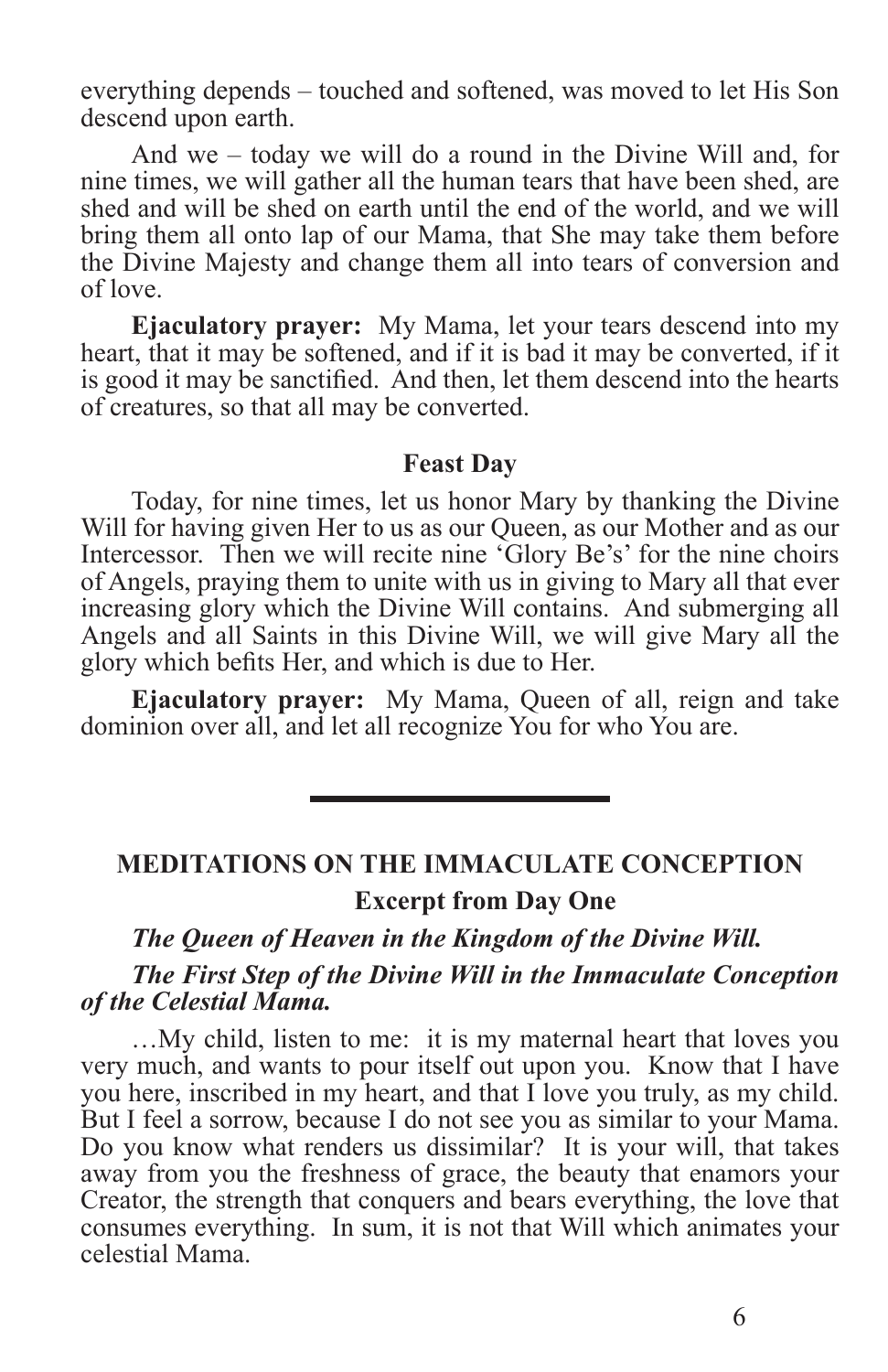everything depends – touched and softened, was moved to let His Son descend upon earth.

And we – today we will do a round in the Divine Will and, for nine times, we will gather all the human tears that have been shed, are shed and will be shed on earth until the end of the world, and we will bring them all onto lap of our Mama, that She may take them before the Divine Majesty and change them all into tears of conversion and of love.

**Ejaculatory prayer:** My Mama, let your tears descend into my heart, that it may be softened, and if it is bad it may be converted, if it is good it may be sanctified. And then, let them descend into the hearts of creatures, so that all may be converted.

#### **Feast Day**

Today, for nine times, let us honor Mary by thanking the Divine Will for having given Her to us as our Queen, as our Mother and as our Intercessor. Then we will recite nine 'Glory Be's' for the nine choirs of Angels, praying them to unite with us in giving to Mary all that ever increasing glory which the Divine Will contains. And submerging all Angels and all Saints in this Divine Will, we will give Mary all the glory which befits Her, and which is due to Her.

**Ejaculatory prayer:** My Mama, Queen of all, reign and take dominion over all, and let all recognize You for who You are.

#### **MEDITATIONS ON THE IMMACULATE CONCEPTION Excerpt from Day One**

*The Queen of Heaven in the Kingdom of the Divine Will.*

#### *The First Step of the Divine Will in the Immaculate Conception of the Celestial Mama.*

…My child, listen to me: it is my maternal heart that loves you very much, and wants to pour itself out upon you. Know that I have you here, inscribed in my heart, and that I love you truly, as my child. But I feel a sorrow, because I do not see you as similar to your Mama. Do you know what renders us dissimilar? It is your will, that takes away from you the freshness of grace, the beauty that enamors your Creator, the strength that conquers and bears everything, the love that consumes everything. In sum, it is not that Will which animates your celestial Mama.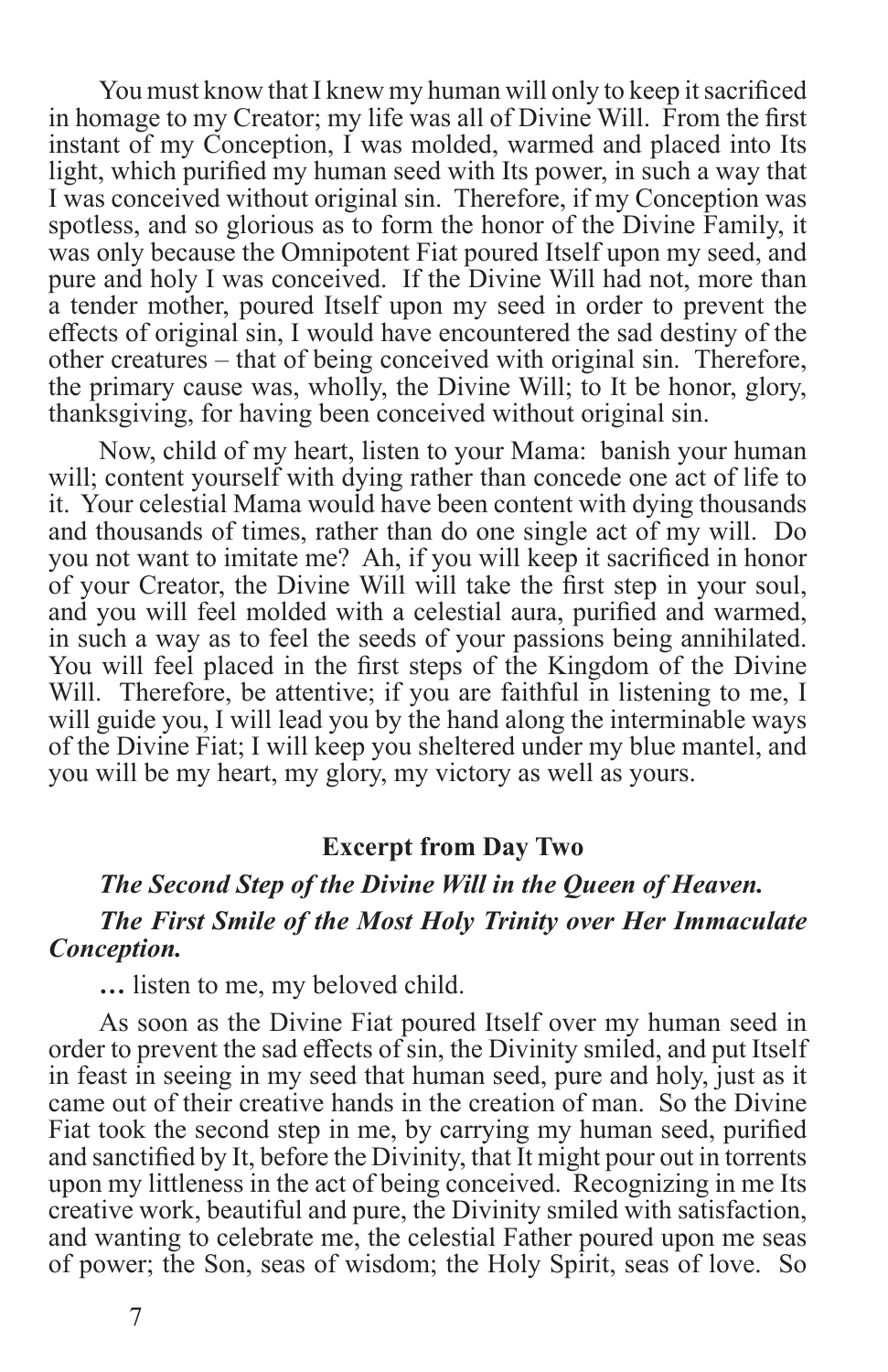You must know that I knew my human will only to keep it sacrificed in homage to my Creator; my life was all of Divine Will. From the first instant of my Conception, I was molded, warmed and placed into Its light, which purified my human seed with Its power, in such a way that I was conceived without original sin. Therefore, if my Conception was spotless, and so glorious as to form the honor of the Divine Family, it was only because the Omnipotent Fiat poured Itself upon my seed, and pure and holy I was conceived. If the Divine Will had not, more than a tender mother, poured Itself upon my seed in order to prevent the effects of original sin, I would have encountered the sad destiny of the other creatures – that of being conceived with original sin. Therefore, the primary cause was, wholly, the Divine Will; to It be honor, glory, thanksgiving, for having been conceived without original sin.

Now, child of my heart, listen to your Mama: banish your human will; content yourself with dying rather than concede one act of life to it. Your celestial Mama would have been content with dying thousands and thousands of times, rather than do one single act of my will. Do you not want to imitate me? Ah, if you will keep it sacrificed in honor of your Creator, the Divine Will will take the first step in your soul, and you will feel molded with a celestial aura, purified and warmed, in such a way as to feel the seeds of your passions being annihilated. You will feel placed in the first steps of the Kingdom of the Divine Will. Therefore, be attentive; if you are faithful in listening to me, I will guide you, I will lead you by the hand along the interminable ways of the Divine Fiat; I will keep you sheltered under my blue mantel, and you will be my heart, my glory, my victory as well as yours.

#### **Excerpt from Day Two**

#### *The Second Step of the Divine Will in the Queen of Heaven. The First Smile of the Most Holy Trinity over Her Immaculate Conception.*

**…** listen to me, my beloved child.

As soon as the Divine Fiat poured Itself over my human seed in order to prevent the sad effects of sin, the Divinity smiled, and put Itself in feast in seeing in my seed that human seed, pure and holy, just as it came out of their creative hands in the creation of man. So the Divine Fiat took the second step in me, by carrying my human seed, purified and sanctified by It, before the Divinity, that It might pour out in torrents upon my littleness in the act of being conceived. Recognizing in me Its creative work, beautiful and pure, the Divinity smiled with satisfaction, and wanting to celebrate me, the celestial Father poured upon me seas of power; the Son, seas of wisdom; the Holy Spirit, seas of love. So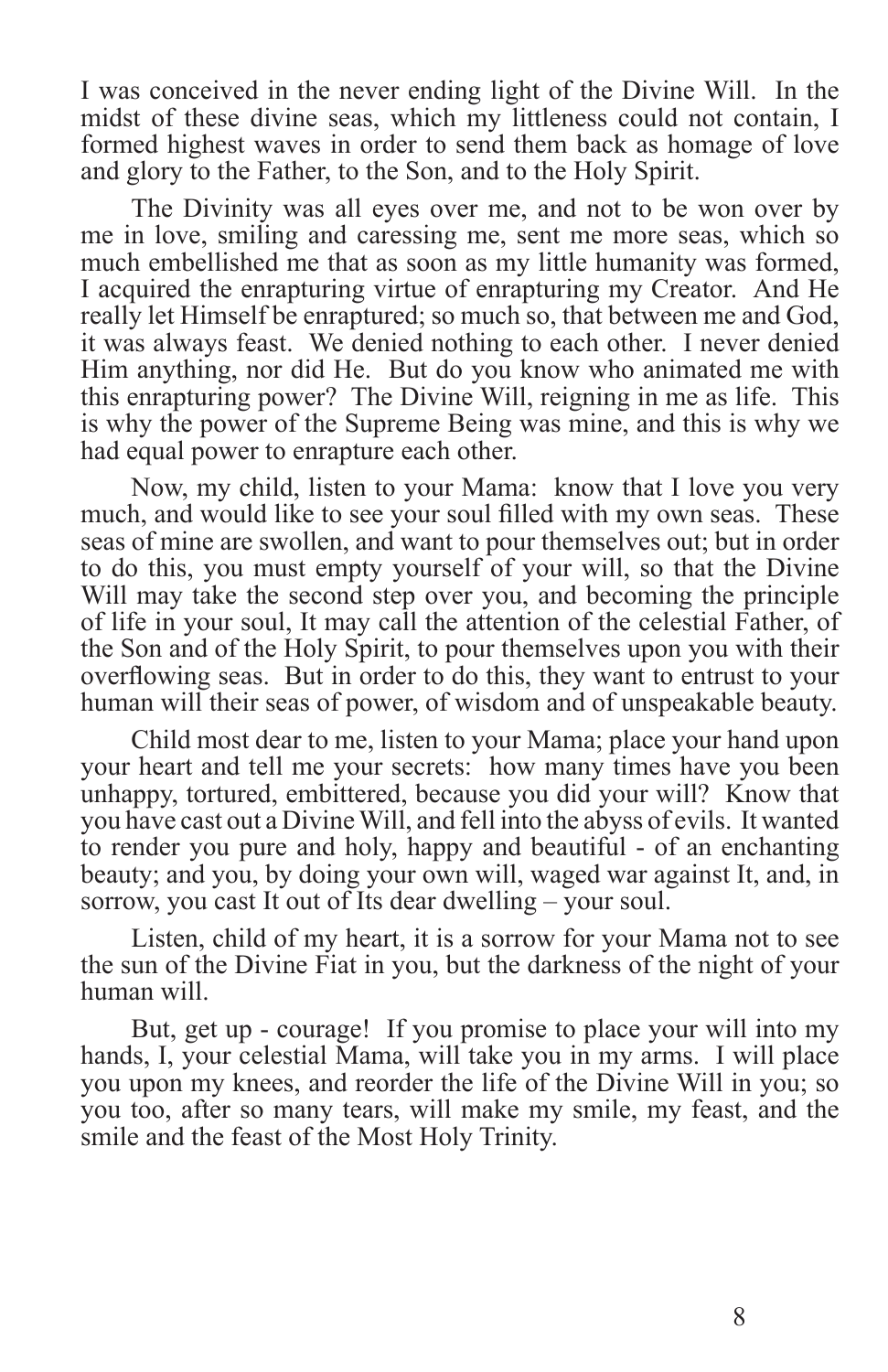I was conceived in the never ending light of the Divine Will. In the midst of these divine seas, which my littleness could not contain, I formed highest waves in order to send them back as homage of love and glory to the Father, to the Son, and to the Holy Spirit.

The Divinity was all eyes over me, and not to be won over by me in love, smiling and caressing me, sent me more seas, which so much embellished me that as soon as my little humanity was formed, I acquired the enrapturing virtue of enrapturing my Creator. And He really let Himself be enraptured; so much so, that between me and God, it was always feast. We denied nothing to each other. I never denied Him anything, nor did He. But do you know who animated me with this enrapturing power? The Divine Will, reigning in me as life. This is why the power of the Supreme Being was mine, and this is why we had equal power to enrapture each other.

Now, my child, listen to your Mama: know that I love you very much, and would like to see your soul filled with my own seas. These seas of mine are swollen, and want to pour themselves out; but in order to do this, you must empty yourself of your will, so that the Divine Will may take the second step over you, and becoming the principle of life in your soul, It may call the attention of the celestial Father, of the Son and of the Holy Spirit, to pour themselves upon you with their overflowing seas. But in order to do this, they want to entrust to your human will their seas of power, of wisdom and of unspeakable beauty.

Child most dear to me, listen to your Mama; place your hand upon your heart and tell me your secrets: how many times have you been unhappy, tortured, embittered, because you did your will? Know that you have cast out a Divine Will, and fell into the abyss of evils. It wanted to render you pure and holy, happy and beautiful - of an enchanting beauty; and you, by doing your own will, waged war against It, and, in sorrow, you cast It out of Its dear dwelling – your soul.

Listen, child of my heart, it is a sorrow for your Mama not to see the sun of the Divine Fiat in you, but the darkness of the night of your human will.

But, get up - courage! If you promise to place your will into my hands, I, your celestial Mama, will take you in my arms. I will place you upon my knees, and reorder the life of the Divine Will in you; so you too, after so many tears, will make my smile, my feast, and the smile and the feast of the Most Holy Trinity.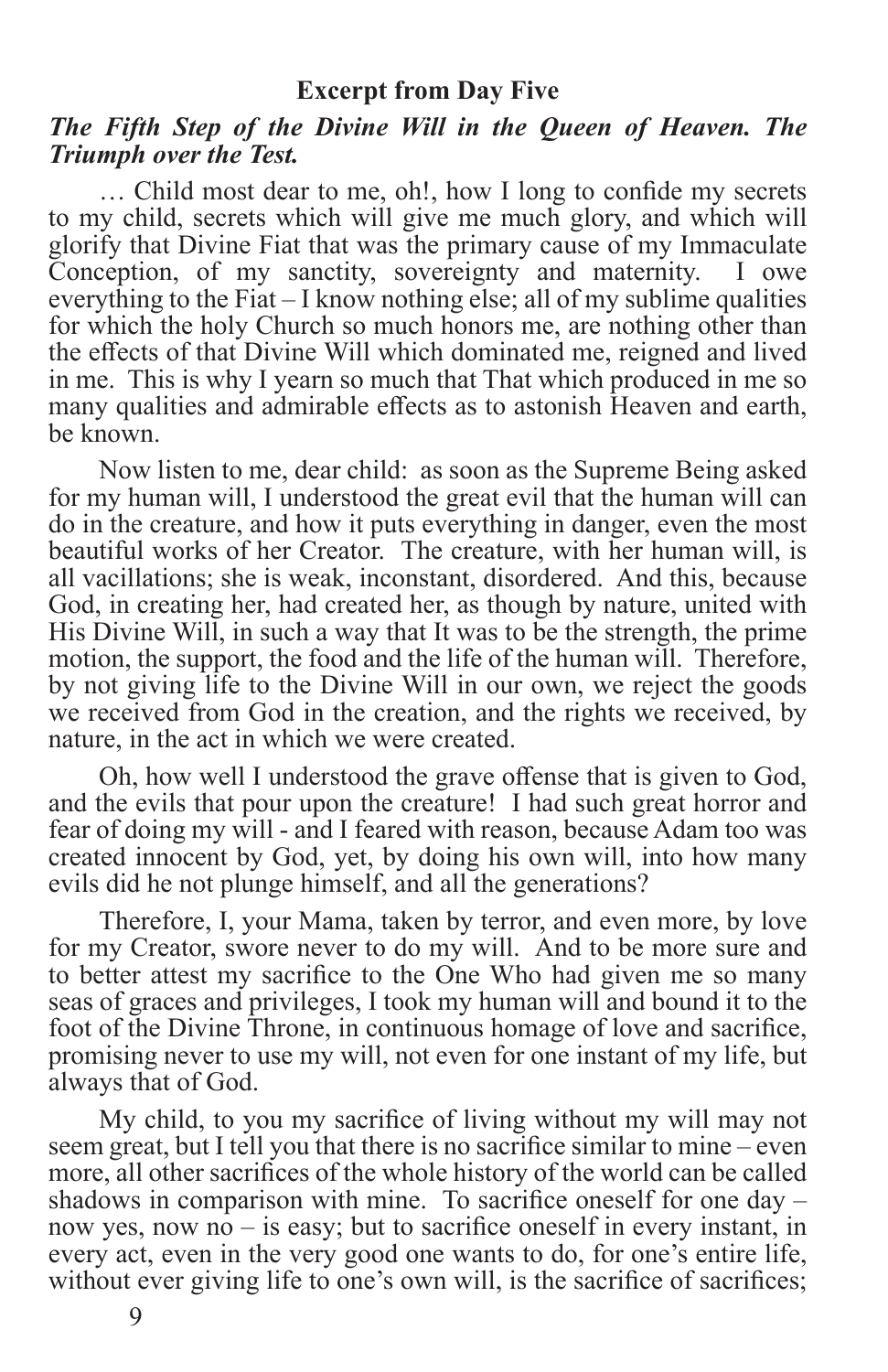#### **Excerpt from Day Five**

#### *The Fifth Step of the Divine Will in the Queen of Heaven. The Triumph over the Test.*

… Child most dear to me, oh!, how I long to confide my secrets to my child, secrets which will give me much glory, and which will glorify that Divine Fiat that was the primary cause of my Immaculate Conception, of my sanctity, sovereignty and maternity. I owe everything to the Fiat – I know nothing else; all of my sublime qualities for which the holy Church so much honors me, are nothing other than the effects of that Divine Will which dominated me, reigned and lived in me. This is why I yearn so much that That which produced in me so many qualities and admirable effects as to astonish Heaven and earth, be known.

Now listen to me, dear child: as soon as the Supreme Being asked for my human will, I understood the great evil that the human will can do in the creature, and how it puts everything in danger, even the most beautiful works of her Creator. The creature, with her human will, is all vacillations; she is weak, inconstant, disordered. And this, because God, in creating her, had created her, as though by nature, united with His Divine Will, in such a way that It was to be the strength, the prime motion, the support, the food and the life of the human will. Therefore, by not giving life to the Divine Will in our own, we reject the goods we received from God in the creation, and the rights we received, by nature, in the act in which we were created.

Oh, how well I understood the grave offense that is given to God, and the evils that pour upon the creature! I had such great horror and fear of doing my will - and I feared with reason, because Adam too was created innocent by God, yet, by doing his own will, into how many evils did he not plunge himself, and all the generations?

Therefore, I, your Mama, taken by terror, and even more, by love for my Creator, swore never to do my will. And to be more sure and to better attest my sacrifice to the One Who had given me so many seas of graces and privileges, I took my human will and bound it to the foot of the Divine Throne, in continuous homage of love and sacrifice, promising never to use my will, not even for one instant of my life, but always that of God.

My child, to you my sacrifice of living without my will may not seem great, but I tell you that there is no sacrifice similar to mine – even more, all other sacrifices of the whole history of the world can be called shadows in comparison with mine. To sacrifice oneself for one day – now yes, now no – is easy; but to sacrifice oneself in every instant, in every act, even in the very good one wants to do, for one's entire life, without ever giving life to one's own will, is the sacrifice of sacrifices;

9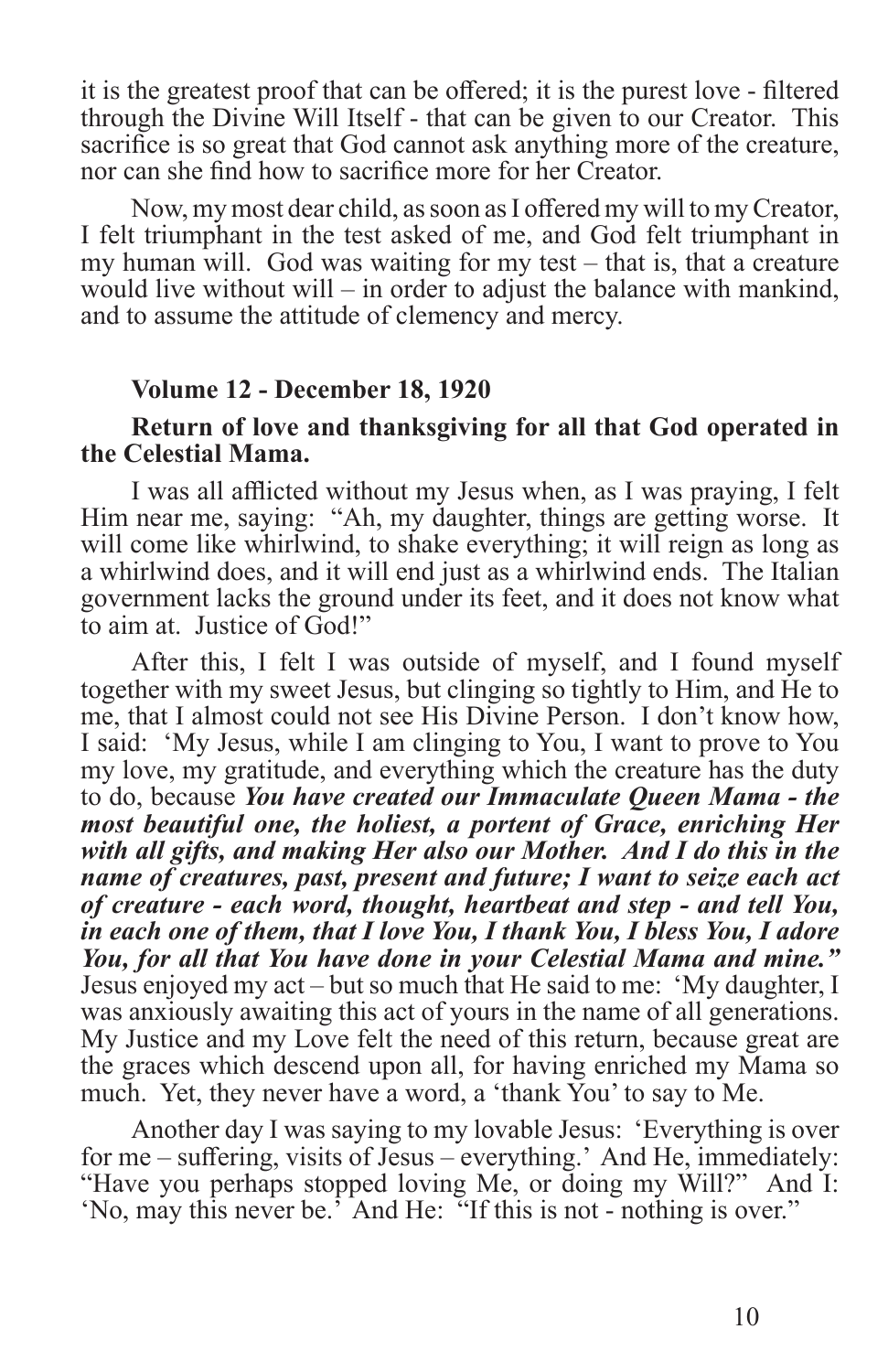it is the greatest proof that can be offered; it is the purest love - filtered through the Divine Will Itself - that can be given to our Creator. This sacrifice is so great that God cannot ask anything more of the creature, nor can she find how to sacrifice more for her Creator.

Now, my most dear child, as soon as I offered my will to my Creator, I felt triumphant in the test asked of me, and God felt triumphant in my human will. God was waiting for my test – that is, that a creature would live without will – in order to adjust the balance with mankind, and to assume the attitude of clemency and mercy.

#### **Volume 12 - December 18, 1920**

#### **Return of love and thanksgiving for all that God operated in the Celestial Mama.**

I was all afflicted without my Jesus when, as I was praying, I felt Him near me, saying: "Ah, my daughter, things are getting worse. It will come like whirlwind, to shake everything; it will reign as long as a whirlwind does, and it will end just as a whirlwind ends. The Italian government lacks the ground under its feet, and it does not know what to aim at. Justice of God!"

After this, I felt I was outside of myself, and I found myself together with my sweet Jesus, but clinging so tightly to Him, and He to me, that I almost could not see His Divine Person. I don't know how, I said: 'My Jesus, while I am clinging to You, I want to prove to You my love, my gratitude, and everything which the creature has the duty to do, because *You have created our Immaculate Queen Mama - the most beautiful one, the holiest, a portent of Grace, enriching Her with all gifts, and making Her also our Mother. And I do this in the name of creatures, past, present and future; I want to seize each act of creature - each word, thought, heartbeat and step - and tell You, in each one of them, that I love You, I thank You, I bless You, I adore You, for all that You have done in your Celestial Mama and mine."* Jesus enjoyed my act – but so much that He said to me: 'My daughter, I was anxiously awaiting this act of yours in the name of all generations. My Justice and my Love felt the need of this return, because great are the graces which descend upon all, for having enriched my Mama so much. Yet, they never have a word, a 'thank You' to say to Me.

Another day I was saying to my lovable Jesus: 'Everything is over for me – suffering, visits of Jesus – everything.' And He, immediately: "Have you perhaps stopped loving Me, or doing my Will?" And I: 'No, may this never be.' And He: "If this is not - nothing is over."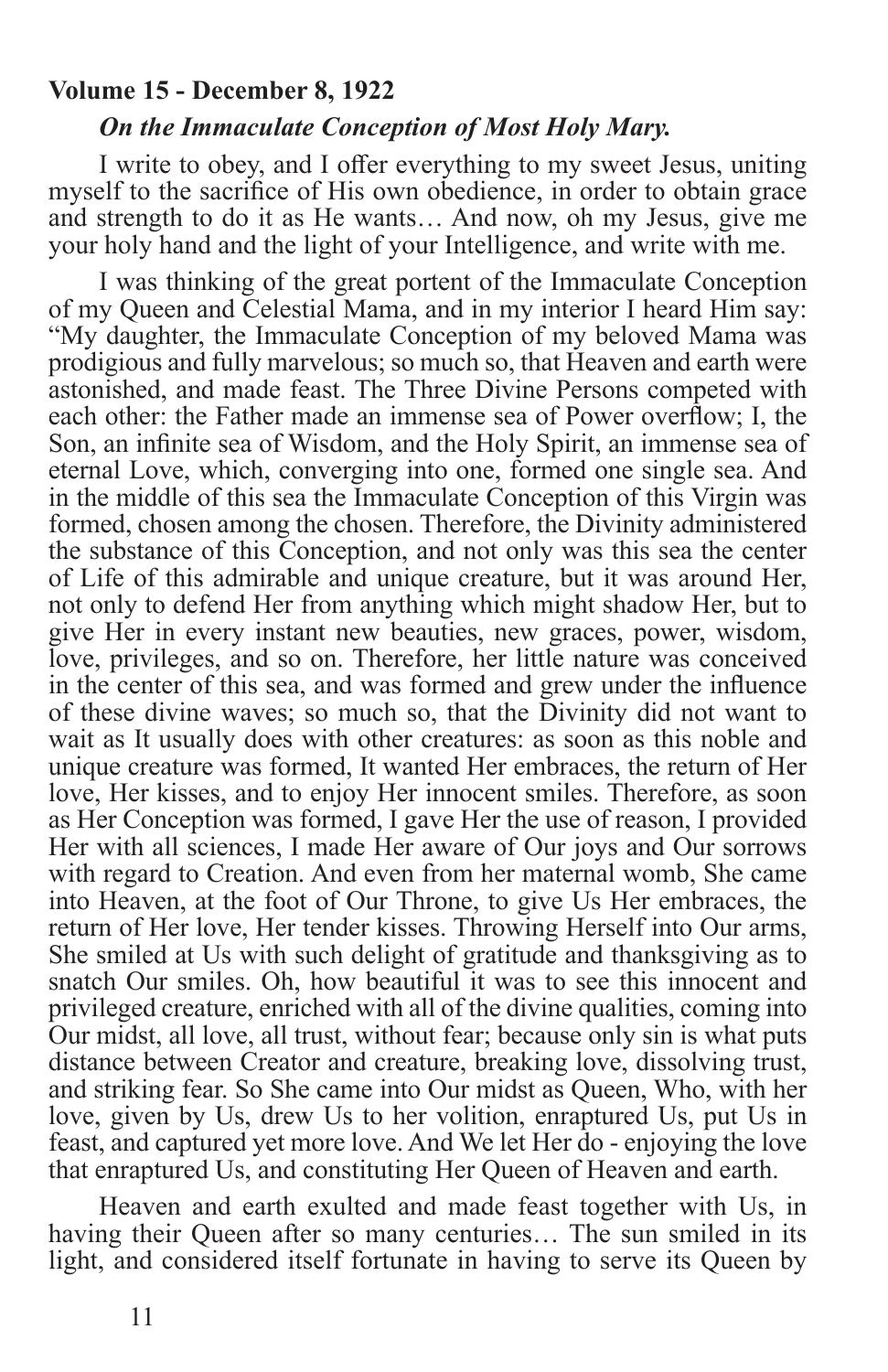#### **Volume 15 - December 8, 1922**

#### *On the Immaculate Conception of Most Holy Mary.*

I write to obey, and I offer everything to my sweet Jesus, uniting myself to the sacrifice of His own obedience, in order to obtain grace and strength to do it as He wants… And now, oh my Jesus, give me your holy hand and the light of your Intelligence, and write with me.

I was thinking of the great portent of the Immaculate Conception of my Queen and Celestial Mama, and in my interior I heard Him say: "My daughter, the Immaculate Conception of my beloved Mama was prodigious and fully marvelous; so much so, that Heaven and earth were astonished, and made feast. The Three Divine Persons competed with each other: the Father made an immense sea of Power overflow; I, the Son, an infinite sea of Wisdom, and the Holy Spirit, an immense sea of eternal Love, which, converging into one, formed one single sea. And in the middle of this sea the Immaculate Conception of this Virgin was formed, chosen among the chosen. Therefore, the Divinity administered the substance of this Conception, and not only was this sea the center of Life of this admirable and unique creature, but it was around Her, not only to defend Her from anything which might shadow Her, but to give Her in every instant new beauties, new graces, power, wisdom, love, privileges, and so on. Therefore, her little nature was conceived in the center of this sea, and was formed and grew under the influence of these divine waves; so much so, that the Divinity did not want to wait as It usually does with other creatures: as soon as this noble and unique creature was formed, It wanted Her embraces, the return of Her love, Her kisses, and to enjoy Her innocent smiles. Therefore, as soon as Her Conception was formed, I gave Her the use of reason, I provided Her with all sciences, I made Her aware of Our joys and Our sorrows with regard to Creation. And even from her maternal womb, She came into Heaven, at the foot of Our Throne, to give Us Her embraces, the return of Her love, Her tender kisses. Throwing Herself into Our arms, She smiled at Us with such delight of gratitude and thanksgiving as to snatch Our smiles. Oh, how beautiful it was to see this innocent and privileged creature, enriched with all of the divine qualities, coming into Our midst, all love, all trust, without fear; because only sin is what puts distance between Creator and creature, breaking love, dissolving trust, and striking fear. So She came into Our midst as Queen, Who, with her love, given by Us, drew Us to her volition, enraptured Us, put Us in feast, and captured yet more love. And We let Her do - enjoying the love that enraptured Us, and constituting Her Queen of Heaven and earth.

Heaven and earth exulted and made feast together with Us, in having their Queen after so many centuries… The sun smiled in its light, and considered itself fortunate in having to serve its Queen by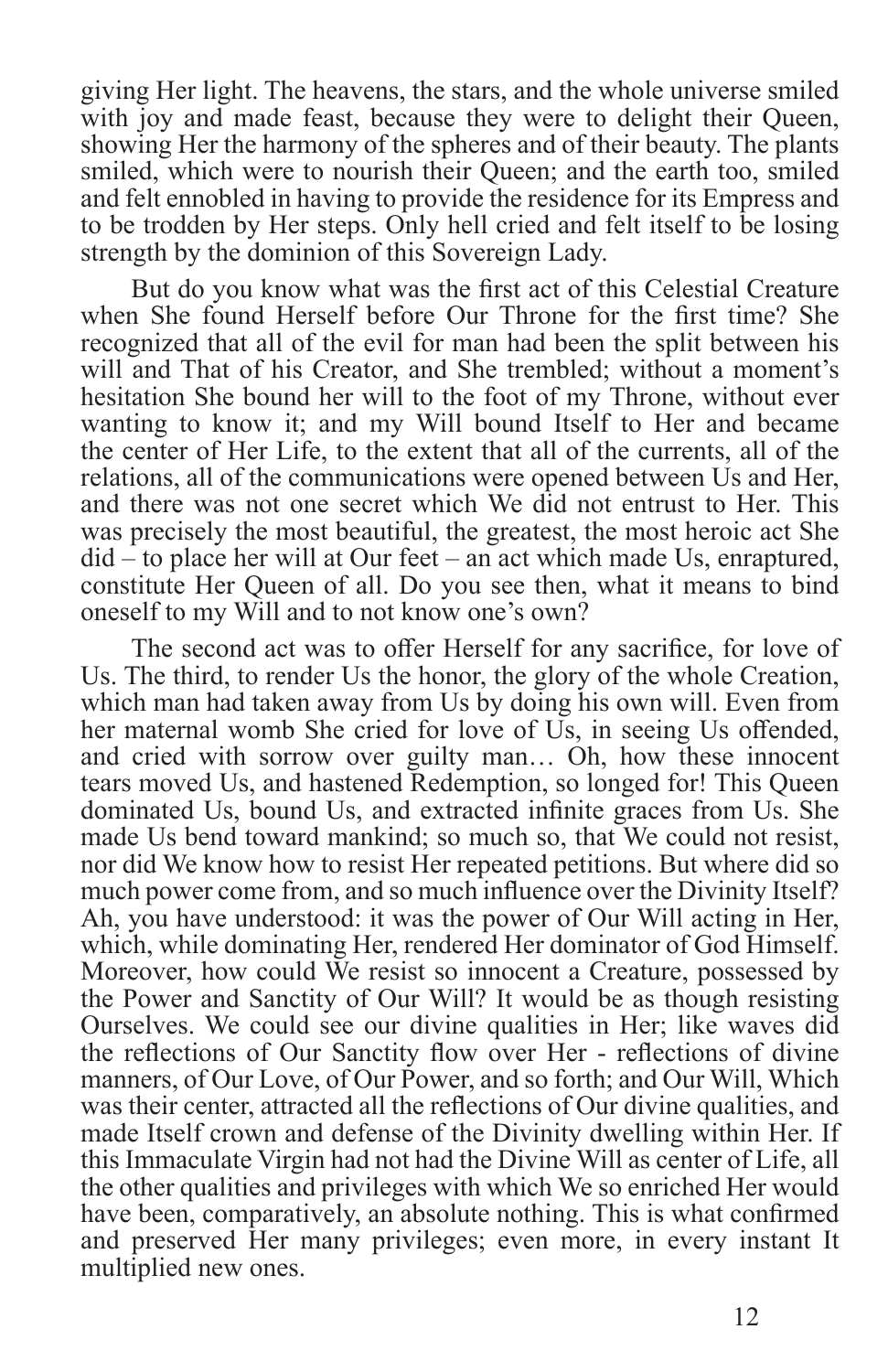giving Her light. The heavens, the stars, and the whole universe smiled with joy and made feast, because they were to delight their Queen, showing Her the harmony of the spheres and of their beauty. The plants smiled, which were to nourish their Queen; and the earth too, smiled and felt ennobled in having to provide the residence for its Empress and to be trodden by Her steps. Only hell cried and felt itself to be losing strength by the dominion of this Sovereign Lady.

But do you know what was the first act of this Celestial Creature when She found Herself before Our Throne for the first time? She recognized that all of the evil for man had been the split between his will and That of his Creator, and She trembled; without a moment's hesitation She bound her will to the foot of my Throne, without ever wanting to know it; and my Will bound Itself to Her and became the center of Her Life, to the extent that all of the currents, all of the relations, all of the communications were opened between Us and Her, and there was not one secret which We did not entrust to Her. This was precisely the most beautiful, the greatest, the most heroic act She did – to place her will at Our feet – an act which made Us, enraptured, constitute Her Queen of all. Do you see then, what it means to bind oneself to my Will and to not know one's own?

The second act was to offer Herself for any sacrifice, for love of Us. The third, to render Us the honor, the glory of the whole Creation, which man had taken away from Us by doing his own will. Even from her maternal womb She cried for love of Us, in seeing Us offended, and cried with sorrow over guilty man… Oh, how these innocent tears moved Us, and hastened Redemption, so longed for! This Queen dominated Us, bound Us, and extracted infinite graces from Us. She made Us bend toward mankind; so much so, that We could not resist, nor did We know how to resist Her repeated petitions. But where did so much power come from, and so much influence over the Divinity Itself? Ah, you have understood: it was the power of Our Will acting in Her, which, while dominating Her, rendered Her dominator of God Himself. Moreover, how could We resist so innocent a Creature, possessed by the Power and Sanctity of Our Will? It would be as though resisting Ourselves. We could see our divine qualities in Her; like waves did the reflections of Our Sanctity flow over Her - reflections of divine manners, of Our Love, of Our Power, and so forth; and Our Will, Which was their center, attracted all the reflections of Our divine qualities, and made Itself crown and defense of the Divinity dwelling within Her. If this Immaculate Virgin had not had the Divine Will as center of Life, all the other qualities and privileges with which We so enriched Her would have been, comparatively, an absolute nothing. This is what confirmed and preserved Her many privileges; even more, in every instant It multiplied new ones.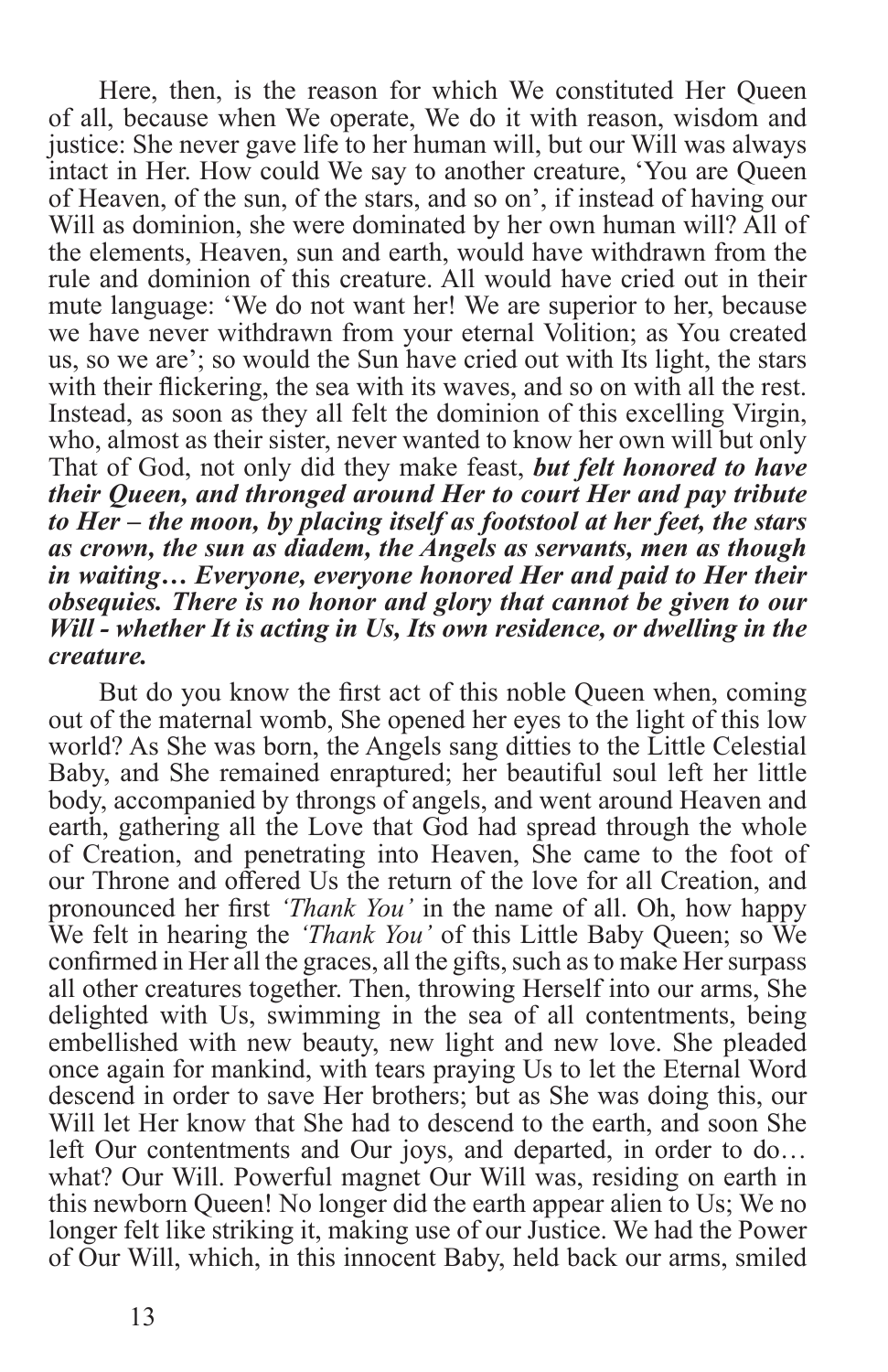Here, then, is the reason for which We constituted Her Queen of all, because when We operate, We do it with reason, wisdom and justice: She never gave life to her human will, but our Will was always intact in Her. How could We say to another creature, 'You are Queen of Heaven, of the sun, of the stars, and so on', if instead of having our Will as dominion, she were dominated by her own human will? All of the elements, Heaven, sun and earth, would have withdrawn from the rule and dominion of this creature. All would have cried out in their mute language: 'We do not want her! We are superior to her, because we have never withdrawn from your eternal Volition; as You created us, so we are'; so would the Sun have cried out with Its light, the stars with their flickering, the sea with its waves, and so on with all the rest. Instead, as soon as they all felt the dominion of this excelling Virgin, who, almost as their sister, never wanted to know her own will but only That of God, not only did they make feast, *but felt honored to have their Queen, and thronged around Her to court Her and pay tribute to Her – the moon, by placing itself as footstool at her feet, the stars as crown, the sun as diadem, the Angels as servants, men as though in waiting… Everyone, everyone honored Her and paid to Her their obsequies. There is no honor and glory that cannot be given to our Will - whether It is acting in Us, Its own residence, or dwelling in the creature.* 

But do you know the first act of this noble Queen when, coming out of the maternal womb, She opened her eyes to the light of this low world? As She was born, the Angels sang ditties to the Little Celestial Baby, and She remained enraptured; her beautiful soul left her little body, accompanied by throngs of angels, and went around Heaven and earth, gathering all the Love that God had spread through the whole of Creation, and penetrating into Heaven, She came to the foot of our Throne and offered Us the return of the love for all Creation, and pronounced her first *'Thank You'* in the name of all. Oh, how happy We felt in hearing the *'Thank You'* of this Little Baby Queen; so We confirmed in Her all the graces, all the gifts, such as to make Her surpass all other creatures together. Then, throwing Herself into our arms, She delighted with Us, swimming in the sea of all contentments, being embellished with new beauty, new light and new love. She pleaded once again for mankind, with tears praying Us to let the Eternal Word descend in order to save Her brothers; but as She was doing this, our Will let Her know that She had to descend to the earth, and soon She left Our contentments and Our joys, and departed, in order to do… what? Our Will. Powerful magnet Our Will was, residing on earth in this newborn Queen! No longer did the earth appear alien to Us; We no longer felt like striking it, making use of our Justice. We had the Power of Our Will, which, in this innocent Baby, held back our arms, smiled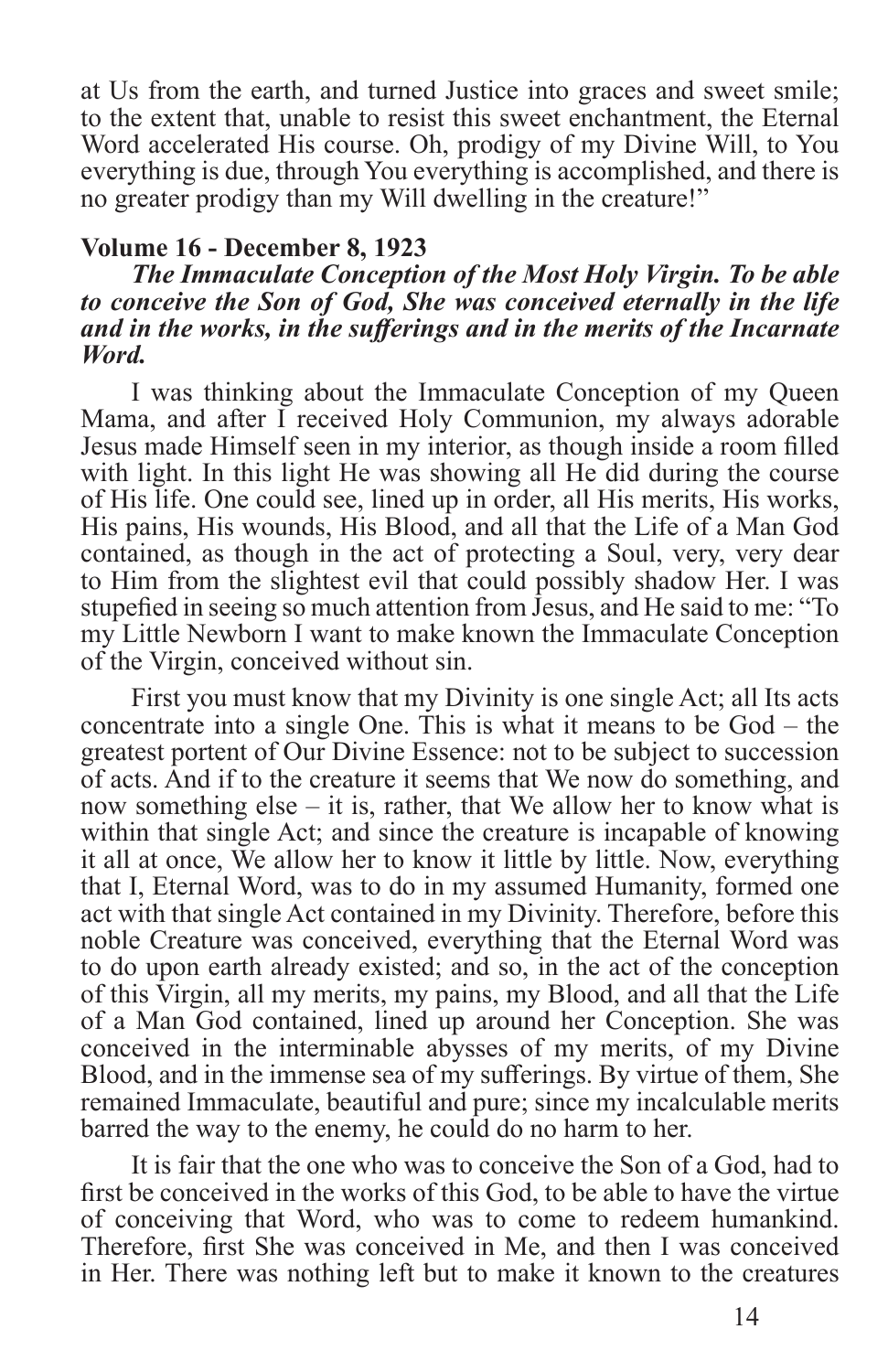at Us from the earth, and turned Justice into graces and sweet smile; to the extent that, unable to resist this sweet enchantment, the Eternal Word accelerated His course. Oh, prodigy of my Divine Will, to You everything is due, through You everything is accomplished, and there is no greater prodigy than my Will dwelling in the creature!"

#### **Volume 16 - December 8, 1923**

#### *The Immaculate Conception of the Most Holy Virgin. To be able to conceive the Son of God, She was conceived eternally in the life and in the works, in the sufferings and in the merits of the Incarnate Word.*

I was thinking about the Immaculate Conception of my Queen Mama, and after I received Holy Communion, my always adorable Jesus made Himself seen in my interior, as though inside a room filled with light. In this light He was showing all He did during the course of His life. One could see, lined up in order, all His merits, His works, His pains, His wounds, His Blood, and all that the Life of a Man God contained, as though in the act of protecting a Soul, very, very dear to Him from the slightest evil that could possibly shadow Her. I was stupefied in seeing so much attention from Jesus, and He said to me: "To my Little Newborn I want to make known the Immaculate Conception of the Virgin, conceived without sin.

First you must know that my Divinity is one single Act; all Its acts concentrate into a single One. This is what it means to be God – the greatest portent of Our Divine Essence: not to be subject to succession of acts. And if to the creature it seems that We now do something, and now something else – it is, rather, that We allow her to know what is within that single Act; and since the creature is incapable of knowing it all at once, We allow her to know it little by little. Now, everything that I, Eternal Word, was to do in my assumed Humanity, formed one act with that single Act contained in my Divinity. Therefore, before this noble Creature was conceived, everything that the Eternal Word was to do upon earth already existed; and so, in the act of the conception of this Virgin, all my merits, my pains, my Blood, and all that the Life of a Man God contained, lined up around her Conception. She was conceived in the interminable abysses of my merits, of my Divine Blood, and in the immense sea of my sufferings. By virtue of them, She remained Immaculate, beautiful and pure; since my incalculable merits barred the way to the enemy, he could do no harm to her.

It is fair that the one who was to conceive the Son of a God, had to first be conceived in the works of this God, to be able to have the virtue of conceiving that Word, who was to come to redeem humankind. Therefore, first She was conceived in Me, and then I was conceived in Her. There was nothing left but to make it known to the creatures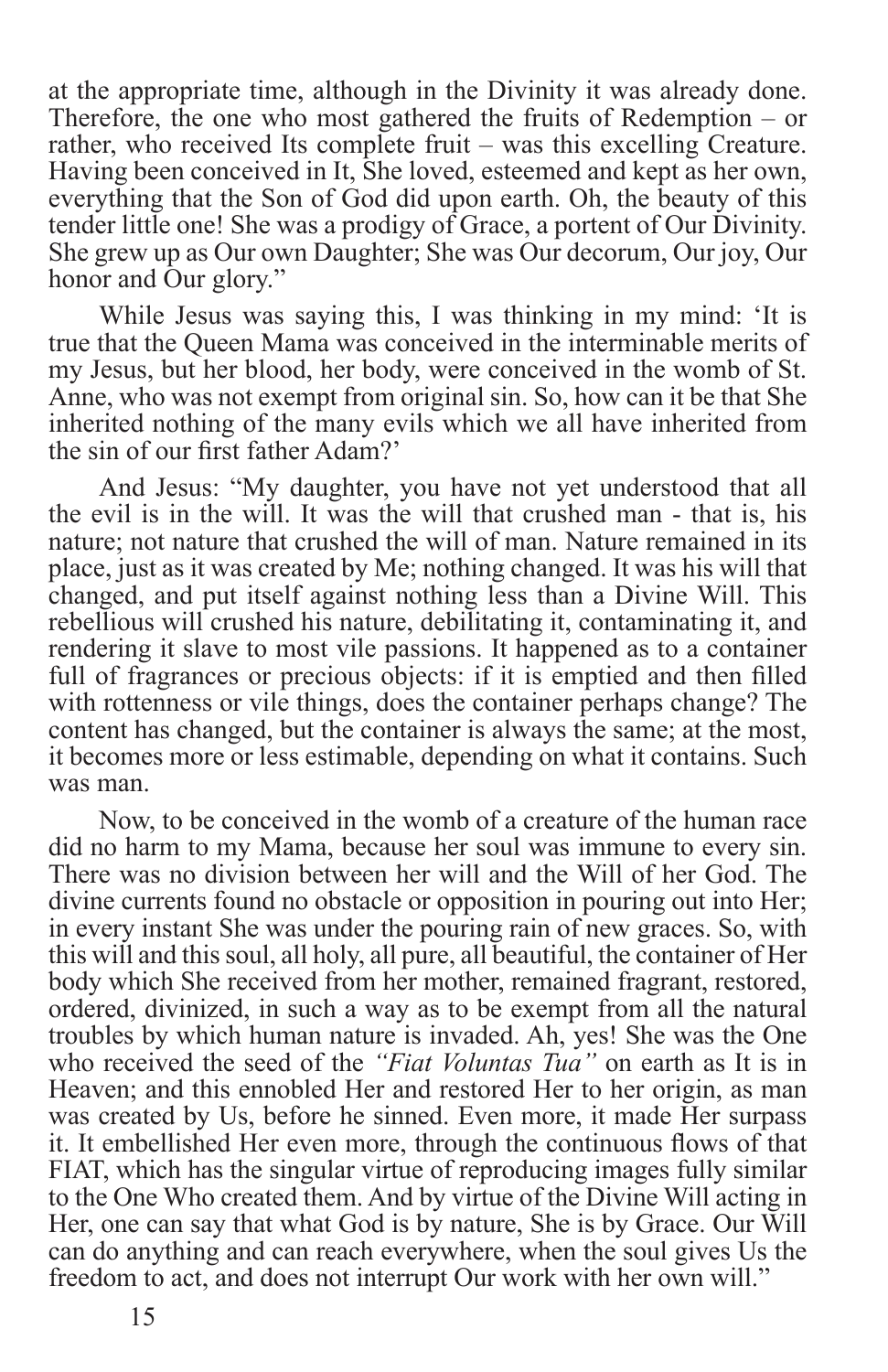at the appropriate time, although in the Divinity it was already done. Therefore, the one who most gathered the fruits of Redemption – or rather, who received Its complete fruit – was this excelling Creature. Having been conceived in It, She loved, esteemed and kept as her own, everything that the Son of God did upon earth. Oh, the beauty of this tender little one! She was a prodigy of Grace, a portent of Our Divinity. She grew up as Our own Daughter; She was Our decorum, Our joy, Our honor and Our glory."

While Jesus was saying this, I was thinking in my mind: 'It is true that the Queen Mama was conceived in the interminable merits of my Jesus, but her blood, her body, were conceived in the womb of St. Anne, who was not exempt from original sin. So, how can it be that She inherited nothing of the many evils which we all have inherited from the sin of our first father Adam?'

And Jesus: "My daughter, you have not yet understood that all the evil is in the will. It was the will that crushed man - that is, his nature; not nature that crushed the will of man. Nature remained in its place, just as it was created by Me; nothing changed. It was his will that changed, and put itself against nothing less than a Divine Will. This rebellious will crushed his nature, debilitating it, contaminating it, and rendering it slave to most vile passions. It happened as to a container full of fragrances or precious objects: if it is emptied and then filled with rottenness or vile things, does the container perhaps change? The content has changed, but the container is always the same; at the most, it becomes more or less estimable, depending on what it contains. Such was man.

Now, to be conceived in the womb of a creature of the human race did no harm to my Mama, because her soul was immune to every sin. There was no division between her will and the Will of her God. The divine currents found no obstacle or opposition in pouring out into Her; in every instant She was under the pouring rain of new graces. So, with this will and this soul, all holy, all pure, all beautiful, the container of Her body which She received from her mother, remained fragrant, restored, ordered, divinized, in such a way as to be exempt from all the natural troubles by which human nature is invaded. Ah, yes! She was the One who received the seed of the *"Fiat Voluntas Tua"* on earth as It is in Heaven; and this ennobled Her and restored Her to her origin, as man was created by Us, before he sinned. Even more, it made Her surpass it. It embellished Her even more, through the continuous flows of that FIAT, which has the singular virtue of reproducing images fully similar to the One Who created them. And by virtue of the Divine Will acting in Her, one can say that what God is by nature, She is by Grace. Our Will can do anything and can reach everywhere, when the soul gives Us the freedom to act, and does not interrupt Our work with her own will."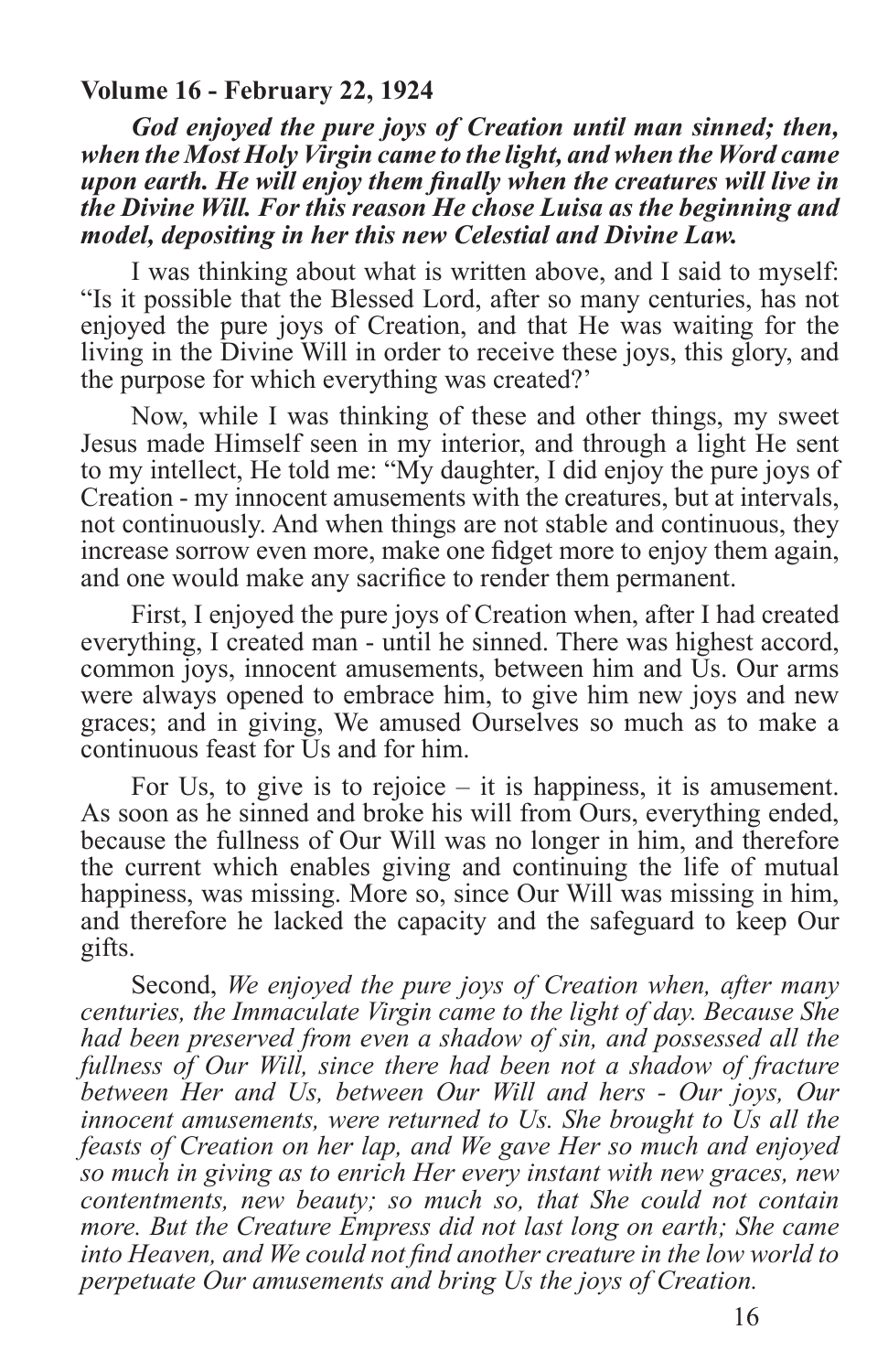#### **Volume 16 - February 22, 1924**

*God enjoyed the pure joys of Creation until man sinned; then, when the Most Holy Virgin came to the light, and when the Word came upon earth. He will enjoy them finally when the creatures will live in the Divine Will. For this reason He chose Luisa as the beginning and model, depositing in her this new Celestial and Divine Law.*

I was thinking about what is written above, and I said to myself: "Is it possible that the Blessed Lord, after so many centuries, has not enjoyed the pure joys of Creation, and that He was waiting for the living in the Divine Will in order to receive these joys, this glory, and the purpose for which everything was created?'

Now, while I was thinking of these and other things, my sweet Jesus made Himself seen in my interior, and through a light He sent to my intellect, He told me: "My daughter, I did enjoy the pure joys of Creation - my innocent amusements with the creatures, but at intervals, not continuously. And when things are not stable and continuous, they increase sorrow even more, make one fidget more to enjoy them again, and one would make any sacrifice to render them permanent.

First, I enjoyed the pure joys of Creation when, after I had created everything, I created man - until he sinned. There was highest accord, common joys, innocent amusements, between him and Us. Our arms were always opened to embrace him, to give him new joys and new graces; and in giving, We amused Ourselves so much as to make a continuous feast for Us and for him.

For Us, to give is to rejoice – it is happiness, it is amusement. As soon as he sinned and broke his will from Ours, everything ended, because the fullness of Our Will was no longer in him, and therefore the current which enables giving and continuing the life of mutual happiness, was missing. More so, since Our Will was missing in him, and therefore he lacked the capacity and the safeguard to keep Our gifts.

Second, *We enjoyed the pure joys of Creation when, after many centuries, the Immaculate Virgin came to the light of day. Because She had been preserved from even a shadow of sin, and possessed all the fullness of Our Will, since there had been not a shadow of fracture between Her and Us, between Our Will and hers - Our joys, Our innocent amusements, were returned to Us. She brought to Us all the feasts of Creation on her lap, and We gave Her so much and enjoyed so much in giving as to enrich Her every instant with new graces, new contentments, new beauty; so much so, that She could not contain more. But the Creature Empress did not last long on earth; She came into Heaven, and We could not find another creature in the low world to perpetuate Our amusements and bring Us the joys of Creation.*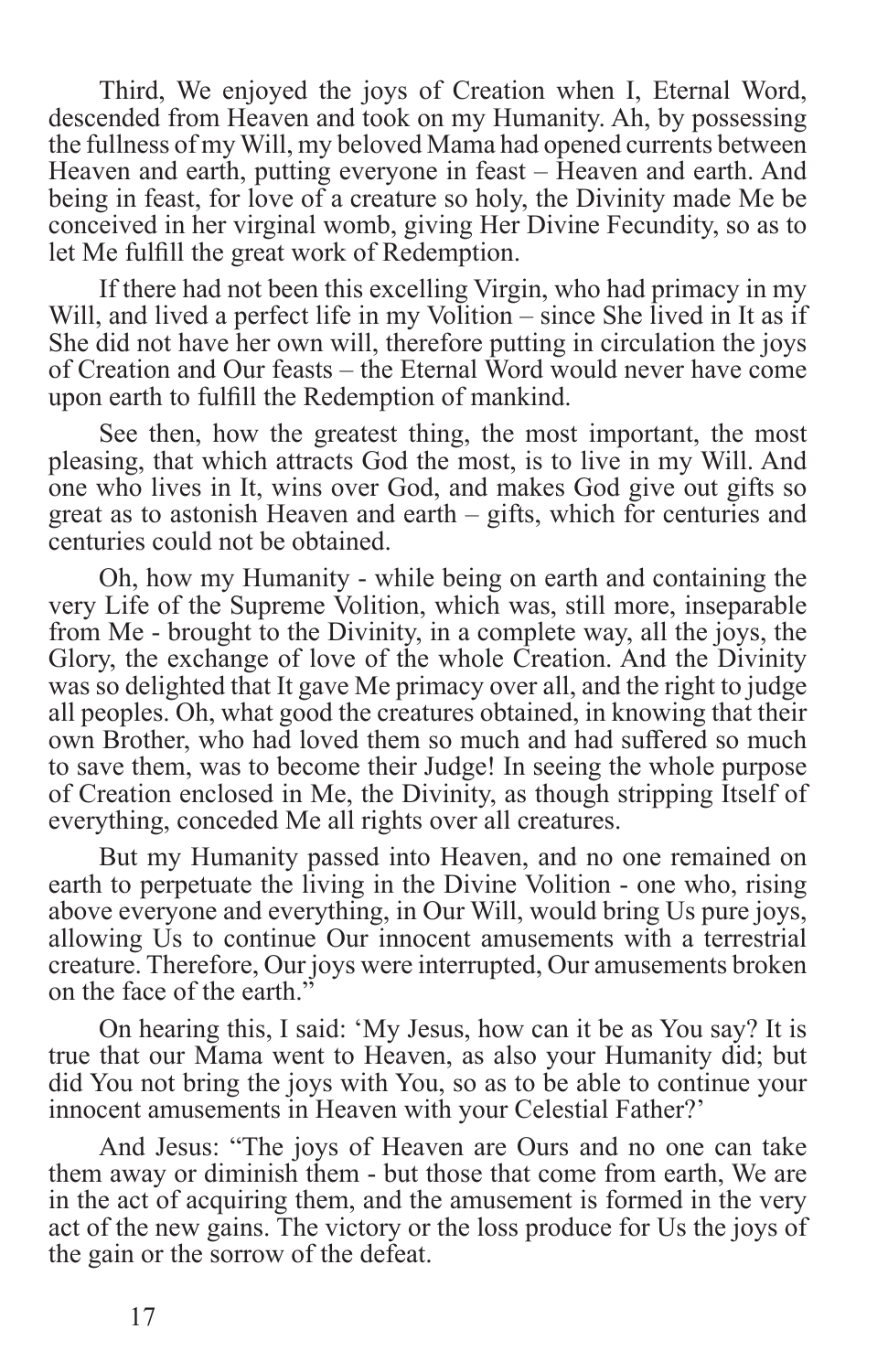Third, We enjoyed the joys of Creation when I, Eternal Word, descended from Heaven and took on my Humanity. Ah, by possessing the fullness of my Will, my beloved Mama had opened currents between Heaven and earth, putting everyone in feast – Heaven and earth. And being in feast, for love of a creature so holy, the Divinity made Me be conceived in her virginal womb, giving Her Divine Fecundity, so as to let Me fulfill the great work of Redemption.

If there had not been this excelling Virgin, who had primacy in my Will, and lived a perfect life in my Volition – since She lived in It as if She did not have her own will, therefore putting in circulation the joys of Creation and Our feasts – the Eternal Word would never have come upon earth to fulfill the Redemption of mankind.

See then, how the greatest thing, the most important, the most pleasing, that which attracts God the most, is to live in my Will. And one who lives in It, wins over God, and makes God give out gifts so great as to astonish Heaven and earth – gifts, which for centuries and centuries could not be obtained.

Oh, how my Humanity - while being on earth and containing the very Life of the Supreme Volition, which was, still more, inseparable from Me - brought to the Divinity, in a complete way, all the joys, the Glory, the exchange of love of the whole Creation. And the Divinity was so delighted that It gave Me primacy over all, and the right to judge all peoples. Oh, what good the creatures obtained, in knowing that their own Brother, who had loved them so much and had suffered so much to save them, was to become their Judge! In seeing the whole purpose of Creation enclosed in Me, the Divinity, as though stripping Itself of everything, conceded Me all rights over all creatures.

But my Humanity passed into Heaven, and no one remained on earth to perpetuate the living in the Divine Volition - one who, rising above everyone and everything, in Our Will, would bring Us pure joys, allowing Us to continue Our innocent amusements with a terrestrial creature. Therefore, Our joys were interrupted, Our amusements broken on the face of the earth."

On hearing this, I said: 'My Jesus, how can it be as You say? It is true that our Mama went to Heaven, as also your Humanity did; but did You not bring the joys with You, so as to be able to continue your innocent amusements in Heaven with your Celestial Father?'

And Jesus: "The joys of Heaven are Ours and no one can take them away or diminish them - but those that come from earth, We are in the act of acquiring them, and the amusement is formed in the very act of the new gains. The victory or the loss produce for Us the joys of the gain or the sorrow of the defeat.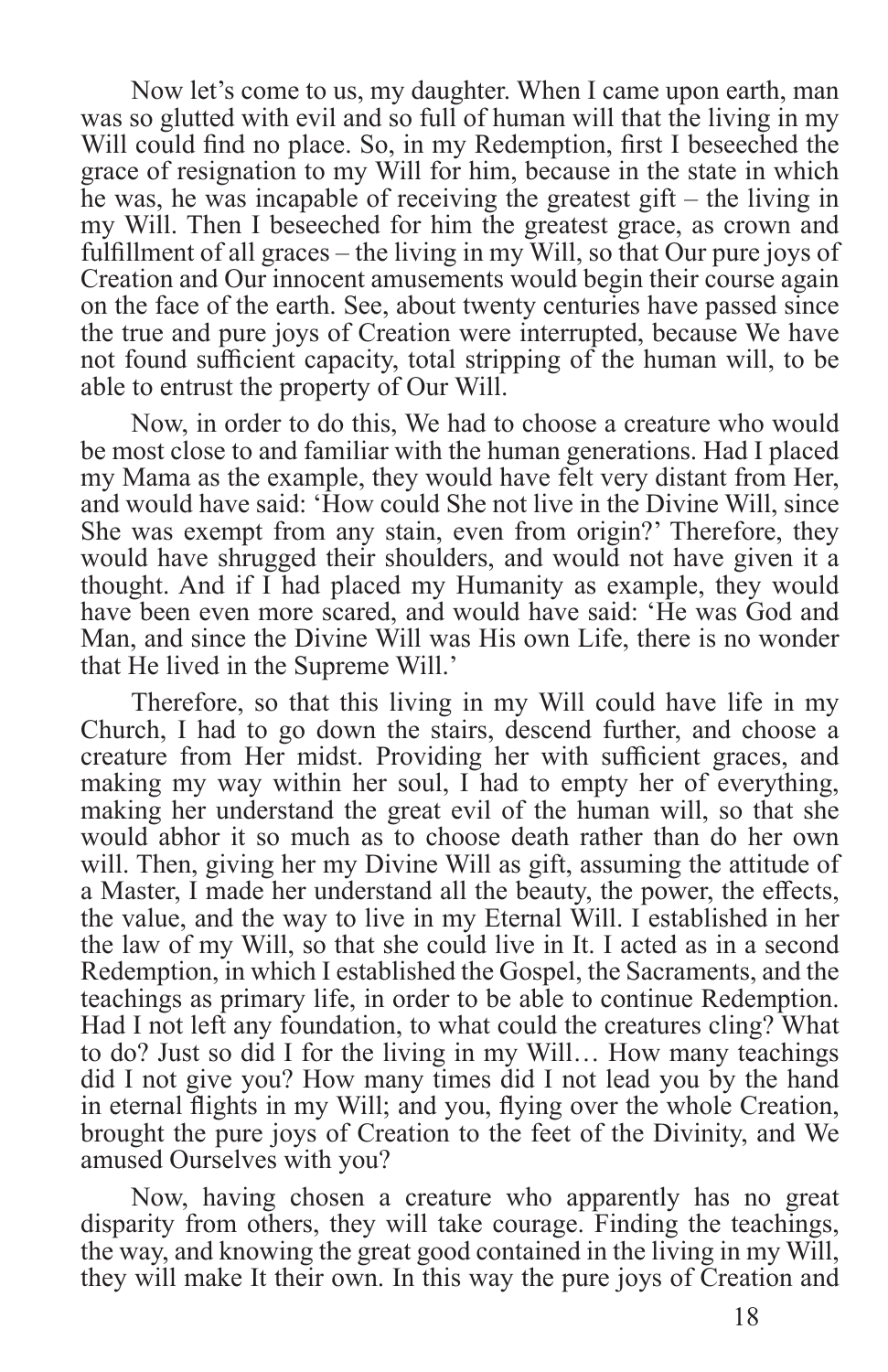Now let's come to us, my daughter. When I came upon earth, man was so glutted with evil and so full of human will that the living in my Will could find no place. So, in my Redemption, first I beseeched the grace of resignation to my Will for him, because in the state in which he was, he was incapable of receiving the greatest gift – the living in my Will. Then I beseeched for him the greatest grace, as crown and fulfillment of all graces – the living in my Will, so that Our pure joys of Creation and Our innocent amusements would begin their course again on the face of the earth. See, about twenty centuries have passed since the true and pure joys of Creation were interrupted, because We have not found sufficient capacity, total stripping of the human will, to be able to entrust the property of Our Will.

Now, in order to do this, We had to choose a creature who would be most close to and familiar with the human generations. Had I placed my Mama as the example, they would have felt very distant from Her, and would have said: 'How could She not live in the Divine Will, since She was exempt from any stain, even from origin?' Therefore, they would have shrugged their shoulders, and would not have given it a thought. And if I had placed my Humanity as example, they would have been even more scared, and would have said: 'He was God and Man, and since the Divine Will was His own Life, there is no wonder that He lived in the Supreme Will.'

Therefore, so that this living in my Will could have life in my Church, I had to go down the stairs, descend further, and choose a creature from Her midst. Providing her with sufficient graces, and making my way within her soul, I had to empty her of everything, making her understand the great evil of the human will, so that she would abhor it so much as to choose death rather than do her own will. Then, giving her my Divine Will as gift, assuming the attitude of a Master, I made her understand all the beauty, the power, the effects, the value, and the way to live in my Eternal Will. I established in her the law of my Will, so that she could live in It. I acted as in a second Redemption, in which I established the Gospel, the Sacraments, and the teachings as primary life, in order to be able to continue Redemption. Had I not left any foundation, to what could the creatures cling? What to do? Just so did I for the living in my Will… How many teachings did I not give you? How many times did I not lead you by the hand in eternal flights in my Will; and you, flying over the whole Creation, brought the pure joys of Creation to the feet of the Divinity, and We amused Ourselves with you?

Now, having chosen a creature who apparently has no great disparity from others, they will take courage. Finding the teachings, the way, and knowing the great good contained in the living in my Will, they will make It their own. In this way the pure joys of Creation and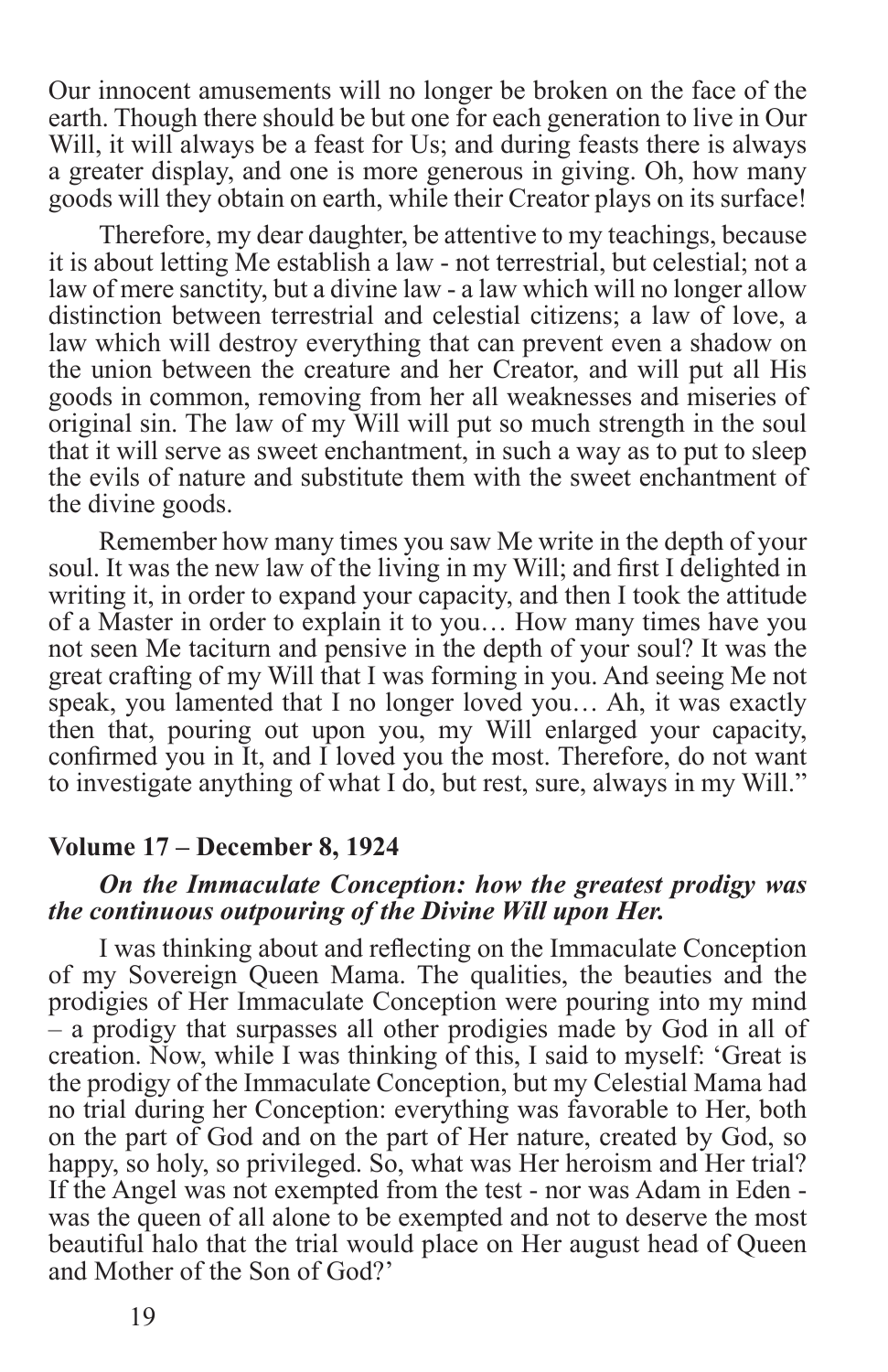Our innocent amusements will no longer be broken on the face of the earth. Though there should be but one for each generation to live in Our Will, it will always be a feast for Us; and during feasts there is always a greater display, and one is more generous in giving. Oh, how many goods will they obtain on earth, while their Creator plays on its surface!

Therefore, my dear daughter, be attentive to my teachings, because it is about letting Me establish a law - not terrestrial, but celestial; not a law of mere sanctity, but a divine law - a law which will no longer allow distinction between terrestrial and celestial citizens; a law of love, a law which will destroy everything that can prevent even a shadow on the union between the creature and her Creator, and will put all His goods in common, removing from her all weaknesses and miseries of original sin. The law of my Will will put so much strength in the soul that it will serve as sweet enchantment, in such a way as to put to sleep the evils of nature and substitute them with the sweet enchantment of the divine goods.

Remember how many times you saw Me write in the depth of your soul. It was the new law of the living in my Will; and first I delighted in writing it, in order to expand your capacity, and then I took the attitude of a Master in order to explain it to you… How many times have you not seen Me taciturn and pensive in the depth of your soul? It was the great crafting of my Will that I was forming in you. And seeing Me not speak, you lamented that I no longer loved you… Ah, it was exactly then that, pouring out upon you, my Will enlarged your capacity, confirmed you in It, and I loved you the most. Therefore, do not want to investigate anything of what I do, but rest, sure, always in my Will."

#### **Volume 17 – December 8, 1924**

#### *On the Immaculate Conception: how the greatest prodigy was the continuous outpouring of the Divine Will upon Her.*

I was thinking about and reflecting on the Immaculate Conception of my Sovereign Queen Mama. The qualities, the beauties and the prodigies of Her Immaculate Conception were pouring into my mind – a prodigy that surpasses all other prodigies made by God in all of creation. Now, while I was thinking of this, I said to myself: 'Great is the prodigy of the Immaculate Conception, but my Celestial Mama had no trial during her Conception: everything was favorable to Her, both on the part of God and on the part of Her nature, created by God, so happy, so holy, so privileged. So, what was Her heroism and Her trial? If the Angel was not exempted from the test - nor was Adam in Eden was the queen of all alone to be exempted and not to deserve the most beautiful halo that the trial would place on Her august head of Queen and Mother of the Son of God?'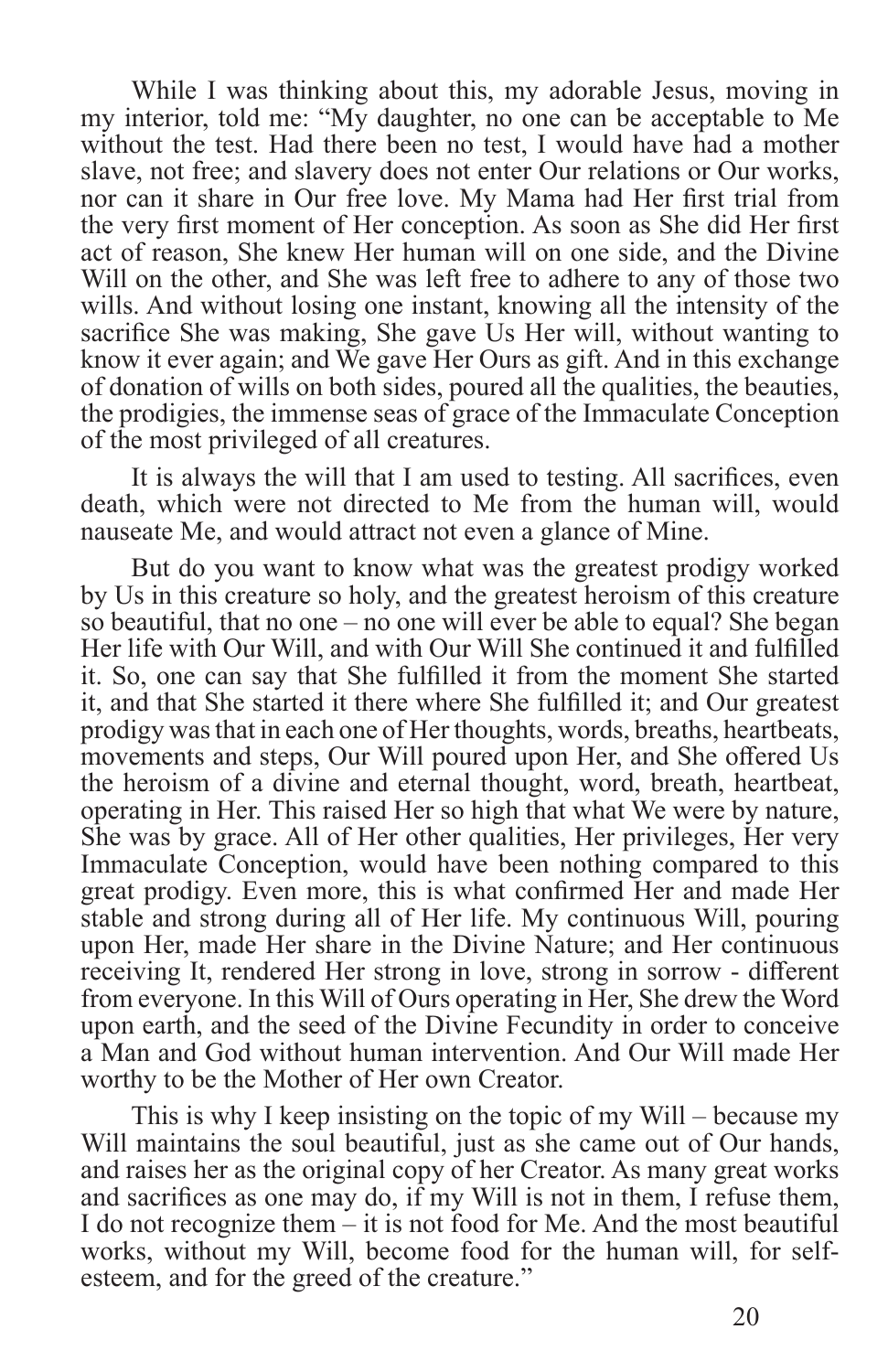While I was thinking about this, my adorable Jesus, moving in my interior, told me: "My daughter, no one can be acceptable to Me without the test. Had there been no test, I would have had a mother slave, not free; and slavery does not enter Our relations or Our works, nor can it share in Our free love. My Mama had Her first trial from the very first moment of Her conception. As soon as She did Her first act of reason, She knew Her human will on one side, and the Divine Will on the other, and She was left free to adhere to any of those two wills. And without losing one instant, knowing all the intensity of the sacrifice She was making, She gave Us Her will, without wanting to know it ever again; and We gave Her Ours as gift. And in this exchange of donation of wills on both sides, poured all the qualities, the beauties, the prodigies, the immense seas of grace of the Immaculate Conception of the most privileged of all creatures.

It is always the will that I am used to testing. All sacrifices, even death, which were not directed to Me from the human will, would nauseate Me, and would attract not even a glance of Mine.

But do you want to know what was the greatest prodigy worked by Us in this creature so holy, and the greatest heroism of this creature so beautiful, that no one – no one will ever be able to equal? She began Her life with Our Will, and with Our Will She continued it and fulfilled it. So, one can say that She fulfilled it from the moment She started it, and that She started it there where She fulfilled it; and Our greatest prodigy was that in each one of Her thoughts, words, breaths, heartbeats, movements and steps, Our Will poured upon Her, and She offered Us the heroism of a divine and eternal thought, word, breath, heartbeat, operating in Her. This raised Her so high that what We were by nature, She was by grace. All of Her other qualities, Her privileges, Her very Immaculate Conception, would have been nothing compared to this great prodigy. Even more, this is what confirmed Her and made Her stable and strong during all of Her life. My continuous Will, pouring upon Her, made Her share in the Divine Nature; and Her continuous receiving It, rendered Her strong in love, strong in sorrow - different from everyone. In this Will of Ours operating in Her, She drew the Word upon earth, and the seed of the Divine Fecundity in order to conceive a Man and God without human intervention. And Our Will made Her worthy to be the Mother of Her own Creator.

This is why I keep insisting on the topic of my Will – because my Will maintains the soul beautiful, just as she came out of Our hands, and raises her as the original copy of her Creator. As many great works and sacrifices as one may do, if my Will is not in them, I refuse them, I do not recognize them – it is not food for Me. And the most beautiful works, without my Will, become food for the human will, for selfesteem, and for the greed of the creature."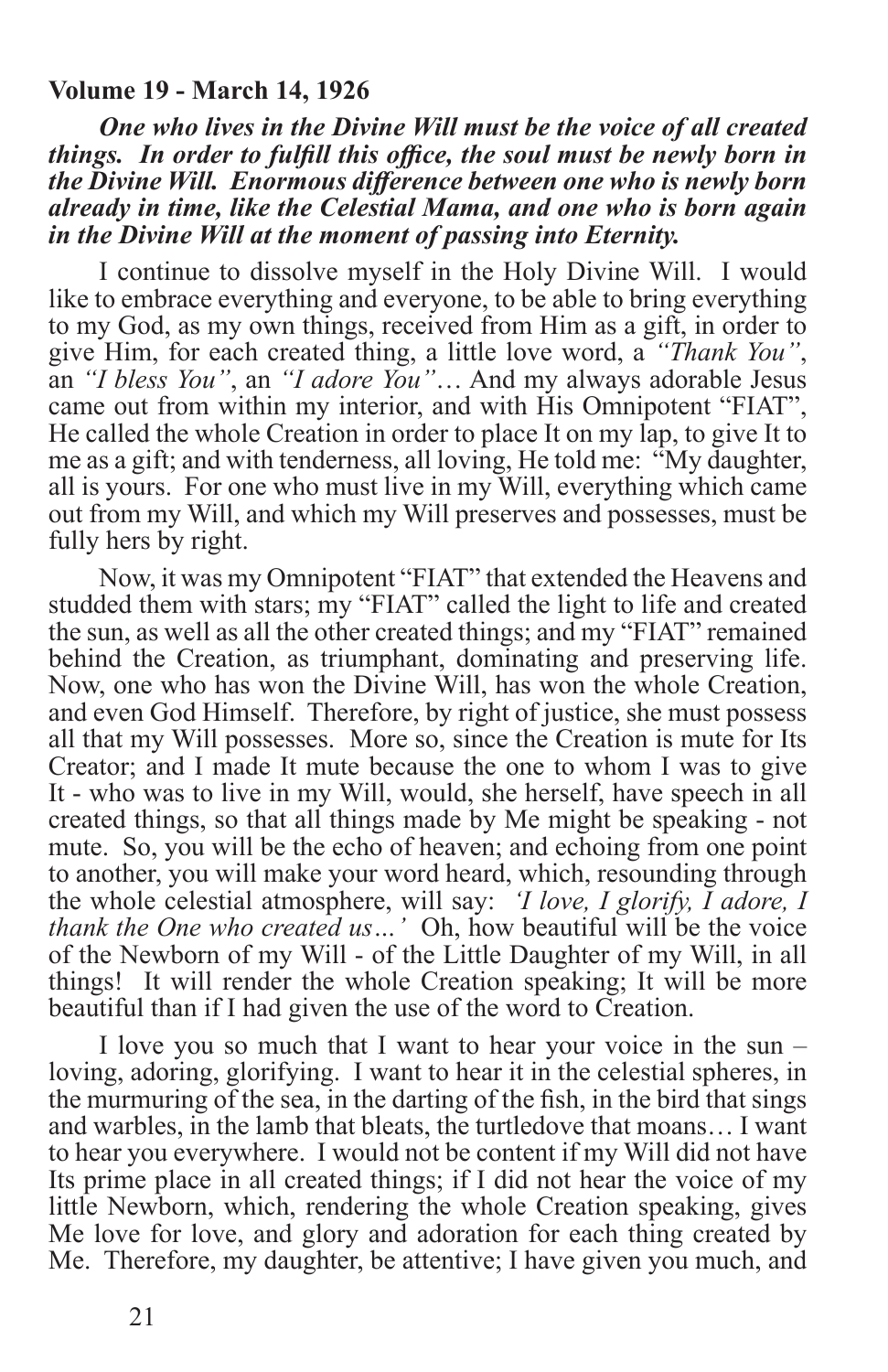#### **Volume 19 - March 14, 1926**

*One who lives in the Divine Will must be the voice of all created things. In order to fulfill this office, the soul must be newly born in the Divine Will. Enormous difference between one who is newly born already in time, like the Celestial Mama, and one who is born again in the Divine Will at the moment of passing into Eternity.*

I continue to dissolve myself in the Holy Divine Will. I would like to embrace everything and everyone, to be able to bring everything to my God, as my own things, received from Him as a gift, in order to give Him, for each created thing, a little love word, a *"Thank You"*, an *"I bless You"*, an *"I adore You"*… And my always adorable Jesus came out from within my interior, and with His Omnipotent "FIAT", He called the whole Creation in order to place It on my lap, to give It to me as a gift; and with tenderness, all loving, He told me: "My daughter, all is yours. For one who must live in my Will, everything which came out from my Will, and which my Will preserves and possesses, must be fully hers by right.

Now, it was my Omnipotent "FIAT" that extended the Heavens and studded them with stars; my "FIAT" called the light to life and created the sun, as well as all the other created things; and my "FIAT" remained behind the Creation, as triumphant, dominating and preserving life. Now, one who has won the Divine Will, has won the whole Creation, and even God Himself. Therefore, by right of justice, she must possess all that my Will possesses. More so, since the Creation is mute for Its Creator; and I made It mute because the one to whom I was to give It - who was to live in my Will, would, she herself, have speech in all created things, so that all things made by Me might be speaking - not mute. So, you will be the echo of heaven; and echoing from one point to another, you will make your word heard, which, resounding through the whole celestial atmosphere, will say: *'I love, I glorify, I adore, I thank the One who created us…'* Oh, how beautiful will be the voice of the Newborn of my Will - of the Little Daughter of my Will, in all things! It will render the whole Creation speaking; It will be more beautiful than if I had given the use of the word to Creation.

I love you so much that I want to hear your voice in the sun – loving, adoring, glorifying. I want to hear it in the celestial spheres, in the murmuring of the sea, in the darting of the fish, in the bird that sings and warbles, in the lamb that bleats, the turtledove that moans… I want to hear you everywhere. I would not be content if my Will did not have Its prime place in all created things; if I did not hear the voice of my little Newborn, which, rendering the whole Creation speaking, gives Me love for love, and glory and adoration for each thing created by Me. Therefore, my daughter, be attentive; I have given you much, and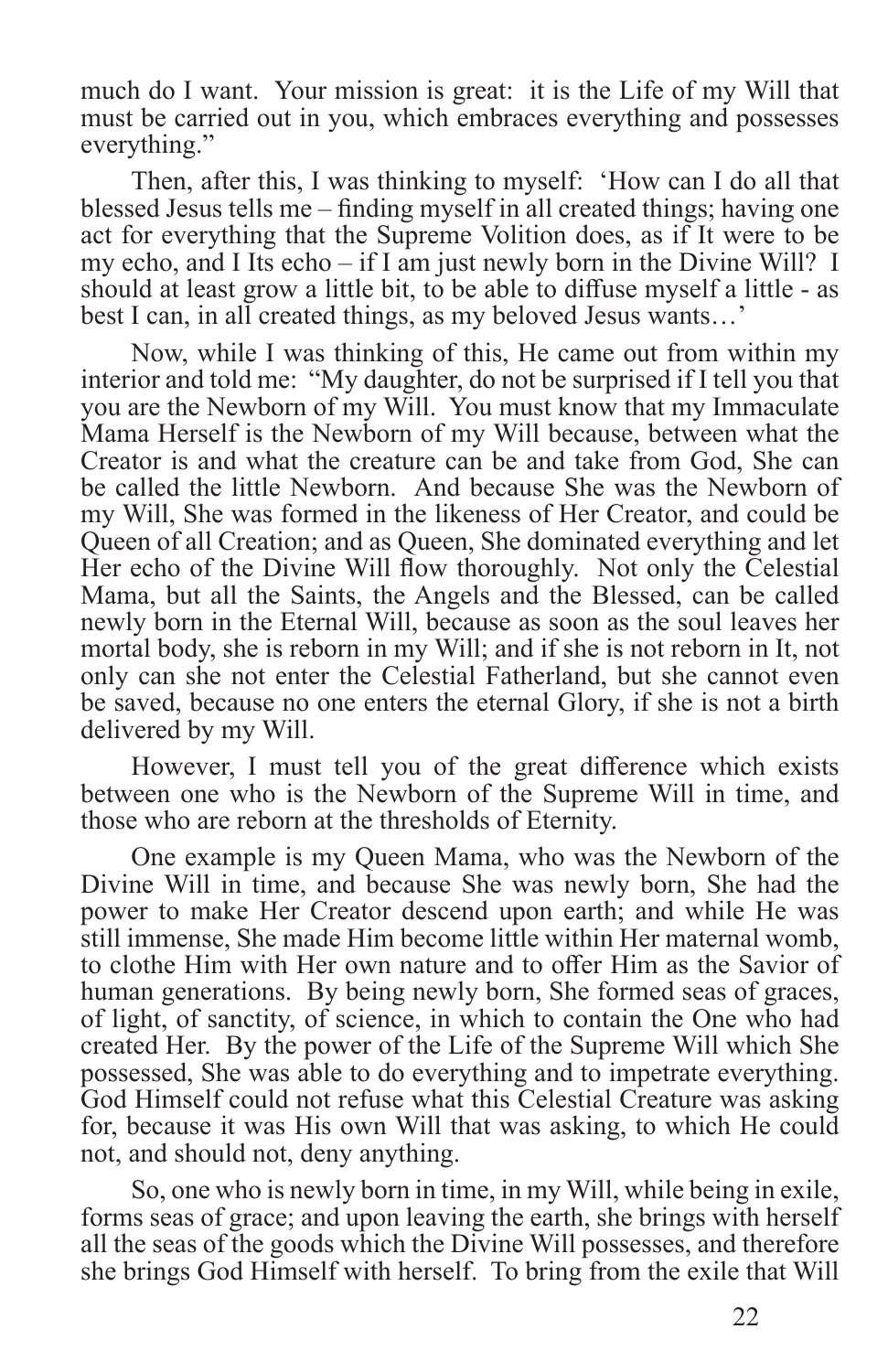much do I want. Your mission is great: it is the Life of my Will that must be carried out in you, which embraces everything and possesses everything."

Then, after this, I was thinking to myself: 'How can I do all that blessed Jesus tells me – finding myself in all created things; having one act for everything that the Supreme Volition does, as if It were to be my echo, and I Its echo – if I am just newly born in the Divine Will? I should at least grow a little bit, to be able to diffuse myself a little - as best I can, in all created things, as my beloved Jesus wants…'

Now, while I was thinking of this, He came out from within my interior and told me: "My daughter, do not be surprised if I tell you that you are the Newborn of my Will. You must know that my Immaculate Mama Herself is the Newborn of my Will because, between what the Creator is and what the creature can be and take from God, She can be called the little Newborn. And because She was the Newborn of my Will, She was formed in the likeness of Her Creator, and could be Queen of all Creation; and as Queen, She dominated everything and let Her echo of the Divine Will flow thoroughly. Not only the Celestial Mama, but all the Saints, the Angels and the Blessed, can be called newly born in the Eternal Will, because as soon as the soul leaves her mortal body, she is reborn in my Will; and if she is not reborn in It, not only can she not enter the Celestial Fatherland, but she cannot even be saved, because no one enters the eternal Glory, if she is not a birth delivered by my Will.

However, I must tell you of the great difference which exists between one who is the Newborn of the Supreme Will in time, and those who are reborn at the thresholds of Eternity.

One example is my Queen Mama, who was the Newborn of the Divine Will in time, and because She was newly born, She had the power to make Her Creator descend upon earth; and while He was still immense, She made Him become little within Her maternal womb, to clothe Him with Her own nature and to offer Him as the Savior of human generations. By being newly born, She formed seas of graces, of light, of sanctity, of science, in which to contain the One who had created Her. By the power of the Life of the Supreme Will which She possessed, She was able to do everything and to impetrate everything. God Himself could not refuse what this Celestial Creature was asking for, because it was His own Will that was asking, to which He could not, and should not, deny anything.

So, one who is newly born in time, in my Will, while being in exile, forms seas of grace; and upon leaving the earth, she brings with herself all the seas of the goods which the Divine Will possesses, and therefore she brings God Himself with herself. To bring from the exile that Will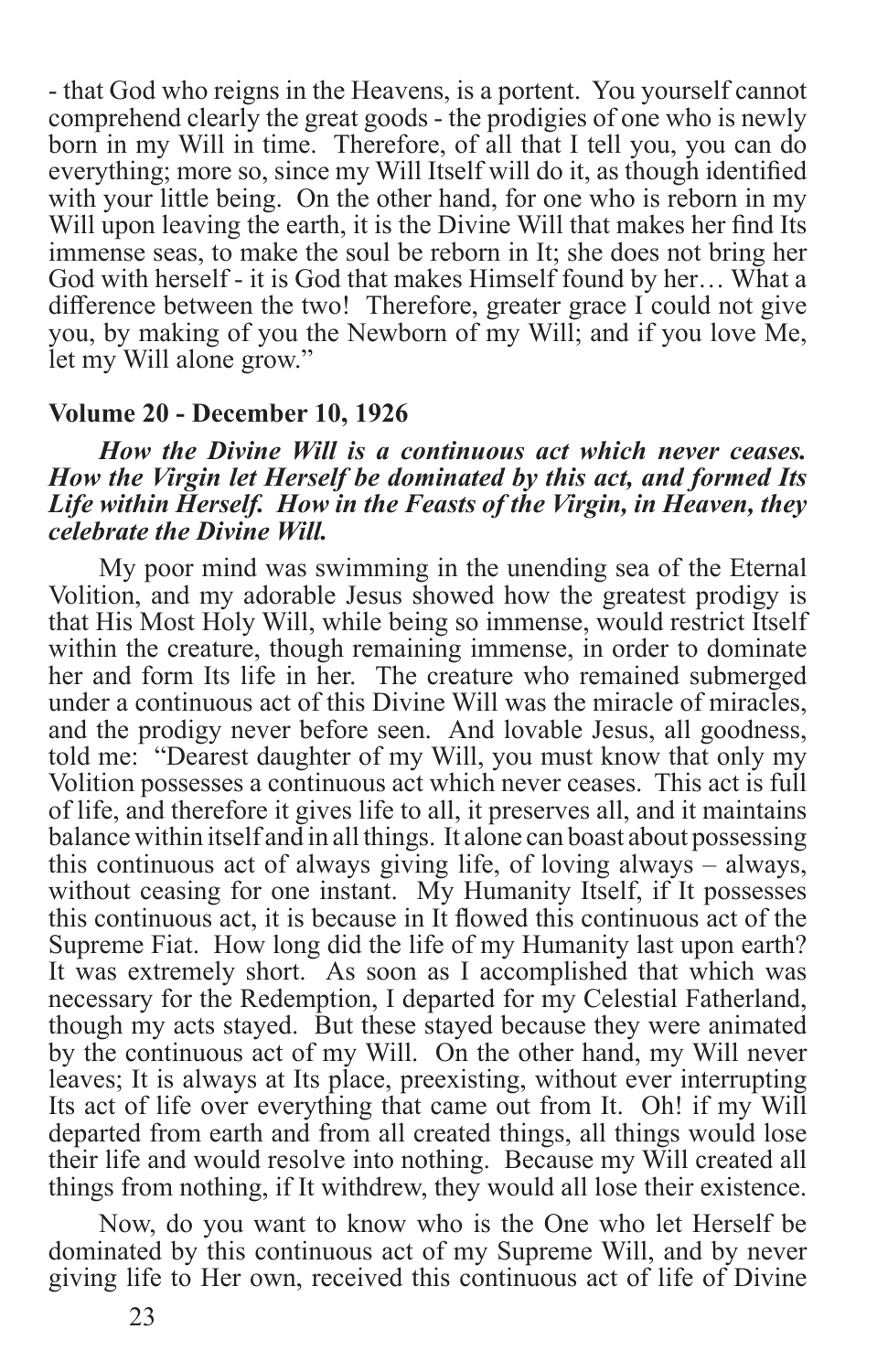- that God who reigns in the Heavens, is a portent. You yourself cannot comprehend clearly the great goods - the prodigies of one who is newly born in my Will in time. Therefore, of all that I tell you, you can do everything; more so, since my Will Itself will do it, as though identified with your little being. On the other hand, for one who is reborn in my Will upon leaving the earth, it is the Divine Will that makes her find Its immense seas, to make the soul be reborn in It; she does not bring her God with herself - it is God that makes Himself found by her… What a difference between the two! Therefore, greater grace I could not give you, by making of you the Newborn of my Will; and if you love Me, let my Will alone grow."

#### **Volume 20 - December 10, 1926**

#### *How the Divine Will is a continuous act which never ceases. How the Virgin let Herself be dominated by this act, and formed Its Life within Herself. How in the Feasts of the Virgin, in Heaven, they celebrate the Divine Will.*

My poor mind was swimming in the unending sea of the Eternal Volition, and my adorable Jesus showed how the greatest prodigy is that His Most Holy Will, while being so immense, would restrict Itself within the creature, though remaining immense, in order to dominate her and form Its life in her. The creature who remained submerged under a continuous act of this Divine Will was the miracle of miracles, and the prodigy never before seen. And lovable Jesus, all goodness, told me: "Dearest daughter of my Will, you must know that only my Volition possesses a continuous act which never ceases. This act is full of life, and therefore it gives life to all, it preserves all, and it maintains balance within itself and in all things. It alone can boast about possessing this continuous act of always giving life, of loving always – always, without ceasing for one instant. My Humanity Itself, if It possesses this continuous act, it is because in It flowed this continuous act of the Supreme Fiat. How long did the life of my Humanity last upon earth? It was extremely short. As soon as I accomplished that which was necessary for the Redemption, I departed for my Celestial Fatherland, though my acts stayed. But these stayed because they were animated by the continuous act of my Will. On the other hand, my Will never leaves; It is always at Its place, preexisting, without ever interrupting Its act of life over everything that came out from It. Oh! if my Will departed from earth and from all created things, all things would lose their life and would resolve into nothing. Because my Will created all things from nothing, if It withdrew, they would all lose their existence.

Now, do you want to know who is the One who let Herself be dominated by this continuous act of my Supreme Will, and by never giving life to Her own, received this continuous act of life of Divine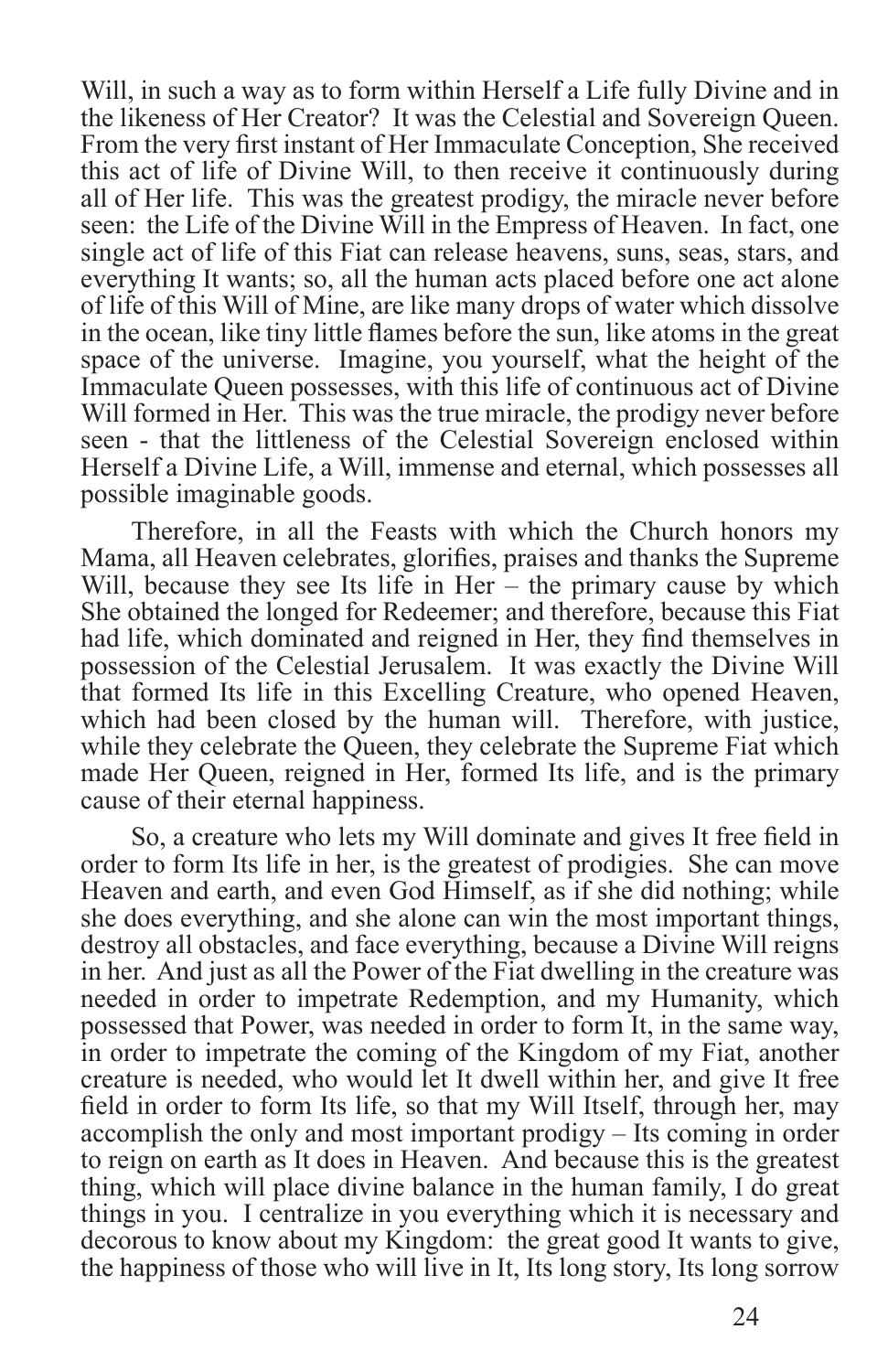Will, in such a way as to form within Herself a Life fully Divine and in the likeness of Her Creator? It was the Celestial and Sovereign Queen. From the very first instant of Her Immaculate Conception, She received this act of life of Divine Will, to then receive it continuously during all of Her life. This was the greatest prodigy, the miracle never before seen: the Life of the Divine Will in the Empress of Heaven. In fact, one single act of life of this Fiat can release heavens, suns, seas, stars, and everything It wants; so, all the human acts placed before one act alone of life of this Will of Mine, are like many drops of water which dissolve in the ocean, like tiny little flames before the sun, like atoms in the great space of the universe. Imagine, you yourself, what the height of the Immaculate Queen possesses, with this life of continuous act of Divine Will formed in Her. This was the true miracle, the prodigy never before seen - that the littleness of the Celestial Sovereign enclosed within Herself a Divine Life, a Will, immense and eternal, which possesses all possible imaginable goods.

Therefore, in all the Feasts with which the Church honors my Mama, all Heaven celebrates, glorifies, praises and thanks the Supreme Will, because they see Its life in Her – the primary cause by which She obtained the longed for Redeemer; and therefore, because this Fiat had life, which dominated and reigned in Her, they find themselves in possession of the Celestial Jerusalem. It was exactly the Divine Will that formed Its life in this Excelling Creature, who opened Heaven, which had been closed by the human will. Therefore, with justice, while they celebrate the Queen, they celebrate the Supreme Fiat which made Her Queen, reigned in Her, formed Its life, and is the primary cause of their eternal happiness.

So, a creature who lets my Will dominate and gives It free field in order to form Its life in her, is the greatest of prodigies. She can move Heaven and earth, and even God Himself, as if she did nothing; while she does everything, and she alone can win the most important things, destroy all obstacles, and face everything, because a Divine Will reigns in her. And just as all the Power of the Fiat dwelling in the creature was needed in order to impetrate Redemption, and my Humanity, which possessed that Power, was needed in order to form It, in the same way, in order to impetrate the coming of the Kingdom of my Fiat, another creature is needed, who would let It dwell within her, and give It free field in order to form Its life, so that my Will Itself, through her, may accomplish the only and most important prodigy – Its coming in order to reign on earth as It does in Heaven. And because this is the greatest thing, which will place divine balance in the human family, I do great things in you. I centralize in you everything which it is necessary and decorous to know about my Kingdom: the great good It wants to give, the happiness of those who will live in It, Its long story, Its long sorrow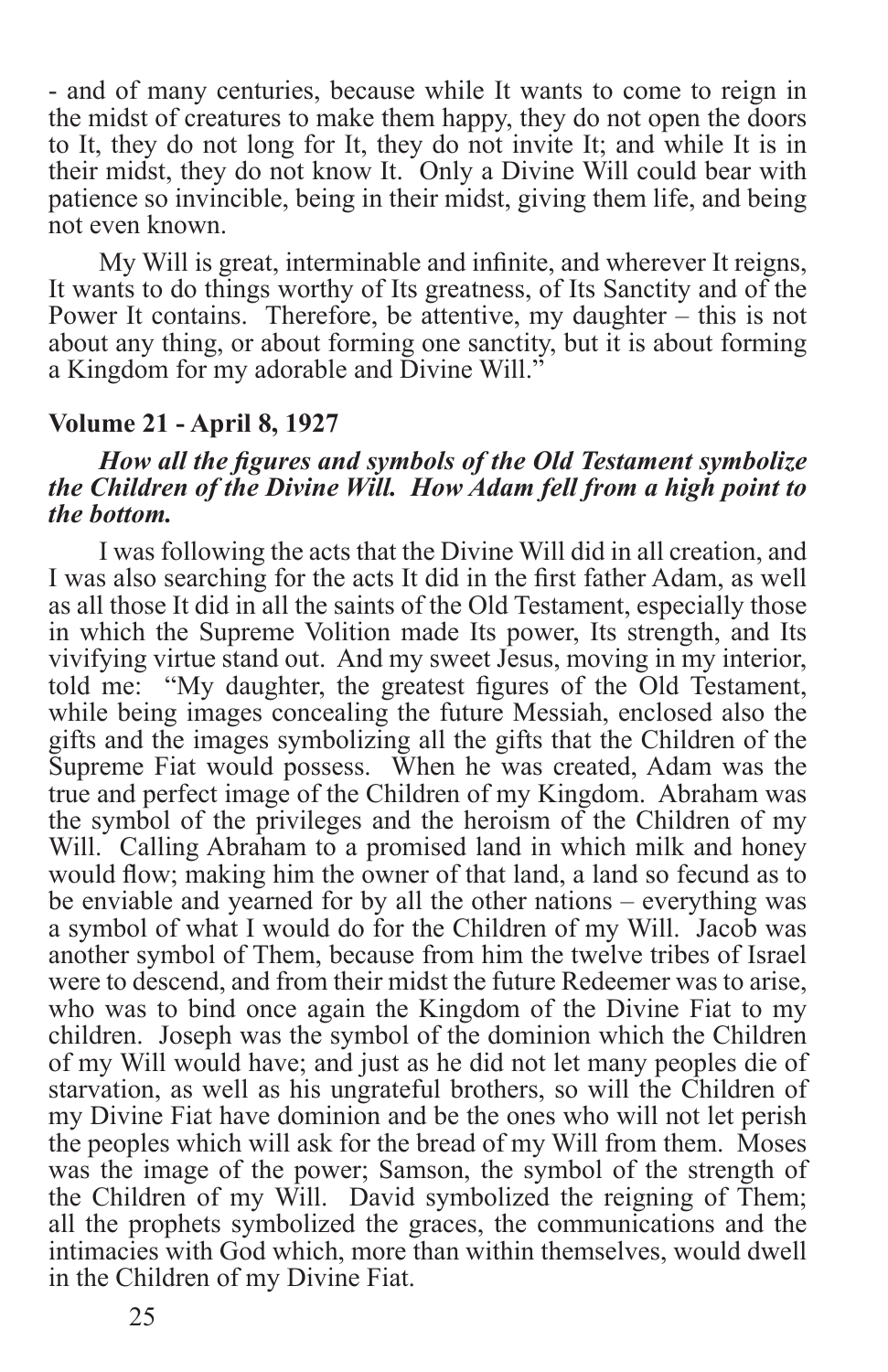- and of many centuries, because while It wants to come to reign in the midst of creatures to make them happy, they do not open the doors to It, they do not long for It, they do not invite It; and while It is in their midst, they do not know It. Only a Divine Will could bear with patience so invincible, being in their midst, giving them life, and being not even known.

My Will is great, interminable and infinite, and wherever It reigns, It wants to do things worthy of Its greatness, of Its Sanctity and of the Power It contains. Therefore, be attentive, my daughter – this is not about any thing, or about forming one sanctity, but it is about forming a Kingdom for my adorable and Divine Will."

#### **Volume 21 - April 8, 1927**

#### *How all the figures and symbols of the Old Testament symbolize the Children of the Divine Will. How Adam fell from a high point to the bottom.*

I was following the acts that the Divine Will did in all creation, and I was also searching for the acts It did in the first father Adam, as well as all those It did in all the saints of the Old Testament, especially those in which the Supreme Volition made Its power, Its strength, and Its vivifying virtue stand out. And my sweet Jesus, moving in my interior, told me: "My daughter, the greatest figures of the Old Testament, while being images concealing the future Messiah, enclosed also the gifts and the images symbolizing all the gifts that the Children of the Supreme Fiat would possess. When he was created, Adam was the true and perfect image of the Children of my Kingdom. Abraham was the symbol of the privileges and the heroism of the Children of my Will. Calling Abraham to a promised land in which milk and honey would flow; making him the owner of that land, a land so fecund as to be enviable and yearned for by all the other nations – everything was a symbol of what I would do for the Children of my Will. Jacob was another symbol of Them, because from him the twelve tribes of Israel were to descend, and from their midst the future Redeemer was to arise, who was to bind once again the Kingdom of the Divine Fiat to my children. Joseph was the symbol of the dominion which the Children of my Will would have; and just as he did not let many peoples die of starvation, as well as his ungrateful brothers, so will the Children of my Divine Fiat have dominion and be the ones who will not let perish the peoples which will ask for the bread of my Will from them. Moses was the image of the power; Samson, the symbol of the strength of the Children of my Will. David symbolized the reigning of Them; all the prophets symbolized the graces, the communications and the intimacies with God which, more than within themselves, would dwell in the Children of my Divine Fiat.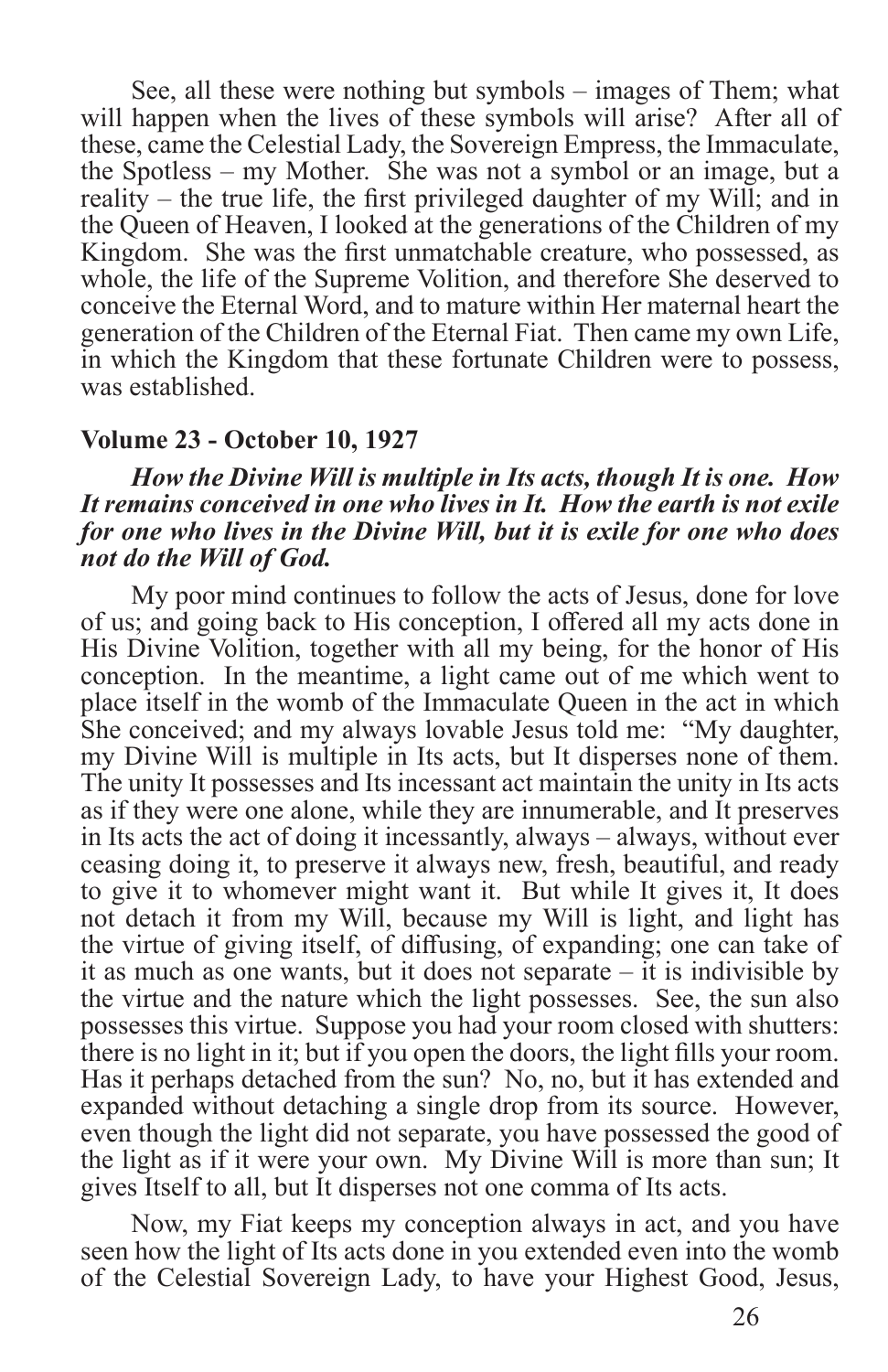See, all these were nothing but symbols – images of Them; what will happen when the lives of these symbols will arise? After all of these, came the Celestial Lady, the Sovereign Empress, the Immaculate, the Spotless – my Mother. She was not a symbol or an image, but a reality – the true life, the first privileged daughter of my Will; and in the Queen of Heaven, I looked at the generations of the Children of my Kingdom. She was the first unmatchable creature, who possessed, as whole, the life of the Supreme Volition, and therefore She deserved to conceive the Eternal Word, and to mature within Her maternal heart the generation of the Children of the Eternal Fiat. Then came my own Life, in which the Kingdom that these fortunate Children were to possess, was established.

#### **Volume 23 - October 10, 1927**

#### *How the Divine Will is multiple in Its acts, though It is one. How It remains conceived in one who lives in It. How the earth is not exile for one who lives in the Divine Will, but it is exile for one who does not do the Will of God.*

My poor mind continues to follow the acts of Jesus, done for love of us; and going back to His conception, I offered all my acts done in His Divine Volition, together with all my being, for the honor of His conception. In the meantime, a light came out of me which went to place itself in the womb of the Immaculate Queen in the act in which She conceived; and my always lovable Jesus told me: "My daughter, my Divine Will is multiple in Its acts, but It disperses none of them. The unity It possesses and Its incessant act maintain the unity in Its acts as if they were one alone, while they are innumerable, and It preserves in Its acts the act of doing it incessantly, always – always, without ever ceasing doing it, to preserve it always new, fresh, beautiful, and ready to give it to whomever might want it. But while It gives it, It does not detach it from my Will, because my Will is light, and light has the virtue of giving itself, of diffusing, of expanding; one can take of it as much as one wants, but it does not separate – it is indivisible by the virtue and the nature which the light possesses. See, the sun also possesses this virtue. Suppose you had your room closed with shutters: there is no light in it; but if you open the doors, the light fills your room. Has it perhaps detached from the sun? No, no, but it has extended and expanded without detaching a single drop from its source. However, even though the light did not separate, you have possessed the good of the light as if it were your own. My Divine Will is more than sun; It gives Itself to all, but It disperses not one comma of Its acts.

Now, my Fiat keeps my conception always in act, and you have seen how the light of Its acts done in you extended even into the womb of the Celestial Sovereign Lady, to have your Highest Good, Jesus,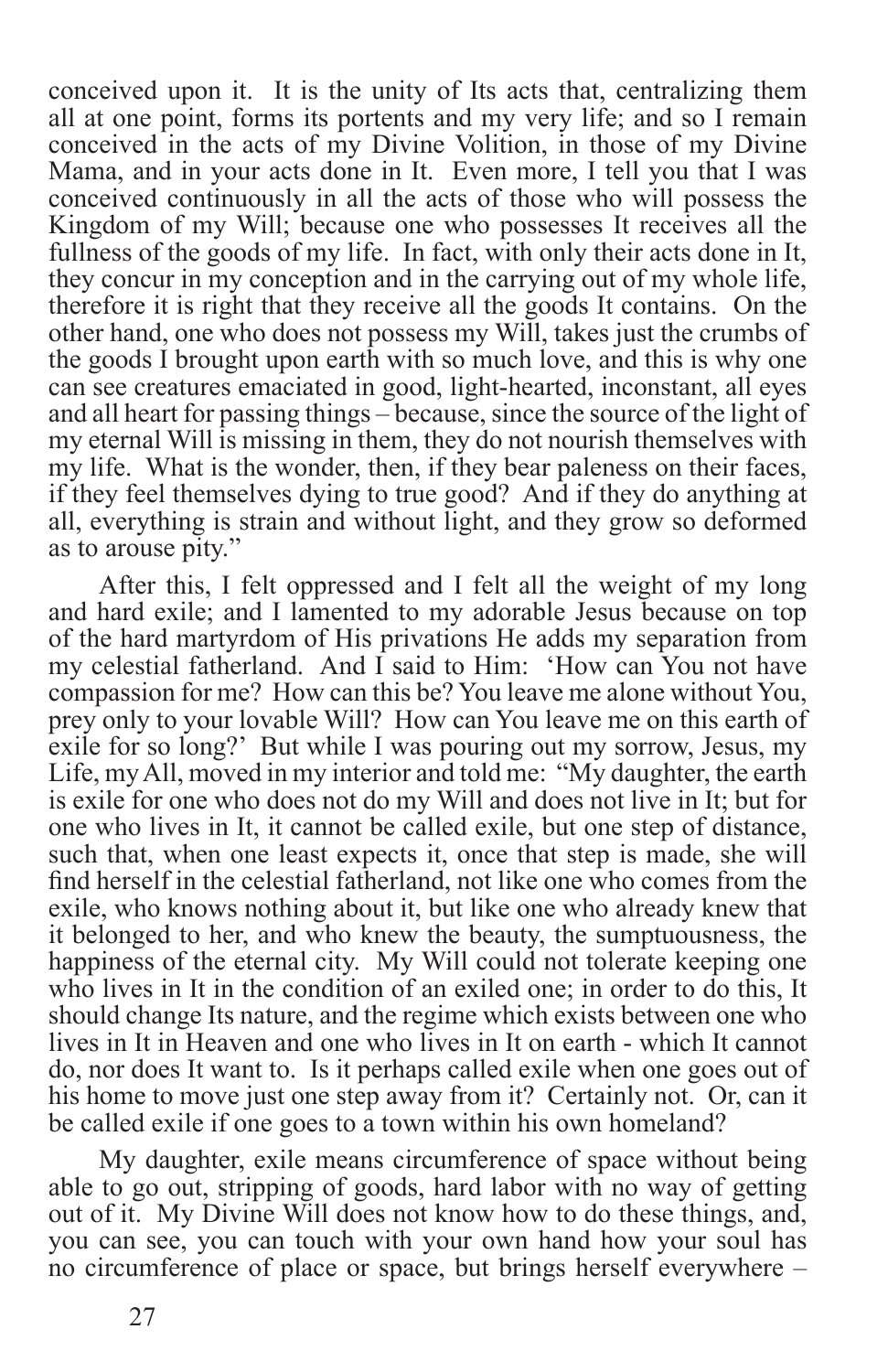conceived upon it. It is the unity of Its acts that, centralizing them all at one point, forms its portents and my very life; and so I remain conceived in the acts of my Divine Volition, in those of my Divine Mama, and in your acts done in It. Even more, I tell you that I was conceived continuously in all the acts of those who will possess the Kingdom of my Will; because one who possesses It receives all the fullness of the goods of my life. In fact, with only their acts done in It, they concur in my conception and in the carrying out of my whole life, therefore it is right that they receive all the goods It contains. On the other hand, one who does not possess my Will, takes just the crumbs of the goods I brought upon earth with so much love, and this is why one can see creatures emaciated in good, light-hearted, inconstant, all eyes and all heart for passing things – because, since the source of the light of my eternal Will is missing in them, they do not nourish themselves with my life. What is the wonder, then, if they bear paleness on their faces, if they feel themselves dying to true good? And if they do anything at all, everything is strain and without light, and they grow so deformed as to arouse pity."

After this, I felt oppressed and I felt all the weight of my long and hard exile; and I lamented to my adorable Jesus because on top of the hard martyrdom of His privations He adds my separation from my celestial fatherland. And I said to Him: 'How can You not have compassion for me? How can this be? You leave me alone without You, prey only to your lovable Will? How can You leave me on this earth of exile for so long?' But while I was pouring out my sorrow, Jesus, my Life, my All, moved in my interior and told me: "My daughter, the earth is exile for one who does not do my Will and does not live in It; but for one who lives in It, it cannot be called exile, but one step of distance, such that, when one least expects it, once that step is made, she will find herself in the celestial fatherland, not like one who comes from the exile, who knows nothing about it, but like one who already knew that it belonged to her, and who knew the beauty, the sumptuousness, the happiness of the eternal city. My Will could not tolerate keeping one who lives in It in the condition of an exiled one; in order to do this, It should change Its nature, and the regime which exists between one who lives in It in Heaven and one who lives in It on earth - which It cannot do, nor does It want to. Is it perhaps called exile when one goes out of his home to move just one step away from it? Certainly not. Or, can it be called exile if one goes to a town within his own homeland?

My daughter, exile means circumference of space without being able to go out, stripping of goods, hard labor with no way of getting out of it. My Divine Will does not know how to do these things, and, you can see, you can touch with your own hand how your soul has no circumference of place or space, but brings herself everywhere –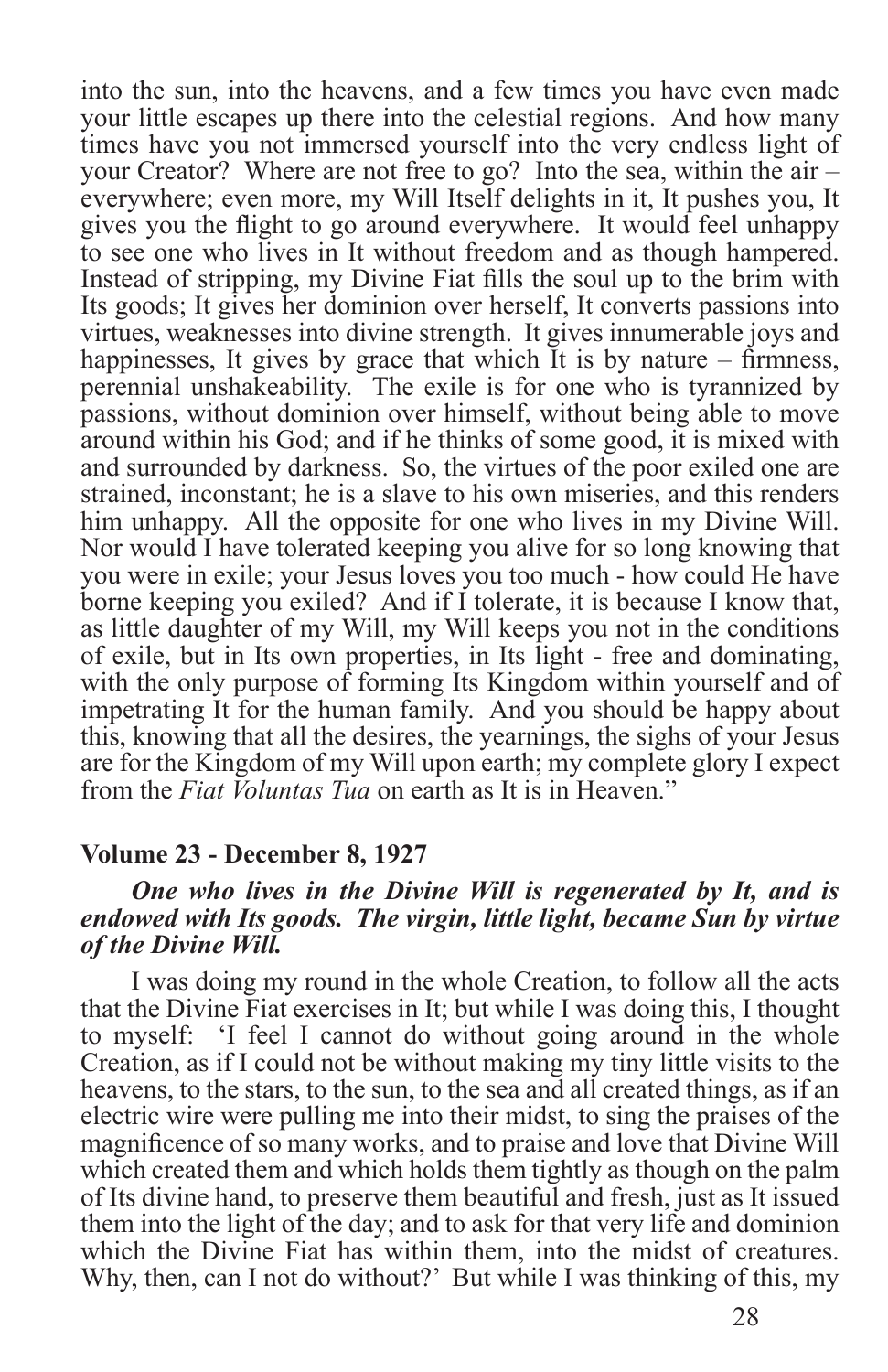into the sun, into the heavens, and a few times you have even made your little escapes up there into the celestial regions. And how many times have you not immersed yourself into the very endless light of your Creator? Where are not free to go? Into the sea, within the air – everywhere; even more, my Will Itself delights in it, It pushes you, It gives you the flight to go around everywhere. It would feel unhappy to see one who lives in It without freedom and as though hampered. Instead of stripping, my Divine Fiat fills the soul up to the brim with Its goods; It gives her dominion over herself, It converts passions into virtues, weaknesses into divine strength. It gives innumerable joys and happinesses, It gives by grace that which It is by nature – firmness, perennial unshakeability. The exile is for one who is tyrannized by passions, without dominion over himself, without being able to move around within his God; and if he thinks of some good, it is mixed with and surrounded by darkness. So, the virtues of the poor exiled one are strained, inconstant; he is a slave to his own miseries, and this renders him unhappy. All the opposite for one who lives in my Divine Will. Nor would I have tolerated keeping you alive for so long knowing that you were in exile; your Jesus loves you too much - how could He have borne keeping you exiled? And if I tolerate, it is because I know that, as little daughter of my Will, my Will keeps you not in the conditions of exile, but in Its own properties, in Its light - free and dominating, with the only purpose of forming Its Kingdom within yourself and of impetrating It for the human family. And you should be happy about this, knowing that all the desires, the yearnings, the sighs of your Jesus are for the Kingdom of my Will upon earth; my complete glory I expect from the *Fiat Voluntas Tua* on earth as It is in Heaven."

#### **Volume 23 - December 8, 1927**

#### *One who lives in the Divine Will is regenerated by It, and is endowed with Its goods. The virgin, little light, became Sun by virtue of the Divine Will.*

I was doing my round in the whole Creation, to follow all the acts that the Divine Fiat exercises in It; but while I was doing this, I thought to myself: 'I feel I cannot do without going around in the whole Creation, as if I could not be without making my tiny little visits to the heavens, to the stars, to the sun, to the sea and all created things, as if an electric wire were pulling me into their midst, to sing the praises of the magnificence of so many works, and to praise and love that Divine Will which created them and which holds them tightly as though on the palm of Its divine hand, to preserve them beautiful and fresh, just as It issued them into the light of the day; and to ask for that very life and dominion which the Divine Fiat has within them, into the midst of creatures. Why, then, can I not do without?' But while I was thinking of this, my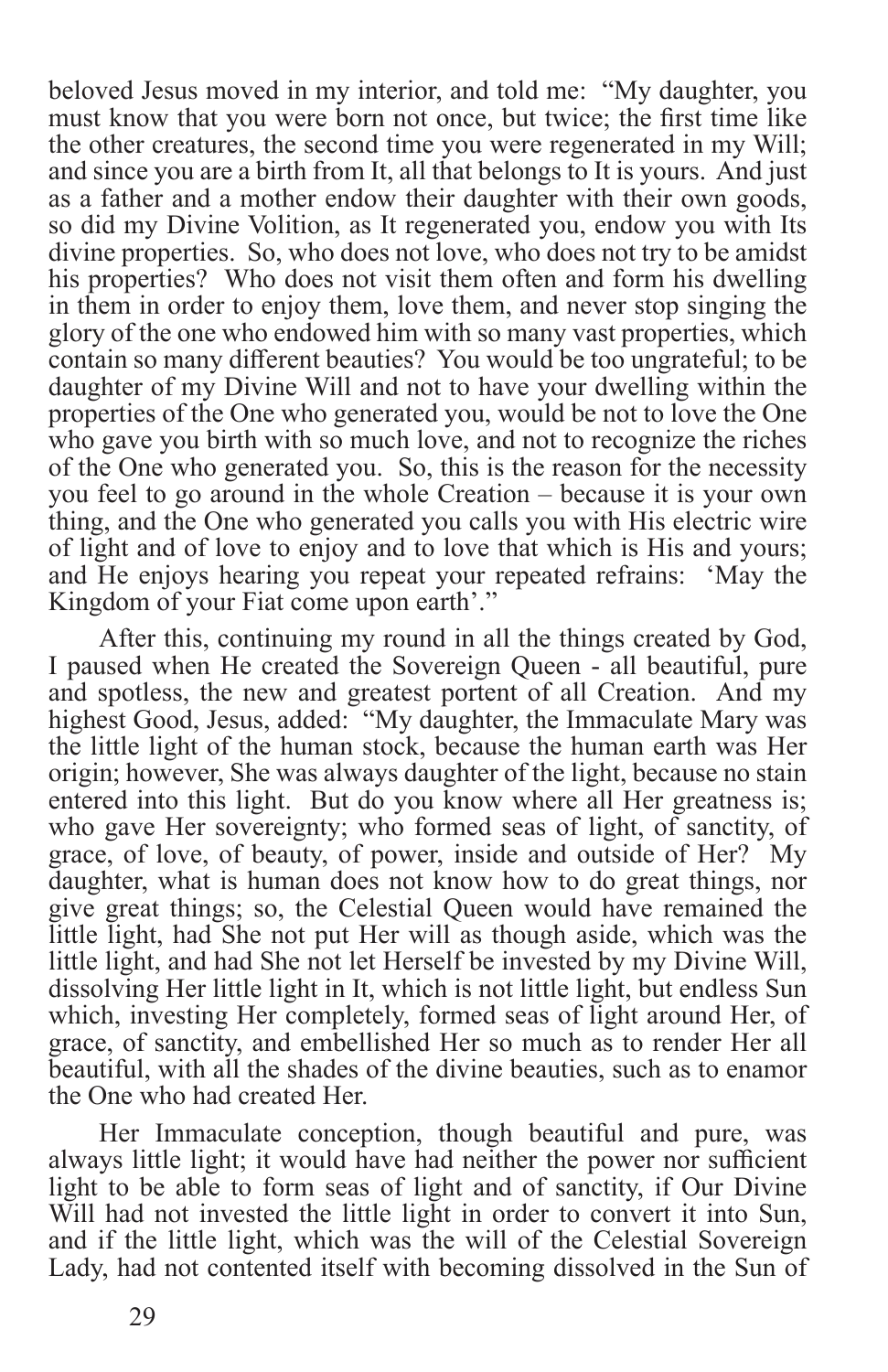beloved Jesus moved in my interior, and told me: "My daughter, you must know that you were born not once, but twice; the first time like the other creatures, the second time you were regenerated in my Will; and since you are a birth from It, all that belongs to It is yours. And just as a father and a mother endow their daughter with their own goods, so did my Divine Volition, as It regenerated you, endow you with Its divine properties. So, who does not love, who does not try to be amidst his properties? Who does not visit them often and form his dwelling in them in order to enjoy them, love them, and never stop singing the glory of the one who endowed him with so many vast properties, which contain so many different beauties? You would be too ungrateful; to be daughter of my Divine Will and not to have your dwelling within the properties of the One who generated you, would be not to love the One who gave you birth with so much love, and not to recognize the riches of the One who generated you. So, this is the reason for the necessity you feel to go around in the whole Creation – because it is your own thing, and the One who generated you calls you with His electric wire of light and of love to enjoy and to love that which is His and yours; and He enjoys hearing you repeat your repeated refrains: 'May the Kingdom of your Fiat come upon earth'."

After this, continuing my round in all the things created by God, I paused when He created the Sovereign Queen - all beautiful, pure and spotless, the new and greatest portent of all Creation. And my highest Good, Jesus, added: "My daughter, the Immaculate Mary was the little light of the human stock, because the human earth was Her origin; however, She was always daughter of the light, because no stain entered into this light. But do you know where all Her greatness is; who gave Her sovereignty; who formed seas of light, of sanctity, of grace, of love, of beauty, of power, inside and outside of Her? My daughter, what is human does not know how to do great things, nor give great things; so, the Celestial Queen would have remained the little light, had She not put Her will as though aside, which was the little light, and had She not let Herself be invested by my Divine Will, dissolving Her little light in It, which is not little light, but endless Sun which, investing Her completely, formed seas of light around Her, of grace, of sanctity, and embellished Her so much as to render Her all beautiful, with all the shades of the divine beauties, such as to enamor the One who had created Her.

Her Immaculate conception, though beautiful and pure, was always little light; it would have had neither the power nor sufficient light to be able to form seas of light and of sanctity, if Our Divine Will had not invested the little light in order to convert it into Sun, and if the little light, which was the will of the Celestial Sovereign Lady, had not contented itself with becoming dissolved in the Sun of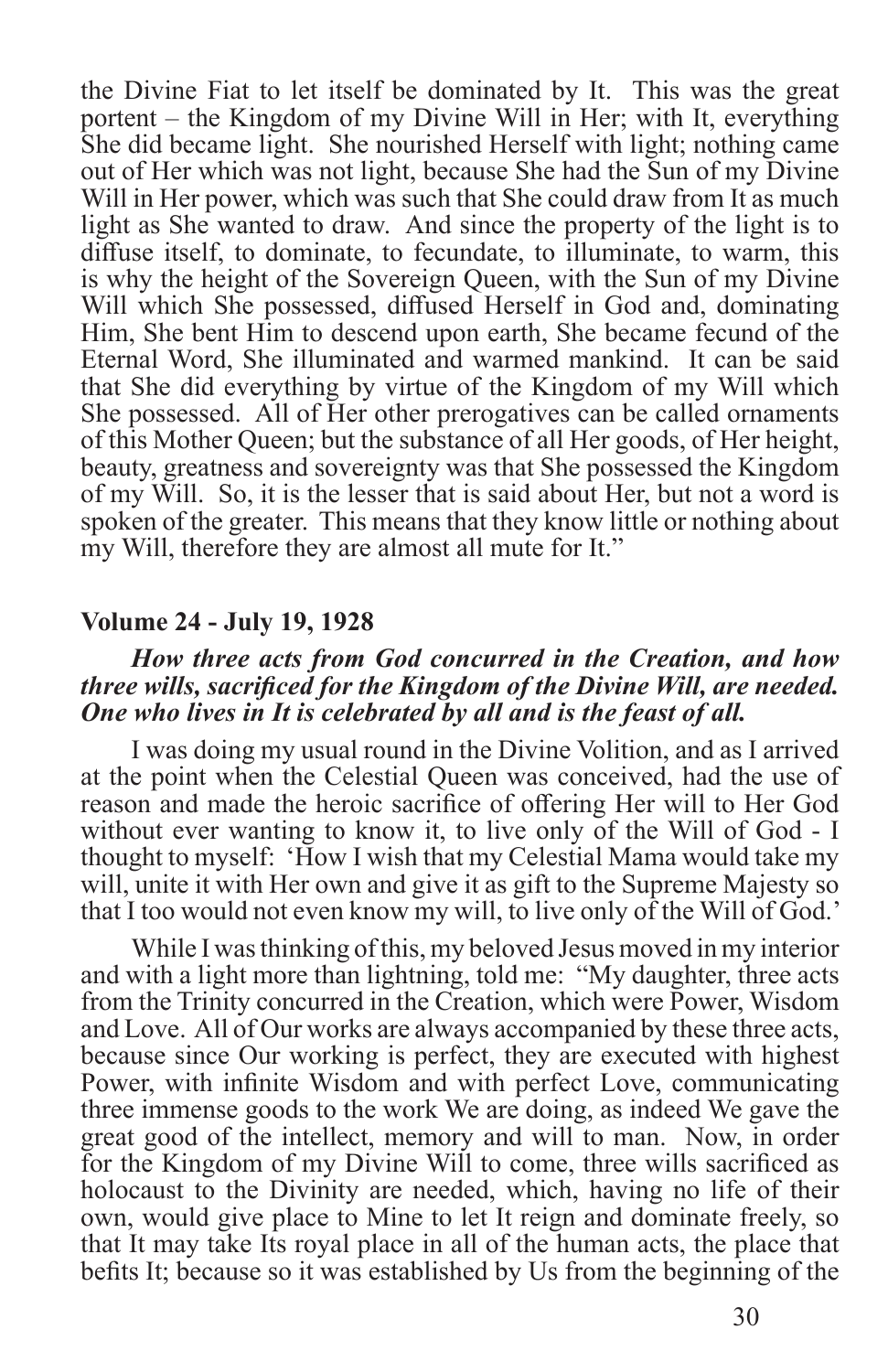the Divine Fiat to let itself be dominated by It. This was the great portent – the Kingdom of my Divine Will in Her; with It, everything She did became light. She nourished Herself with light; nothing came out of Her which was not light, because She had the Sun of my Divine Will in Her power, which was such that She could draw from It as much light as She wanted to draw. And since the property of the light is to diffuse itself, to dominate, to fecundate, to illuminate, to warm, this is why the height of the Sovereign Queen, with the Sun of my Divine Will which She possessed, diffused Herself in God and, dominating Him, She bent Him to descend upon earth, She became fecund of the Eternal Word, She illuminated and warmed mankind. It can be said that She did everything by virtue of the Kingdom of my Will which She possessed. All of Her other prerogatives can be called ornaments of this Mother Queen; but the substance of all Her goods, of Her height, beauty, greatness and sovereignty was that She possessed the Kingdom of my Will. So, it is the lesser that is said about Her, but not a word is spoken of the greater. This means that they know little or nothing about my Will, therefore they are almost all mute for It."

#### **Volume 24 - July 19, 1928**

#### *How three acts from God concurred in the Creation, and how three wills, sacrificed for the Kingdom of the Divine Will, are needed. One who lives in It is celebrated by all and is the feast of all.*

I was doing my usual round in the Divine Volition, and as I arrived at the point when the Celestial Queen was conceived, had the use of reason and made the heroic sacrifice of offering Her will to Her God without ever wanting to know it, to live only of the Will of God - I thought to myself: 'How I wish that my Celestial Mama would take my will, unite it with Her own and give it as gift to the Supreme Majesty so that I too would not even know my will, to live only of the Will of God.'

While I was thinking of this, my beloved Jesus moved in my interior and with a light more than lightning, told me: "My daughter, three acts from the Trinity concurred in the Creation, which were Power, Wisdom and Love. All of Our works are always accompanied by these three acts, because since Our working is perfect, they are executed with highest Power, with infinite Wisdom and with perfect Love, communicating three immense goods to the work We are doing, as indeed We gave the great good of the intellect, memory and will to man. Now, in order for the Kingdom of my Divine Will to come, three wills sacrificed as holocaust to the Divinity are needed, which, having no life of their own, would give place to Mine to let It reign and dominate freely, so that It may take Its royal place in all of the human acts, the place that befits It; because so it was established by Us from the beginning of the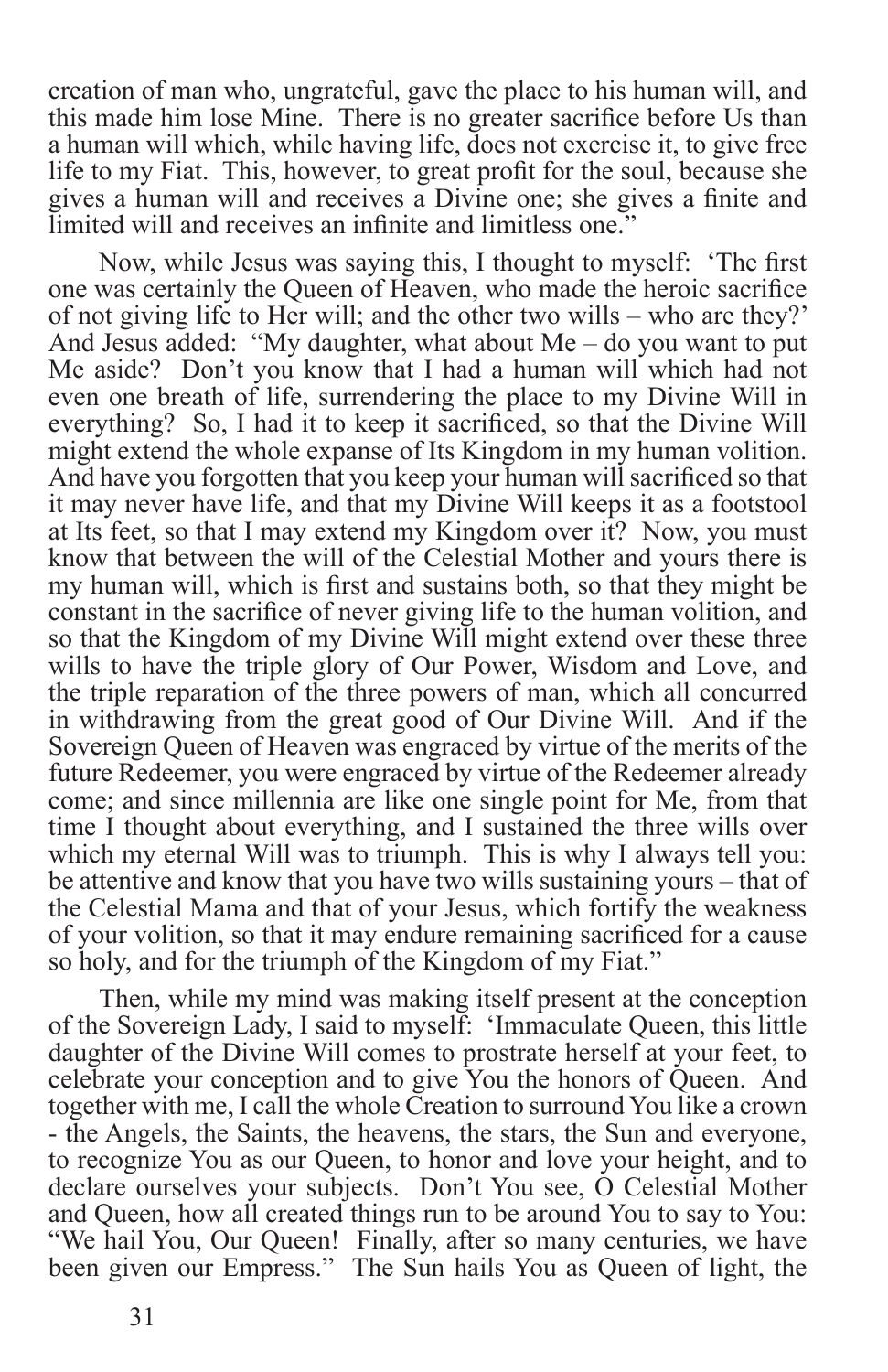creation of man who, ungrateful, gave the place to his human will, and this made him lose Mine. There is no greater sacrifice before Us than a human will which, while having life, does not exercise it, to give free life to my Fiat. This, however, to great profit for the soul, because she gives a human will and receives a Divine one; she gives a finite and limited will and receives an infinite and limitless one."

Now, while Jesus was saying this, I thought to myself: 'The first one was certainly the Queen of Heaven, who made the heroic sacrifice of not giving life to Her will; and the other two wills – who are they?' And Jesus added: "My daughter, what about Me – do you want to put Me aside? Don't you know that I had a human will which had not even one breath of life, surrendering the place to my Divine Will in everything? So, I had it to keep it sacrificed, so that the Divine Will might extend the whole expanse of Its Kingdom in my human volition. And have you forgotten that you keep your human will sacrificed so that it may never have life, and that my Divine Will keeps it as a footstool at Its feet, so that I may extend my Kingdom over it? Now, you must know that between the will of the Celestial Mother and yours there is my human will, which is first and sustains both, so that they might be constant in the sacrifice of never giving life to the human volition, and so that the Kingdom of my Divine Will might extend over these three wills to have the triple glory of Our Power, Wisdom and Love, and the triple reparation of the three powers of man, which all concurred in withdrawing from the great good of Our Divine Will. And if the Sovereign Queen of Heaven was engraced by virtue of the merits of the future Redeemer, you were engraced by virtue of the Redeemer already come; and since millennia are like one single point for Me, from that time I thought about everything, and I sustained the three wills over which my eternal Will was to triumph. This is why I always tell you: be attentive and know that you have two wills sustaining yours – that of the Celestial Mama and that of your Jesus, which fortify the weakness of your volition, so that it may endure remaining sacrificed for a cause so holy, and for the triumph of the Kingdom of my Fiat."

Then, while my mind was making itself present at the conception of the Sovereign Lady, I said to myself: 'Immaculate Queen, this little daughter of the Divine Will comes to prostrate herself at your feet, to celebrate your conception and to give You the honors of Queen. And together with me, I call the whole Creation to surround You like a crown - the Angels, the Saints, the heavens, the stars, the Sun and everyone, to recognize You as our Queen, to honor and love your height, and to declare ourselves your subjects. Don't You see, O Celestial Mother and Queen, how all created things run to be around You to say to You: "We hail You, Our Queen! Finally, after so many centuries, we have been given our Empress." The Sun hails You as Queen of light, the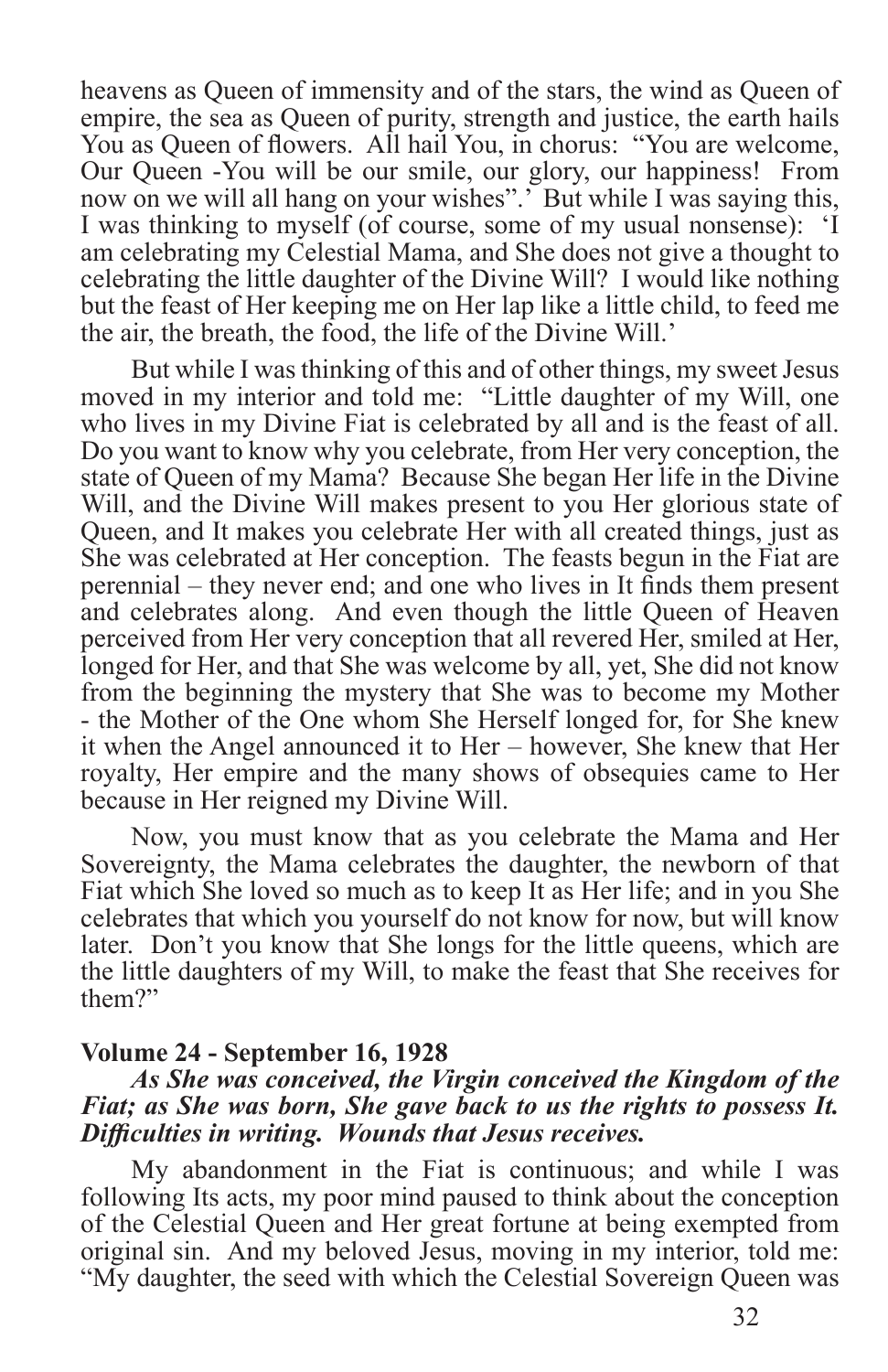heavens as Queen of immensity and of the stars, the wind as Queen of empire, the sea as Queen of purity, strength and justice, the earth hails You as Queen of flowers. All hail You, in chorus: "You are welcome, Our Queen -You will be our smile, our glory, our happiness! From now on we will all hang on your wishes".' But while I was saying this, I was thinking to myself (of course, some of my usual nonsense): 'I am celebrating my Celestial Mama, and She does not give a thought to celebrating the little daughter of the Divine Will? I would like nothing but the feast of Her keeping me on Her lap like a little child, to feed me the air, the breath, the food, the life of the Divine Will.'

But while I was thinking of this and of other things, my sweet Jesus moved in my interior and told me: "Little daughter of my Will, one who lives in my Divine Fiat is celebrated by all and is the feast of all. Do you want to know why you celebrate, from Her very conception, the state of Queen of my Mama? Because She began Her life in the Divine Will, and the Divine Will makes present to you Her glorious state of Queen, and It makes you celebrate Her with all created things, just as She was celebrated at Her conception. The feasts begun in the Fiat are perennial – they never end; and one who lives in It finds them present and celebrates along. And even though the little Queen of Heaven perceived from Her very conception that all revered Her, smiled at Her, longed for Her, and that She was welcome by all, yet, She did not know from the beginning the mystery that She was to become my Mother - the Mother of the One whom She Herself longed for, for She knew it when the Angel announced it to Her – however, She knew that Her royalty, Her empire and the many shows of obsequies came to Her because in Her reigned my Divine Will.

Now, you must know that as you celebrate the Mama and Her Sovereignty, the Mama celebrates the daughter, the newborn of that Fiat which She loved so much as to keep It as Her life; and in you She celebrates that which you yourself do not know for now, but will know later. Don't you know that She longs for the little queens, which are the little daughters of my Will, to make the feast that She receives for them?"

#### **Volume 24 - September 16, 1928**

#### *As She was conceived, the Virgin conceived the Kingdom of the Fiat; as She was born, She gave back to us the rights to possess It. Difficulties in writing. Wounds that Jesus receives.*

My abandonment in the Fiat is continuous; and while I was following Its acts, my poor mind paused to think about the conception of the Celestial Queen and Her great fortune at being exempted from original sin. And my beloved Jesus, moving in my interior, told me: "My daughter, the seed with which the Celestial Sovereign Queen was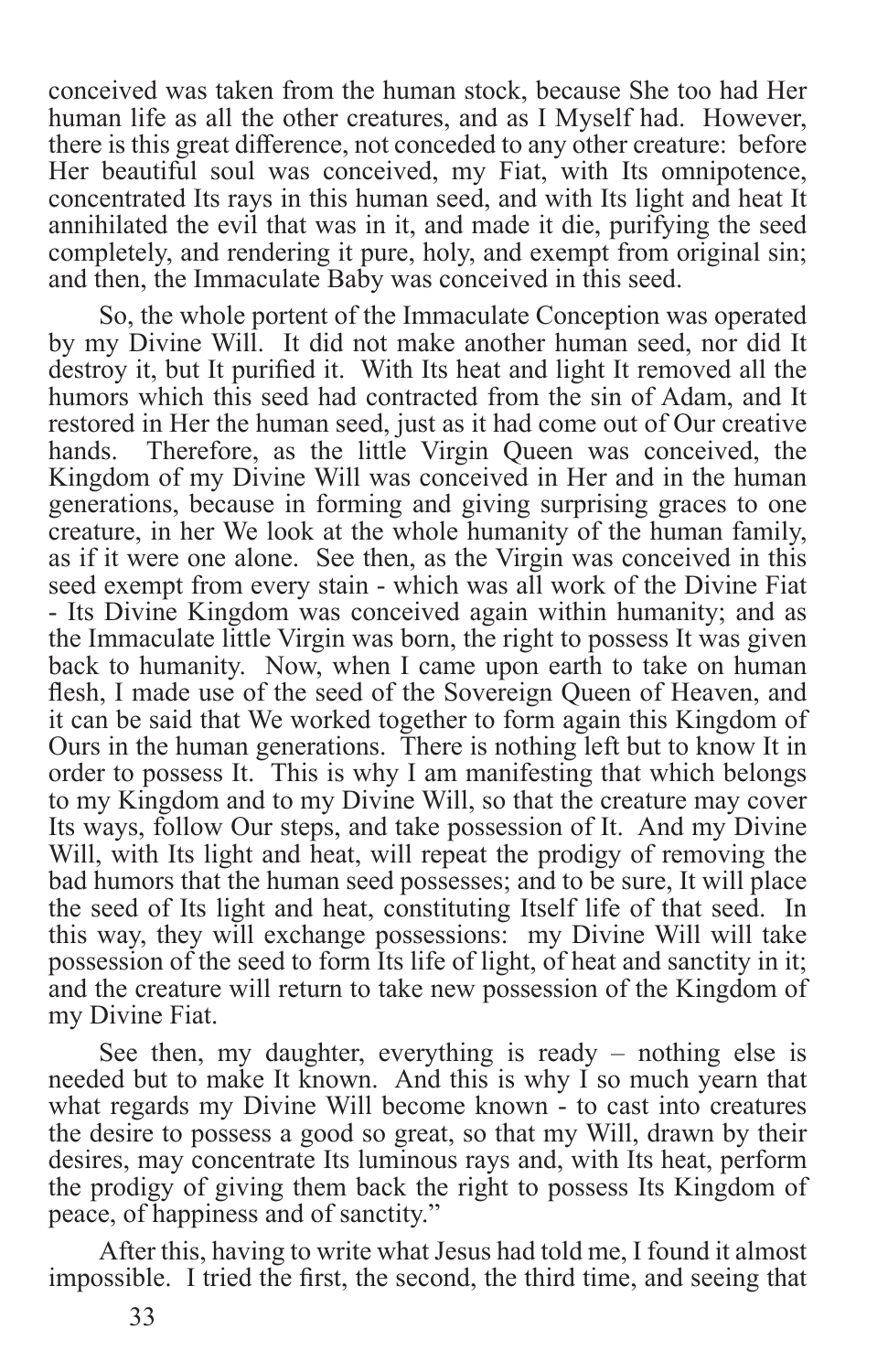conceived was taken from the human stock, because She too had Her human life as all the other creatures, and as I Myself had. However, there is this great difference, not conceded to any other creature: before Her beautiful soul was conceived, my Fiat, with Its omnipotence, concentrated Its rays in this human seed, and with Its light and heat It annihilated the evil that was in it, and made it die, purifying the seed completely, and rendering it pure, holy, and exempt from original sin; and then, the Immaculate Baby was conceived in this seed.

So, the whole portent of the Immaculate Conception was operated by my Divine Will. It did not make another human seed, nor did It destroy it, but It purified it. With Its heat and light It removed all the humors which this seed had contracted from the sin of Adam, and It restored in Her the human seed, just as it had come out of Our creative hands. Therefore, as the little Virgin Queen was conceived, the Kingdom of my Divine Will was conceived in Her and in the human generations, because in forming and giving surprising graces to one creature, in her We look at the whole humanity of the human family, as if it were one alone. See then, as the Virgin was conceived in this seed exempt from every stain - which was all work of the Divine Fiat - Its Divine Kingdom was conceived again within humanity; and as the Immaculate little Virgin was born, the right to possess It was given back to humanity. Now, when I came upon earth to take on human flesh, I made use of the seed of the Sovereign Queen of Heaven, and it can be said that We worked together to form again this Kingdom of Ours in the human generations. There is nothing left but to know It in order to possess It. This is why I am manifesting that which belongs to my Kingdom and to my Divine Will, so that the creature may cover Its ways, follow Our steps, and take possession of It. And my Divine Will, with Its light and heat, will repeat the prodigy of removing the bad humors that the human seed possesses; and to be sure, It will place the seed of Its light and heat, constituting Itself life of that seed. In this way, they will exchange possessions: my Divine Will will take possession of the seed to form Its life of light, of heat and sanctity in it; and the creature will return to take new possession of the Kingdom of my Divine Fiat.

See then, my daughter, everything is ready – nothing else is needed but to make It known. And this is why I so much yearn that what regards my Divine Will become known - to cast into creatures the desire to possess a good so great, so that my Will, drawn by their desires, may concentrate Its luminous rays and, with Its heat, perform the prodigy of giving them back the right to possess Its Kingdom of peace, of happiness and of sanctity."

After this, having to write what Jesus had told me, I found it almost impossible. I tried the first, the second, the third time, and seeing that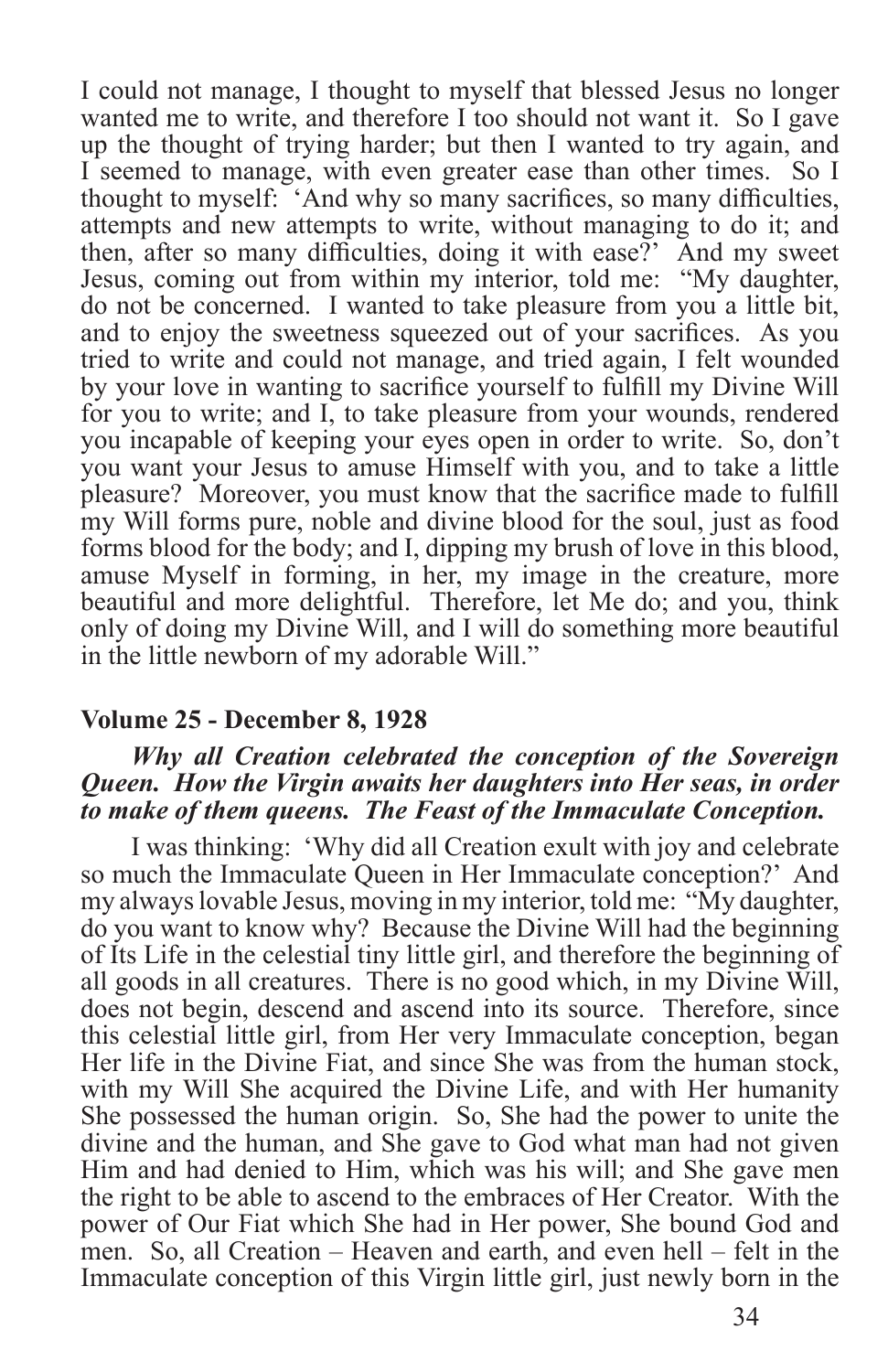I could not manage, I thought to myself that blessed Jesus no longer wanted me to write, and therefore I too should not want it. So I gave up the thought of trying harder; but then I wanted to try again, and I seemed to manage, with even greater ease than other times. So I thought to myself: 'And why so many sacrifices, so many difficulties, attempts and new attempts to write, without managing to do it; and then, after so many difficulties, doing it with ease?' And my sweet Jesus, coming out from within my interior, told me: "My daughter, do not be concerned. I wanted to take pleasure from you a little bit, and to enjoy the sweetness squeezed out of your sacrifices. As you tried to write and could not manage, and tried again, I felt wounded by your love in wanting to sacrifice yourself to fulfill my Divine Will for you to write; and I, to take pleasure from your wounds, rendered you incapable of keeping your eyes open in order to write. So, don't you want your Jesus to amuse Himself with you, and to take a little pleasure? Moreover, you must know that the sacrifice made to fulfill my Will forms pure, noble and divine blood for the soul, just as food forms blood for the body; and I, dipping my brush of love in this blood, amuse Myself in forming, in her, my image in the creature, more beautiful and more delightful. Therefore, let Me do; and you, think only of doing my Divine Will, and I will do something more beautiful in the little newborn of my adorable Will."

#### **Volume 25 - December 8, 1928**

#### *Why all Creation celebrated the conception of the Sovereign Queen. How the Virgin awaits her daughters into Her seas, in order to make of them queens. The Feast of the Immaculate Conception.*

I was thinking: 'Why did all Creation exult with joy and celebrate so much the Immaculate Queen in Her Immaculate conception?' And my always lovable Jesus, moving in my interior, told me: "My daughter, do you want to know why? Because the Divine Will had the beginning of Its Life in the celestial tiny little girl, and therefore the beginning of all goods in all creatures. There is no good which, in my Divine Will, does not begin, descend and ascend into its source. Therefore, since this celestial little girl, from Her very Immaculate conception, began Her life in the Divine Fiat, and since She was from the human stock, with my Will She acquired the Divine Life, and with Her humanity She possessed the human origin. So, She had the power to unite the divine and the human, and She gave to God what man had not given Him and had denied to Him, which was his will; and She gave men the right to be able to ascend to the embraces of Her Creator. With the power of Our Fiat which She had in Her power, She bound God and men. So, all Creation – Heaven and earth, and even hell – felt in the Immaculate conception of this Virgin little girl, just newly born in the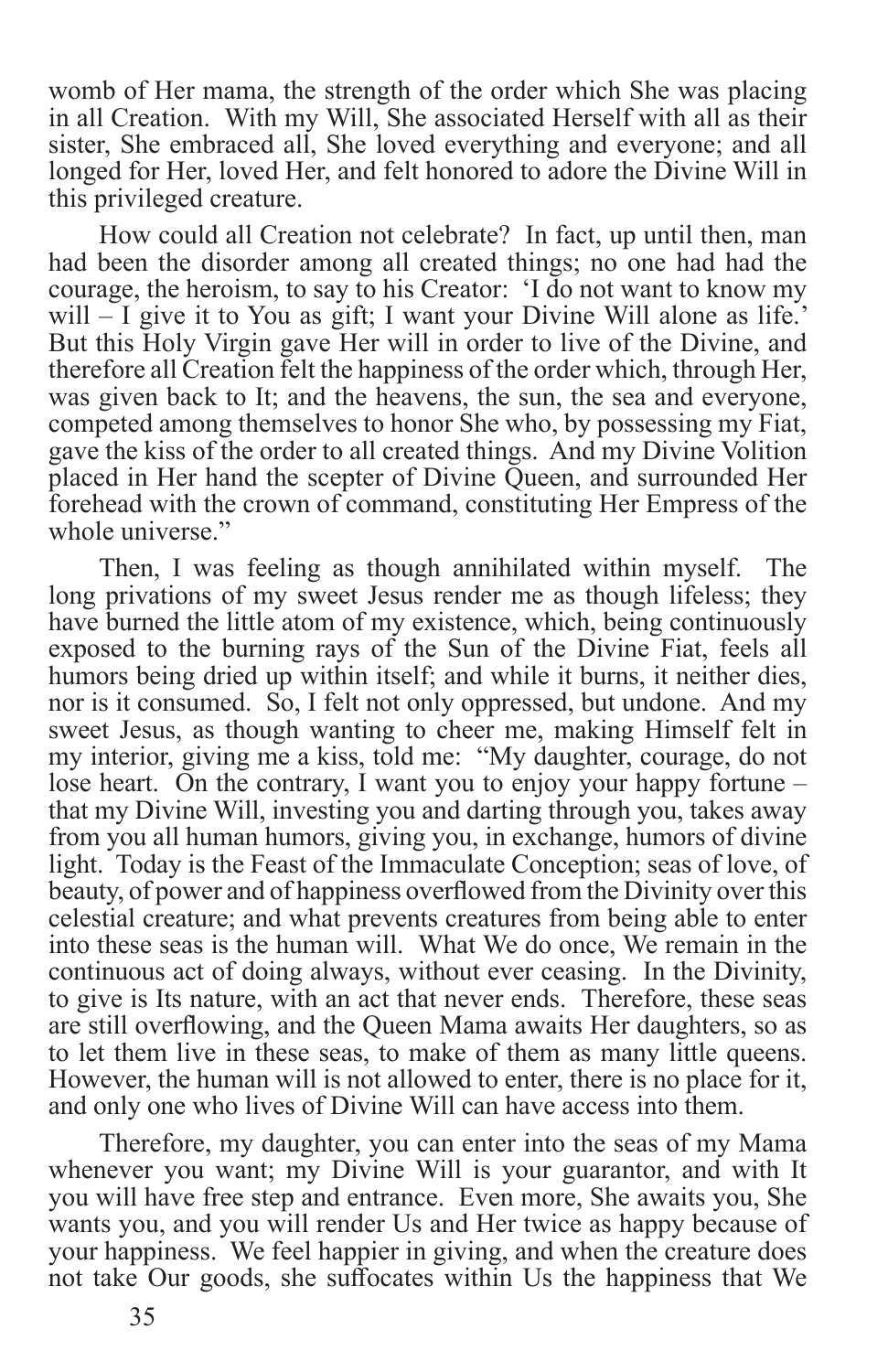womb of Her mama, the strength of the order which She was placing in all Creation. With my Will, She associated Herself with all as their sister, She embraced all, She loved everything and everyone; and all longed for Her, loved Her, and felt honored to adore the Divine Will in this privileged creature.

How could all Creation not celebrate? In fact, up until then, man had been the disorder among all created things; no one had had the courage, the heroism, to say to his Creator: 'I do not want to know my will – I give it to You as gift; I want your Divine Will alone as life.' But this Holy Virgin gave Her will in order to live of the Divine, and therefore all Creation felt the happiness of the order which, through Her, was given back to It; and the heavens, the sun, the sea and everyone, competed among themselves to honor She who, by possessing my Fiat, gave the kiss of the order to all created things. And my Divine Volition placed in Her hand the scepter of Divine Queen, and surrounded Her forehead with the crown of command, constituting Her Empress of the whole universe."

Then, I was feeling as though annihilated within myself. The long privations of my sweet Jesus render me as though lifeless; they have burned the little atom of my existence, which, being continuously exposed to the burning rays of the Sun of the Divine Fiat, feels all humors being dried up within itself; and while it burns, it neither dies, nor is it consumed. So, I felt not only oppressed, but undone. And my sweet Jesus, as though wanting to cheer me, making Himself felt in my interior, giving me a kiss, told me: "My daughter, courage, do not lose heart. On the contrary, I want you to enjoy your happy fortune – that my Divine Will, investing you and darting through you, takes away from you all human humors, giving you, in exchange, humors of divine light. Today is the Feast of the Immaculate Conception; seas of love, of beauty, of power and of happiness overflowed from the Divinity over this celestial creature; and what prevents creatures from being able to enter into these seas is the human will. What We do once, We remain in the continuous act of doing always, without ever ceasing. In the Divinity, to give is Its nature, with an act that never ends. Therefore, these seas are still overflowing, and the Queen Mama awaits Her daughters, so as to let them live in these seas, to make of them as many little queens. However, the human will is not allowed to enter, there is no place for it, and only one who lives of Divine Will can have access into them.

Therefore, my daughter, you can enter into the seas of my Mama whenever you want; my Divine Will is your guarantor, and with It you will have free step and entrance. Even more, She awaits you, She wants you, and you will render Us and Her twice as happy because of your happiness. We feel happier in giving, and when the creature does not take Our goods, she suffocates within Us the happiness that We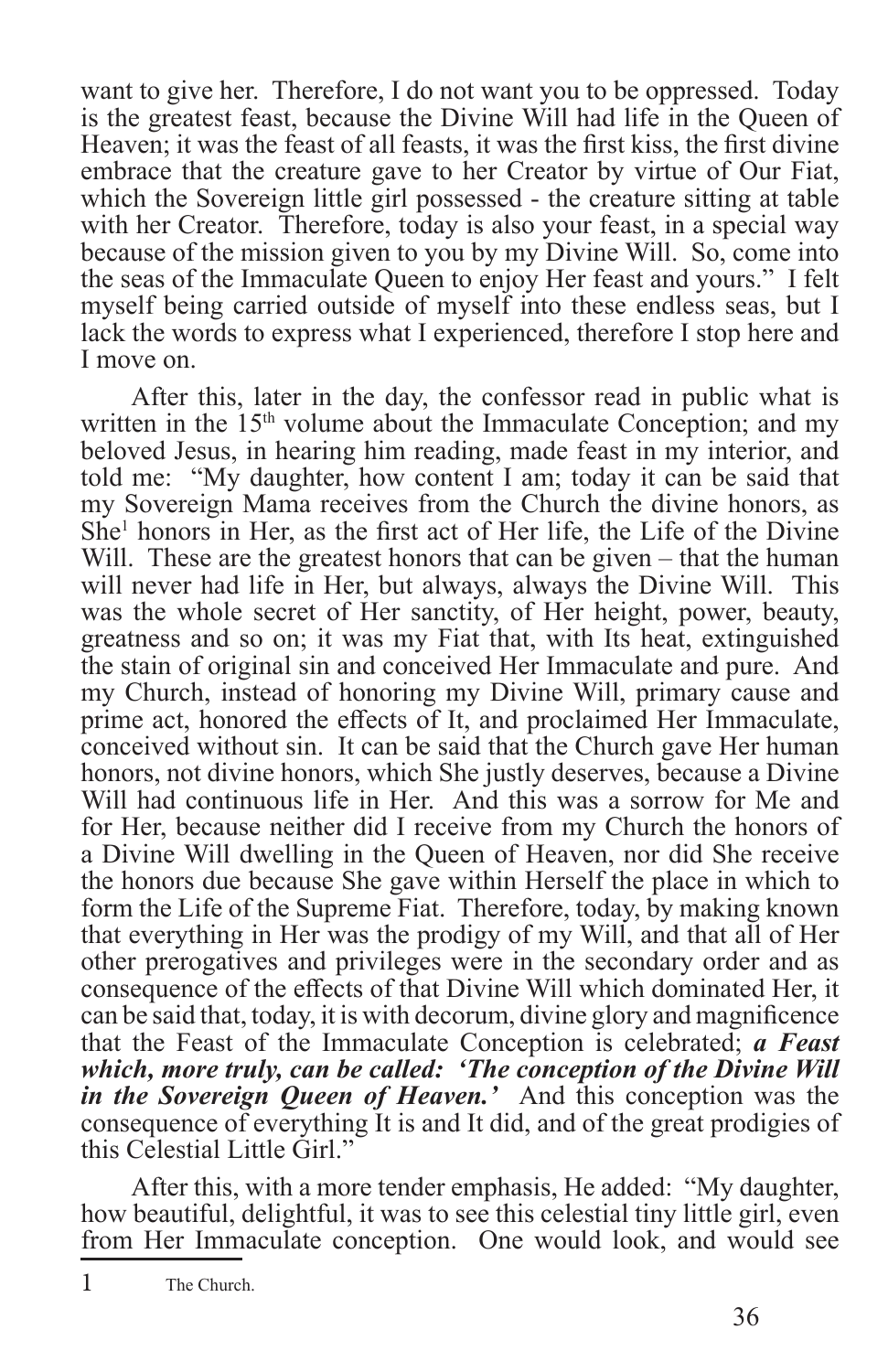want to give her. Therefore, I do not want you to be oppressed. Today is the greatest feast, because the Divine Will had life in the Queen of Heaven; it was the feast of all feasts, it was the first kiss, the first divine embrace that the creature gave to her Creator by virtue of Our Fiat, which the Sovereign little girl possessed - the creature sitting at table with her Creator. Therefore, today is also your feast, in a special way because of the mission given to you by my Divine Will. So, come into the seas of the Immaculate Queen to enjoy Her feast and yours." I felt myself being carried outside of myself into these endless seas, but I lack the words to express what I experienced, therefore I stop here and I move on.

After this, later in the day, the confessor read in public what is written in the 15<sup>th</sup> volume about the Immaculate Conception; and my beloved Jesus, in hearing him reading, made feast in my interior, and told me: "My daughter, how content I am; today it can be said that my Sovereign Mama receives from the Church the divine honors, as She<sup>1</sup> honors in Her, as the first act of Her life, the Life of the Divine Will. These are the greatest honors that can be given – that the human will never had life in Her, but always, always the Divine Will. This was the whole secret of Her sanctity, of Her height, power, beauty, greatness and so on; it was my Fiat that, with Its heat, extinguished the stain of original sin and conceived Her Immaculate and pure. And my Church, instead of honoring my Divine Will, primary cause and prime act, honored the effects of It, and proclaimed Her Immaculate, conceived without sin. It can be said that the Church gave Her human honors, not divine honors, which She justly deserves, because a Divine Will had continuous life in Her. And this was a sorrow for Me and for Her, because neither did I receive from my Church the honors of a Divine Will dwelling in the Queen of Heaven, nor did She receive the honors due because She gave within Herself the place in which to form the Life of the Supreme Fiat. Therefore, today, by making known that everything in Her was the prodigy of my Will, and that all of Her other prerogatives and privileges were in the secondary order and as consequence of the effects of that Divine Will which dominated Her, it can be said that, today, it is with decorum, divine glory and magnificence that the Feast of the Immaculate Conception is celebrated; *a Feast which, more truly, can be called: 'The conception of the Divine Will in the Sovereign Queen of Heaven.'* And this conception was the consequence of everything It is and It did, and of the great prodigies of this Celestial Little Girl."

After this, with a more tender emphasis, He added: "My daughter, how beautiful, delightful, it was to see this celestial tiny little girl, even from Her Immaculate conception. One would look, and would see

<sup>1</sup> The Church.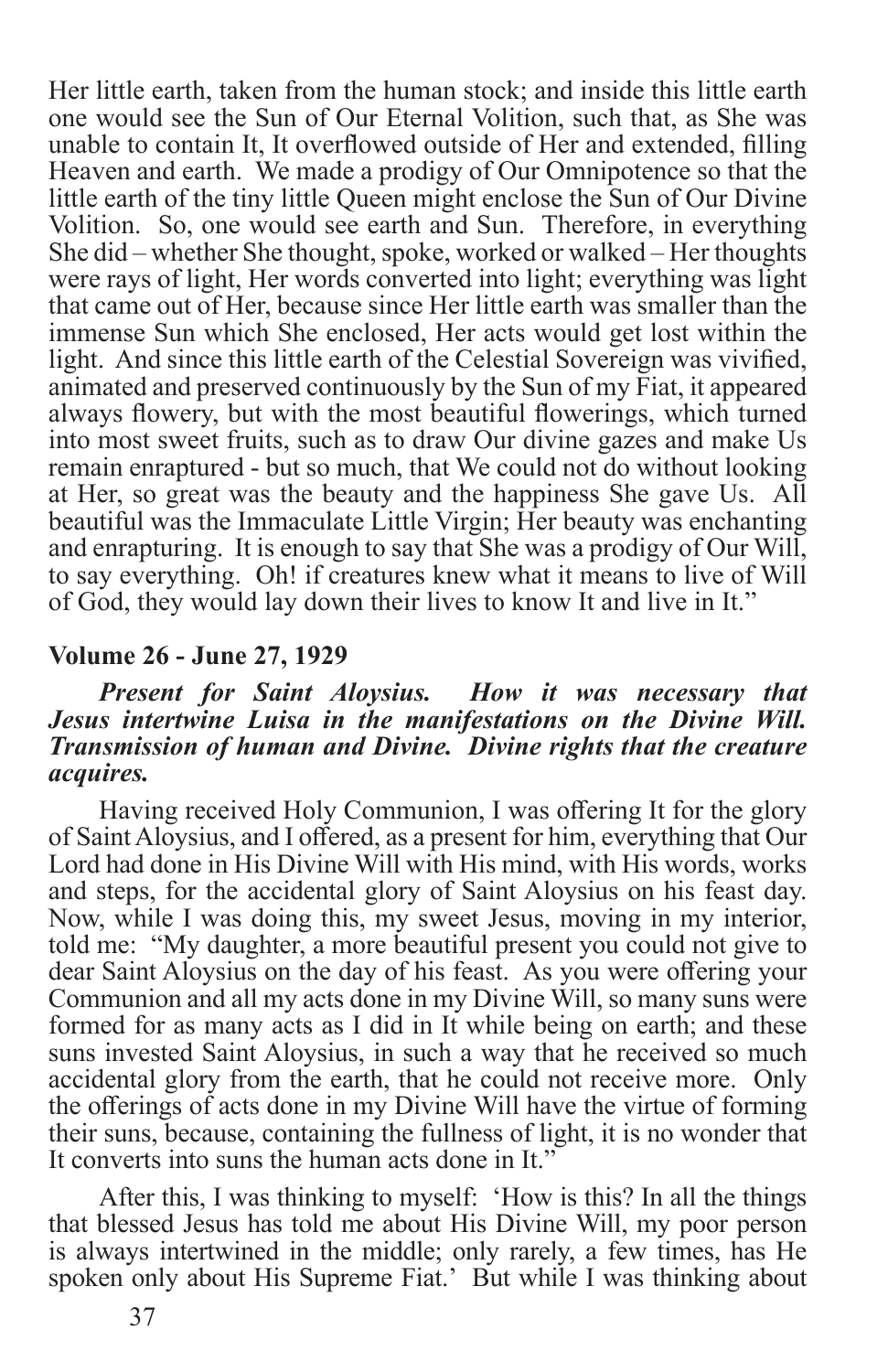Her little earth, taken from the human stock; and inside this little earth one would see the Sun of Our Eternal Volition, such that, as She was unable to contain It, It overflowed outside of Her and extended, filling Heaven and earth. We made a prodigy of Our Omnipotence so that the little earth of the tiny little Queen might enclose the Sun of Our Divine Volition. So, one would see earth and Sun. Therefore, in everything She did – whether She thought, spoke, worked or walked – Her thoughts were rays of light, Her words converted into light; everything was light that came out of Her, because since Her little earth was smaller than the immense Sun which She enclosed, Her acts would get lost within the light. And since this little earth of the Celestial Sovereign was vivified, animated and preserved continuously by the Sun of my Fiat, it appeared always flowery, but with the most beautiful flowerings, which turned into most sweet fruits, such as to draw Our divine gazes and make Us remain enraptured - but so much, that We could not do without looking at Her, so great was the beauty and the happiness She gave Us. All beautiful was the Immaculate Little Virgin; Her beauty was enchanting and enrapturing. It is enough to say that She was a prodigy of Our Will, to say everything. Oh! if creatures knew what it means to live of Will of God, they would lay down their lives to know It and live in It."

#### **Volume 26 - June 27, 1929**

#### *Present for Saint Aloysius. How it was necessary that Jesus intertwine Luisa in the manifestations on the Divine Will. Transmission of human and Divine. Divine rights that the creature acquires.*

Having received Holy Communion, I was offering It for the glory of Saint Aloysius, and I offered, as a present for him, everything that Our Lord had done in His Divine Will with His mind, with His words, works and steps, for the accidental glory of Saint Aloysius on his feast day. Now, while I was doing this, my sweet Jesus, moving in my interior, told me: "My daughter, a more beautiful present you could not give to dear Saint Aloysius on the day of his feast. As you were offering your Communion and all my acts done in my Divine Will, so many suns were formed for as many acts as I did in It while being on earth; and these suns invested Saint Aloysius, in such a way that he received so much accidental glory from the earth, that he could not receive more. Only the offerings of acts done in my Divine Will have the virtue of forming their suns, because, containing the fullness of light, it is no wonder that It converts into suns the human acts done in It."

After this, I was thinking to myself: 'How is this? In all the things that blessed Jesus has told me about His Divine Will, my poor person is always intertwined in the middle; only rarely, a few times, has He spoken only about His Supreme Fiat.' But while I was thinking about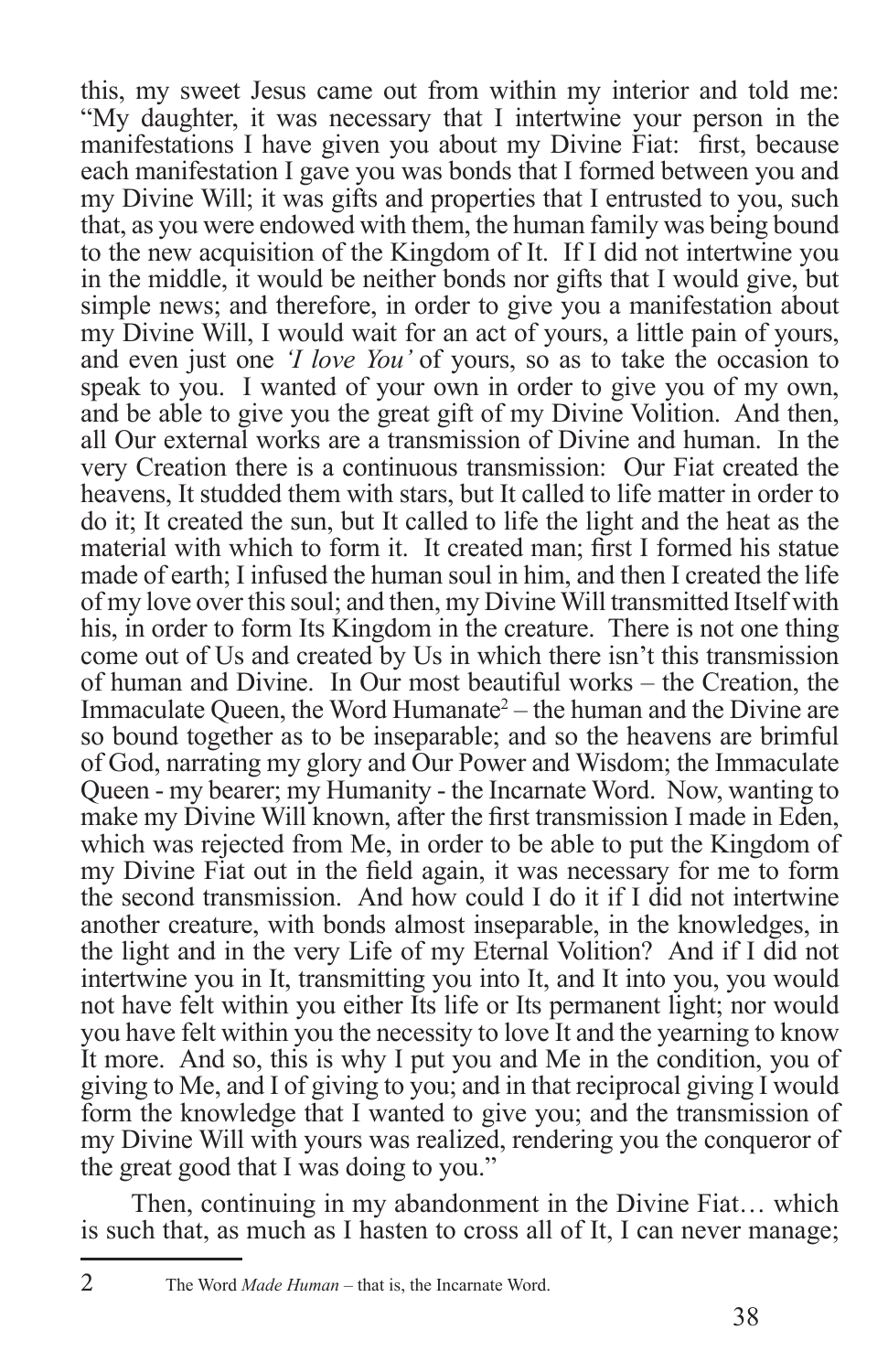this, my sweet Jesus came out from within my interior and told me: "My daughter, it was necessary that I intertwine your person in the manifestations I have given you about my Divine Fiat: first, because each manifestation I gave you was bonds that I formed between you and my Divine Will; it was gifts and properties that I entrusted to you, such that, as you were endowed with them, the human family was being bound to the new acquisition of the Kingdom of It. If I did not intertwine you in the middle, it would be neither bonds nor gifts that I would give, but simple news; and therefore, in order to give you a manifestation about my Divine Will, I would wait for an act of yours, a little pain of yours, and even just one *'I love You'* of yours, so as to take the occasion to speak to you. I wanted of your own in order to give you of my own, and be able to give you the great gift of my Divine Volition. And then, all Our external works are a transmission of Divine and human. In the very Creation there is a continuous transmission: Our Fiat created the heavens, It studded them with stars, but It called to life matter in order to do it; It created the sun, but It called to life the light and the heat as the material with which to form it. It created man; first I formed his statue made of earth; I infused the human soul in him, and then I created the life of my love over this soul; and then, my Divine Will transmitted Itself with his, in order to form Its Kingdom in the creature. There is not one thing come out of Us and created by Us in which there isn't this transmission of human and Divine. In Our most beautiful works – the Creation, the Immaculate Queen, the Word Humanate<sup>2</sup> – the human and the Divine are so bound together as to be inseparable; and so the heavens are brimful of God, narrating my glory and Our Power and Wisdom; the Immaculate Queen - my bearer; my Humanity - the Incarnate Word. Now, wanting to make my Divine Will known, after the first transmission I made in Eden, which was rejected from Me, in order to be able to put the Kingdom of my Divine Fiat out in the field again, it was necessary for me to form the second transmission. And how could I do it if I did not intertwine another creature, with bonds almost inseparable, in the knowledges, in the light and in the very Life of my Eternal Volition? And if I did not intertwine you in It, transmitting you into It, and It into you, you would not have felt within you either Its life or Its permanent light; nor would you have felt within you the necessity to love It and the yearning to know It more. And so, this is why I put you and Me in the condition, you of giving to Me, and I of giving to you; and in that reciprocal giving I would form the knowledge that I wanted to give you; and the transmission of my Divine Will with yours was realized, rendering you the conqueror of the great good that I was doing to you."

Then, continuing in my abandonment in the Divine Fiat… which is such that, as much as I hasten to cross all of It, I can never manage;

<sup>2</sup> The Word *Made Human* – that is, the Incarnate Word.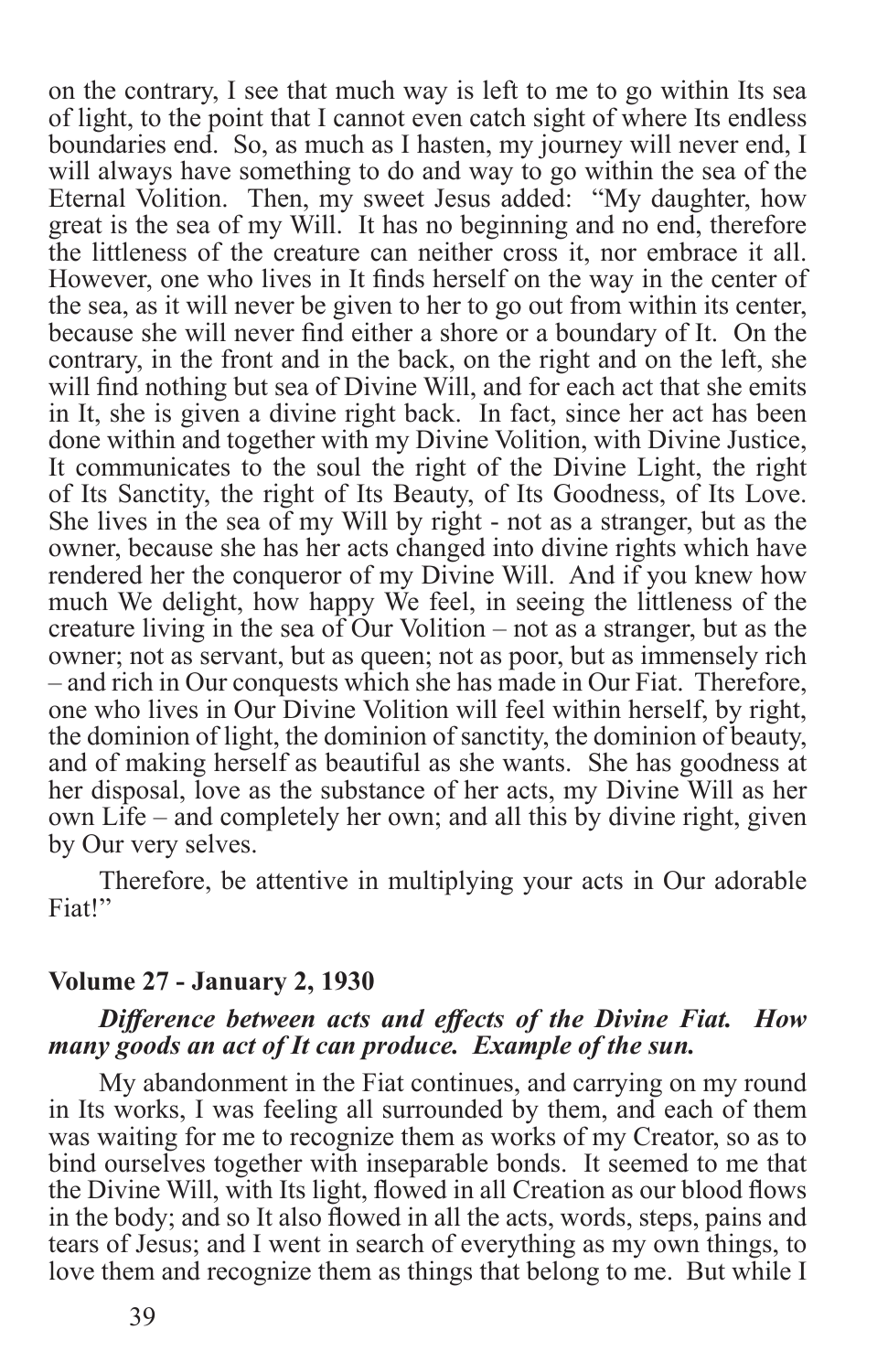on the contrary, I see that much way is left to me to go within Its sea of light, to the point that I cannot even catch sight of where Its endless boundaries end. So, as much as I hasten, my journey will never end, I will always have something to do and way to go within the sea of the Eternal Volition. Then, my sweet Jesus added: "My daughter, how great is the sea of my Will. It has no beginning and no end, therefore the littleness of the creature can neither cross it, nor embrace it all. However, one who lives in It finds herself on the way in the center of the sea, as it will never be given to her to go out from within its center, because she will never find either a shore or a boundary of It. On the contrary, in the front and in the back, on the right and on the left, she will find nothing but sea of Divine Will, and for each act that she emits in It, she is given a divine right back. In fact, since her act has been done within and together with my Divine Volition, with Divine Justice, It communicates to the soul the right of the Divine Light, the right of Its Sanctity, the right of Its Beauty, of Its Goodness, of Its Love. She lives in the sea of my Will by right - not as a stranger, but as the owner, because she has her acts changed into divine rights which have rendered her the conqueror of my Divine Will. And if you knew how much We delight, how happy We feel, in seeing the littleness of the creature living in the sea of Our Volition – not as a stranger, but as the owner; not as servant, but as queen; not as poor, but as immensely rich – and rich in Our conquests which she has made in Our Fiat. Therefore, one who lives in Our Divine Volition will feel within herself, by right, the dominion of light, the dominion of sanctity, the dominion of beauty, and of making herself as beautiful as she wants. She has goodness at her disposal, love as the substance of her acts, my Divine Will as her own Life – and completely her own; and all this by divine right, given by Our very selves.

Therefore, be attentive in multiplying your acts in Our adorable Fiat!"

#### **Volume 27 - January 2, 1930**

#### *Difference between acts and effects of the Divine Fiat. How many goods an act of It can produce. Example of the sun.*

My abandonment in the Fiat continues, and carrying on my round in Its works, I was feeling all surrounded by them, and each of them was waiting for me to recognize them as works of my Creator, so as to bind ourselves together with inseparable bonds. It seemed to me that the Divine Will, with Its light, flowed in all Creation as our blood flows in the body; and so It also flowed in all the acts, words, steps, pains and tears of Jesus; and I went in search of everything as my own things, to love them and recognize them as things that belong to me. But while I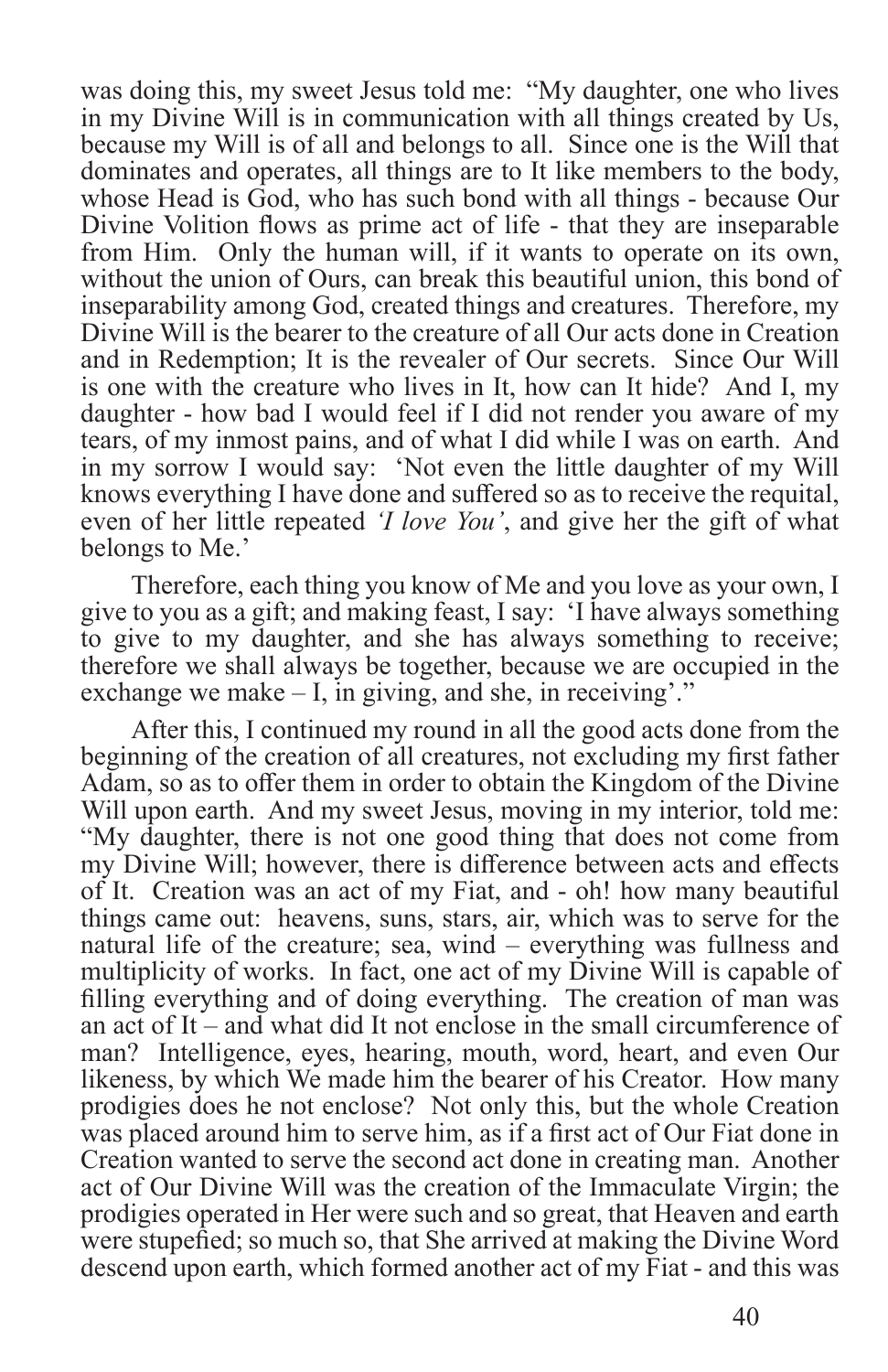was doing this, my sweet Jesus told me: "My daughter, one who lives in my Divine Will is in communication with all things created by Us, because my Will is of all and belongs to all. Since one is the Will that dominates and operates, all things are to It like members to the body, whose Head is God, who has such bond with all things - because Our Divine Volition flows as prime act of life - that they are inseparable from Him. Only the human will, if it wants to operate on its own, without the union of Ours, can break this beautiful union, this bond of inseparability among God, created things and creatures. Therefore, my Divine Will is the bearer to the creature of all Our acts done in Creation and in Redemption; It is the revealer of Our secrets. Since Our Will is one with the creature who lives in It, how can It hide? And I, my daughter - how bad I would feel if I did not render you aware of my tears, of my inmost pains, and of what I did while I was on earth. And in my sorrow I would say: 'Not even the little daughter of my Will knows everything I have done and suffered so as to receive the requital, even of her little repeated *'I love You'*, and give her the gift of what belongs to Me.'

Therefore, each thing you know of Me and you love as your own, I give to you as a gift; and making feast, I say: 'I have always something to give to my daughter, and she has always something to receive; therefore we shall always be together, because we are occupied in the exchange we make – I, in giving, and she, in receiving'."

After this, I continued my round in all the good acts done from the beginning of the creation of all creatures, not excluding my first father Adam, so as to offer them in order to obtain the Kingdom of the Divine Will upon earth. And my sweet Jesus, moving in my interior, told me: "My daughter, there is not one good thing that does not come from my Divine Will; however, there is difference between acts and effects of It. Creation was an act of my Fiat, and - oh! how many beautiful things came out: heavens, suns, stars, air, which was to serve for the natural life of the creature; sea, wind – everything was fullness and multiplicity of works. In fact, one act of my Divine Will is capable of filling everything and of doing everything. The creation of man was an act of It – and what did It not enclose in the small circumference of man? Intelligence, eyes, hearing, mouth, word, heart, and even Our likeness, by which We made him the bearer of his Creator. How many prodigies does he not enclose? Not only this, but the whole Creation was placed around him to serve him, as if a first act of Our Fiat done in Creation wanted to serve the second act done in creating man. Another act of Our Divine Will was the creation of the Immaculate Virgin; the prodigies operated in Her were such and so great, that Heaven and earth were stupefied; so much so, that She arrived at making the Divine Word descend upon earth, which formed another act of my Fiat - and this was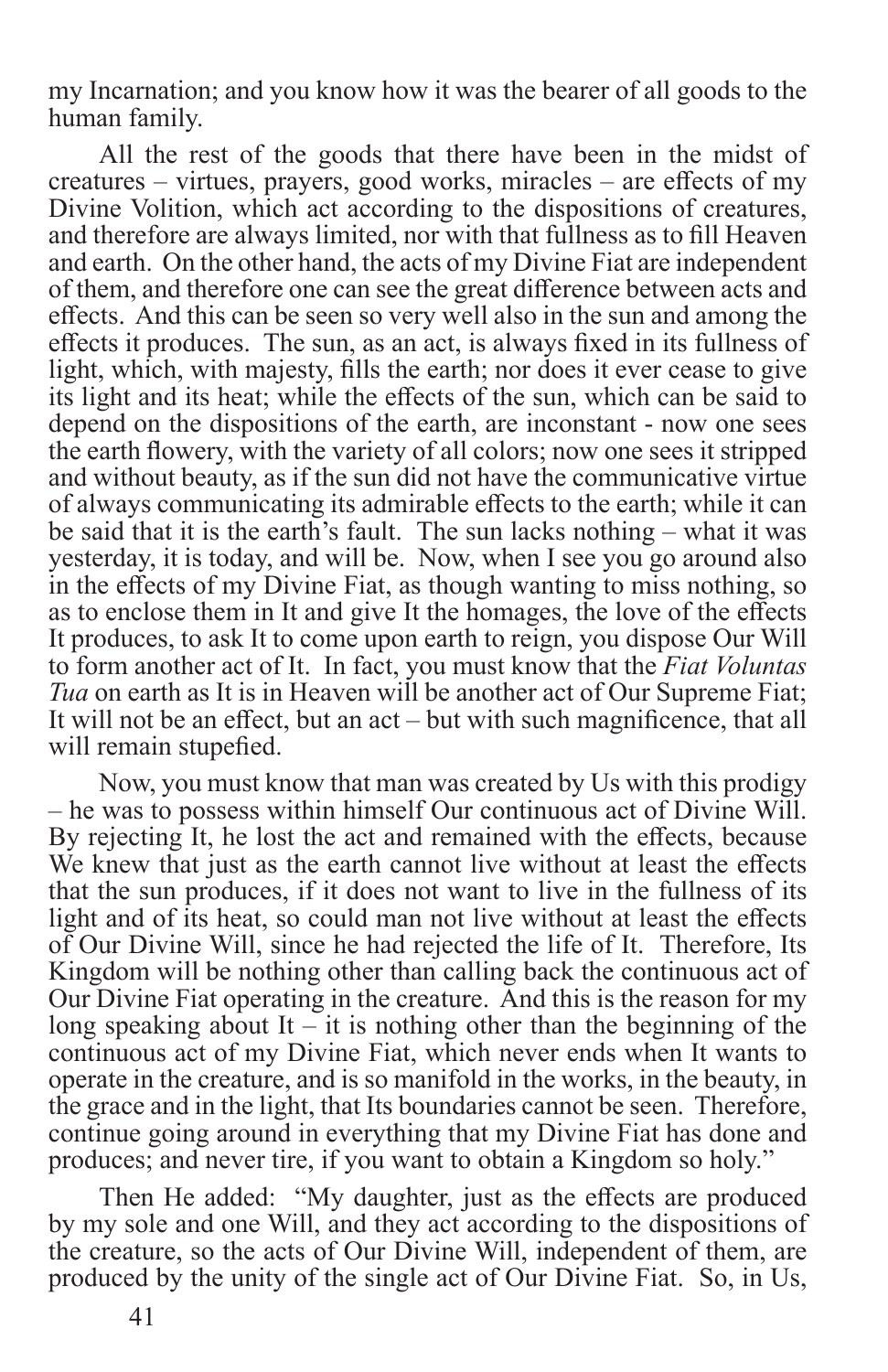my Incarnation; and you know how it was the bearer of all goods to the human family.

All the rest of the goods that there have been in the midst of creatures – virtues, prayers, good works, miracles – are effects of my Divine Volition, which act according to the dispositions of creatures, and therefore are always limited, nor with that fullness as to fill Heaven and earth. On the other hand, the acts of my Divine Fiat are independent of them, and therefore one can see the great difference between acts and effects. And this can be seen so very well also in the sun and among the effects it produces. The sun, as an act, is always fixed in its fullness of light, which, with majesty, fills the earth; nor does it ever cease to give its light and its heat; while the effects of the sun, which can be said to depend on the dispositions of the earth, are inconstant - now one sees the earth flowery, with the variety of all colors; now one sees it stripped and without beauty, as if the sun did not have the communicative virtue of always communicating its admirable effects to the earth; while it can be said that it is the earth's fault. The sun lacks nothing – what it was yesterday, it is today, and will be. Now, when I see you go around also in the effects of my Divine Fiat, as though wanting to miss nothing, so as to enclose them in It and give It the homages, the love of the effects It produces, to ask It to come upon earth to reign, you dispose Our Will to form another act of It. In fact, you must know that the *Fiat Voluntas Tua* on earth as It is in Heaven will be another act of Our Supreme Fiat; It will not be an effect, but an act – but with such magnificence, that all will remain stupefied.

Now, you must know that man was created by Us with this prodigy – he was to possess within himself Our continuous act of Divine Will. By rejecting It, he lost the act and remained with the effects, because We knew that just as the earth cannot live without at least the effects that the sun produces, if it does not want to live in the fullness of its light and of its heat, so could man not live without at least the effects of Our Divine Will, since he had rejected the life of It. Therefore, Its Kingdom will be nothing other than calling back the continuous act of Our Divine Fiat operating in the creature. And this is the reason for my long speaking about It – it is nothing other than the beginning of the continuous act of my Divine Fiat, which never ends when It wants to operate in the creature, and is so manifold in the works, in the beauty, in the grace and in the light, that Its boundaries cannot be seen. Therefore, continue going around in everything that my Divine Fiat has done and produces; and never tire, if you want to obtain a Kingdom so holy."

Then He added: "My daughter, just as the effects are produced by my sole and one Will, and they act according to the dispositions of the creature, so the acts of Our Divine Will, independent of them, are produced by the unity of the single act of Our Divine Fiat. So, in Us,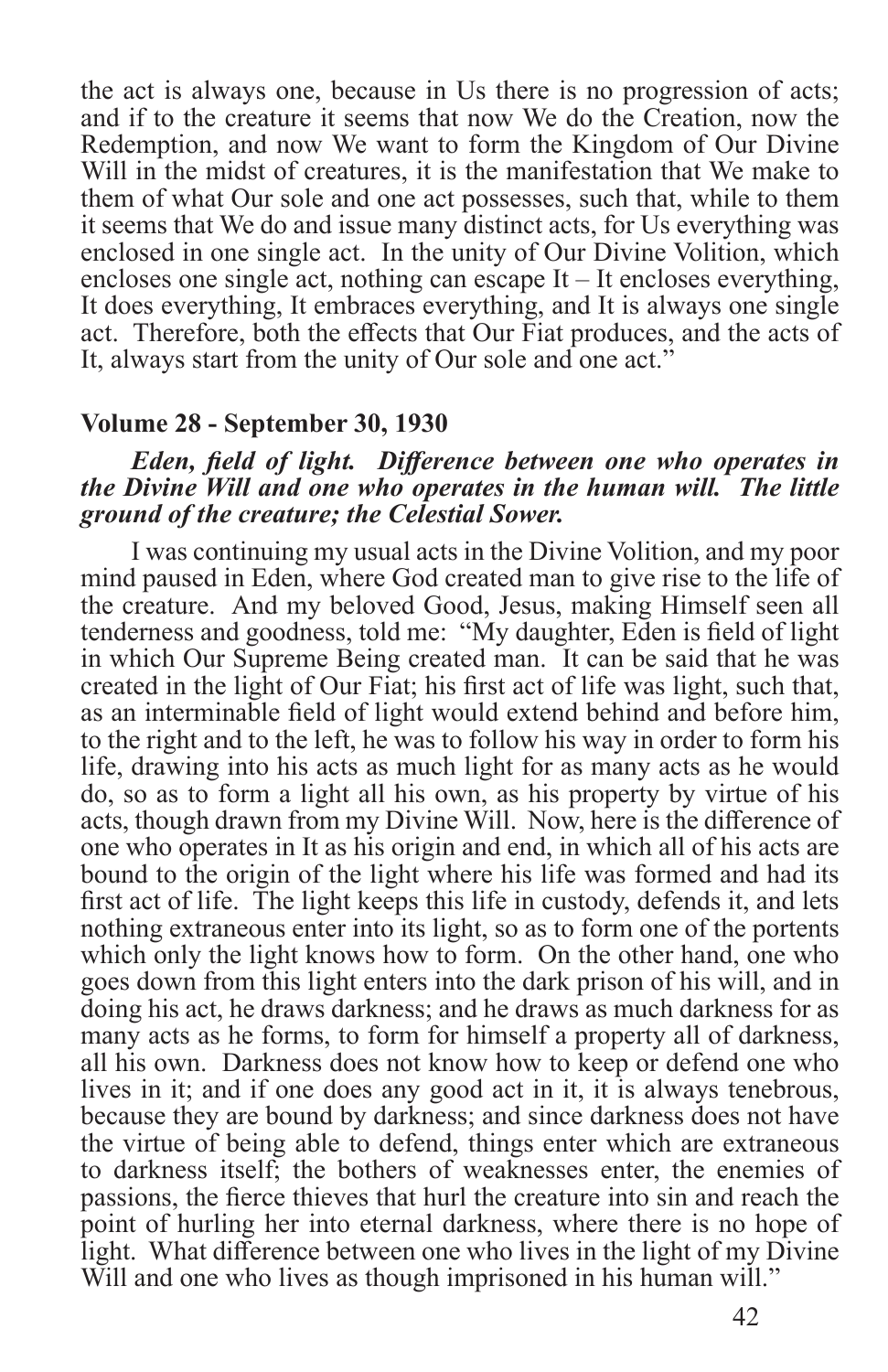the act is always one, because in Us there is no progression of acts; and if to the creature it seems that now We do the Creation, now the Redemption, and now We want to form the Kingdom of Our Divine Will in the midst of creatures, it is the manifestation that We make to them of what Our sole and one act possesses, such that, while to them it seems that We do and issue many distinct acts, for Us everything was enclosed in one single act. In the unity of Our Divine Volition, which encloses one single act, nothing can escape It – It encloses everything, It does everything, It embraces everything, and It is always one single act. Therefore, both the effects that Our Fiat produces, and the acts of It, always start from the unity of Our sole and one act."

#### **Volume 28 - September 30, 1930**

#### *Eden, field of light. Difference between one who operates in the Divine Will and one who operates in the human will. The little ground of the creature; the Celestial Sower.*

I was continuing my usual acts in the Divine Volition, and my poor mind paused in Eden, where God created man to give rise to the life of the creature. And my beloved Good, Jesus, making Himself seen all tenderness and goodness, told me: "My daughter, Eden is field of light in which Our Supreme Being created man. It can be said that he was created in the light of Our Fiat; his first act of life was light, such that, as an interminable field of light would extend behind and before him, to the right and to the left, he was to follow his way in order to form his life, drawing into his acts as much light for as many acts as he would do, so as to form a light all his own, as his property by virtue of his acts, though drawn from my Divine Will. Now, here is the difference of one who operates in It as his origin and end, in which all of his acts are bound to the origin of the light where his life was formed and had its first act of life. The light keeps this life in custody, defends it, and lets nothing extraneous enter into its light, so as to form one of the portents which only the light knows how to form. On the other hand, one who goes down from this light enters into the dark prison of his will, and in doing his act, he draws darkness; and he draws as much darkness for as many acts as he forms, to form for himself a property all of darkness, all his own. Darkness does not know how to keep or defend one who lives in it; and if one does any good act in it, it is always tenebrous, because they are bound by darkness; and since darkness does not have the virtue of being able to defend, things enter which are extraneous to darkness itself; the bothers of weaknesses enter, the enemies of passions, the fierce thieves that hurl the creature into sin and reach the point of hurling her into eternal darkness, where there is no hope of light. What difference between one who lives in the light of my Divine Will and one who lives as though imprisoned in his human will."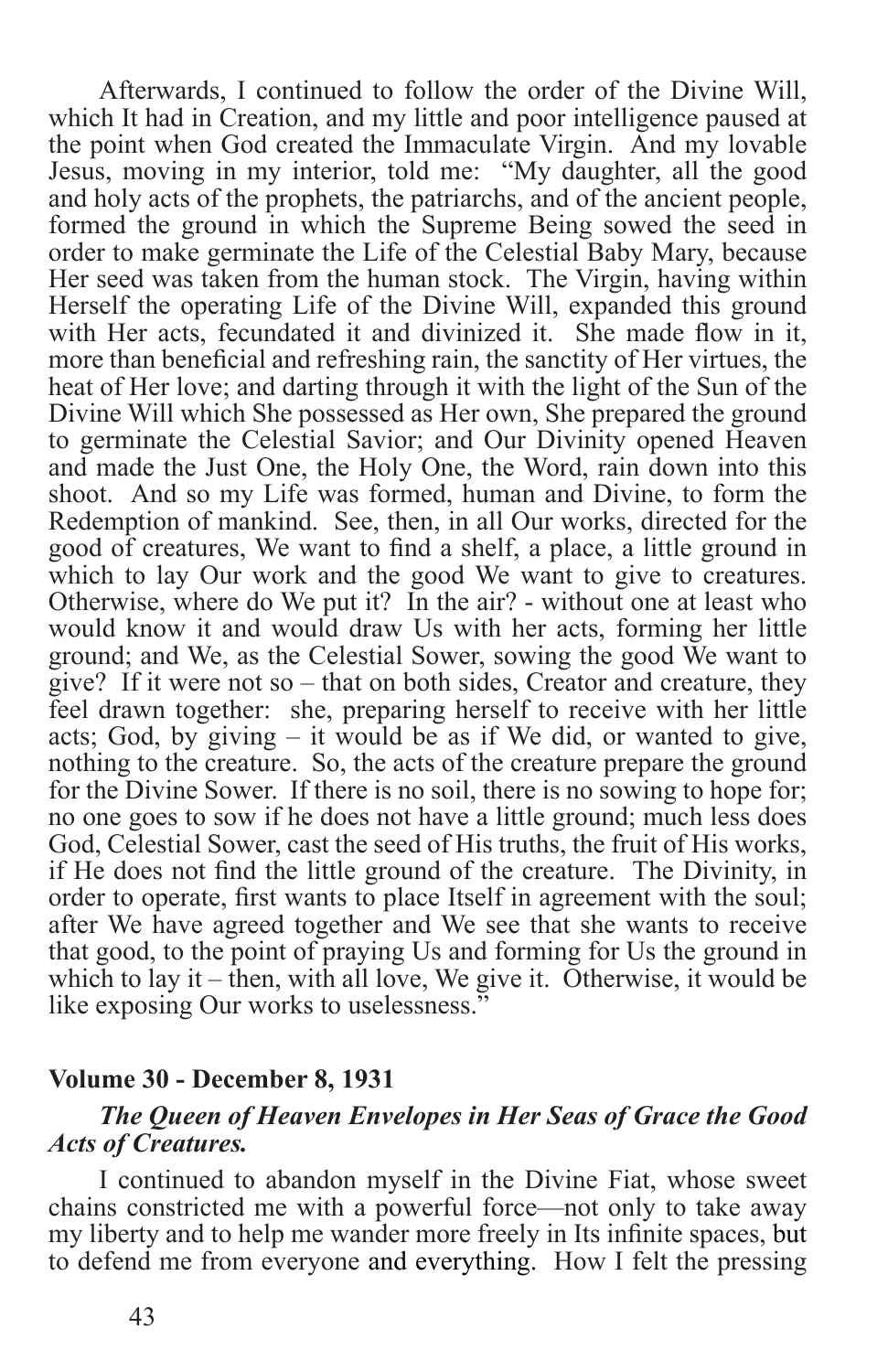Afterwards, I continued to follow the order of the Divine Will, which It had in Creation, and my little and poor intelligence paused at the point when God created the Immaculate Virgin. And my lovable Jesus, moving in my interior, told me: "My daughter, all the good and holy acts of the prophets, the patriarchs, and of the ancient people, formed the ground in which the Supreme Being sowed the seed in order to make germinate the Life of the Celestial Baby Mary, because Her seed was taken from the human stock. The Virgin, having within Herself the operating Life of the Divine Will, expanded this ground with Her acts, fecundated it and divinized it. She made flow in it, more than beneficial and refreshing rain, the sanctity of Her virtues, the heat of Her love; and darting through it with the light of the Sun of the Divine Will which She possessed as Her own, She prepared the ground to germinate the Celestial Savior; and Our Divinity opened Heaven and made the Just One, the Holy One, the Word, rain down into this shoot. And so my Life was formed, human and Divine, to form the Redemption of mankind. See, then, in all Our works, directed for the good of creatures, We want to find a shelf, a place, a little ground in which to lay Our work and the good We want to give to creatures. Otherwise, where do We put it? In the air? - without one at least who would know it and would draw Us with her acts, forming her little ground; and We, as the Celestial Sower, sowing the good We want to give? If it were not so – that on both sides, Creator and creature, they feel drawn together: she, preparing herself to receive with her little acts; God, by giving – it would be as if We did, or wanted to give, nothing to the creature. So, the acts of the creature prepare the ground for the Divine Sower. If there is no soil, there is no sowing to hope for; no one goes to sow if he does not have a little ground; much less does God, Celestial Sower, cast the seed of His truths, the fruit of His works, if He does not find the little ground of the creature. The Divinity, in order to operate, first wants to place Itself in agreement with the soul; after We have agreed together and We see that she wants to receive that good, to the point of praying Us and forming for Us the ground in which to lay it – then, with all love, We give it. Otherwise, it would be like exposing Our works to uselessness.<sup>3</sup>

#### **Volume 30 - December 8, 1931**

#### *The Queen of Heaven Envelopes in Her Seas of Grace the Good Acts of Creatures.*

I continued to abandon myself in the Divine Fiat, whose sweet chains constricted me with a powerful force—not only to take away my liberty and to help me wander more freely in Its infinite spaces, but to defend me from everyone and everything. How I felt the pressing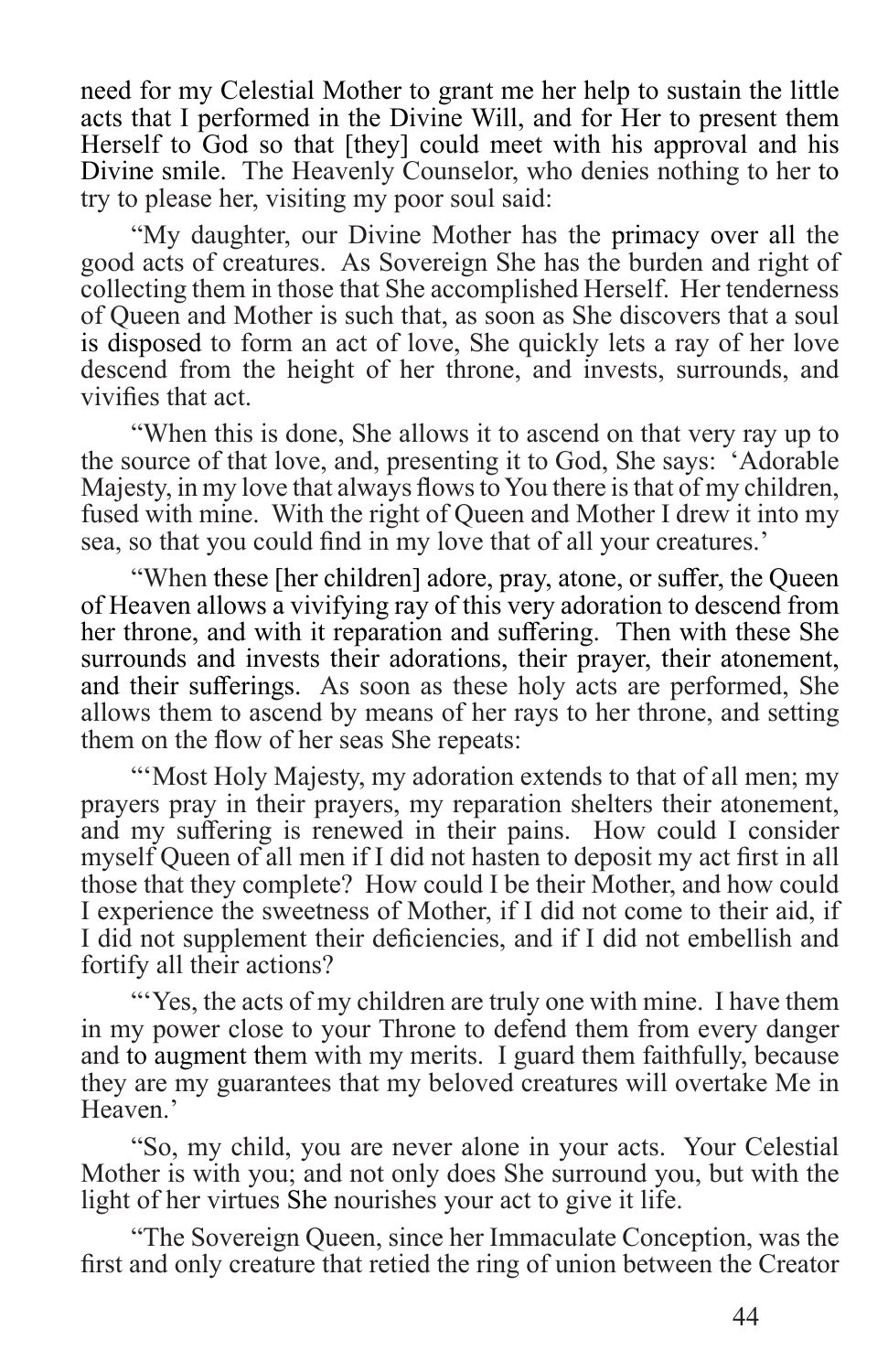need for my Celestial Mother to grant me her help to sustain the little acts that I performed in the Divine Will, and for Her to present them Herself to God so that [they] could meet with his approval and his Divine smile. The Heavenly Counselor, who denies nothing to her to try to please her, visiting my poor soul said:

"My daughter, our Divine Mother has the primacy over all the good acts of creatures. As Sovereign She has the burden and right of collecting them in those that She accomplished Herself. Her tenderness of Queen and Mother is such that, as soon as She discovers that a soul is disposed to form an act of love, She quickly lets a ray of her love descend from the height of her throne, and invests, surrounds, and vivifies that act.

"When this is done, She allows it to ascend on that very ray up to the source of that love, and, presenting it to God, She says: 'Adorable Majesty, in my love that always flows to You there is that of my children, fused with mine. With the right of Queen and Mother I drew it into my sea, so that you could find in my love that of all your creatures.'

"When these [her children] adore, pray, atone, or suffer, the Queen of Heaven allows a vivifying ray of this very adoration to descend from her throne, and with it reparation and suffering. Then with these She surrounds and invests their adorations, their prayer, their atonement, and their sufferings. As soon as these holy acts are performed, She allows them to ascend by means of her rays to her throne, and setting them on the flow of her seas She repeats:

"'Most Holy Majesty, my adoration extends to that of all men; my prayers pray in their prayers, my reparation shelters their atonement, and my suffering is renewed in their pains. How could I consider myself Queen of all men if I did not hasten to deposit my act first in all those that they complete? How could I be their Mother, and how could I experience the sweetness of Mother, if I did not come to their aid, if I did not supplement their deficiencies, and if I did not embellish and fortify all their actions?

"Yes, the acts of my children are truly one with mine. I have them in my power close to your Throne to defend them from every danger and to augment them with my merits. I guard them faithfully, because they are my guarantees that my beloved creatures will overtake Me in Heaven.'

"So, my child, you are never alone in your acts. Your Celestial Mother is with you; and not only does She surround you, but with the light of her virtues She nourishes your act to give it life.

"The Sovereign Queen, since her Immaculate Conception, was the first and only creature that retied the ring of union between the Creator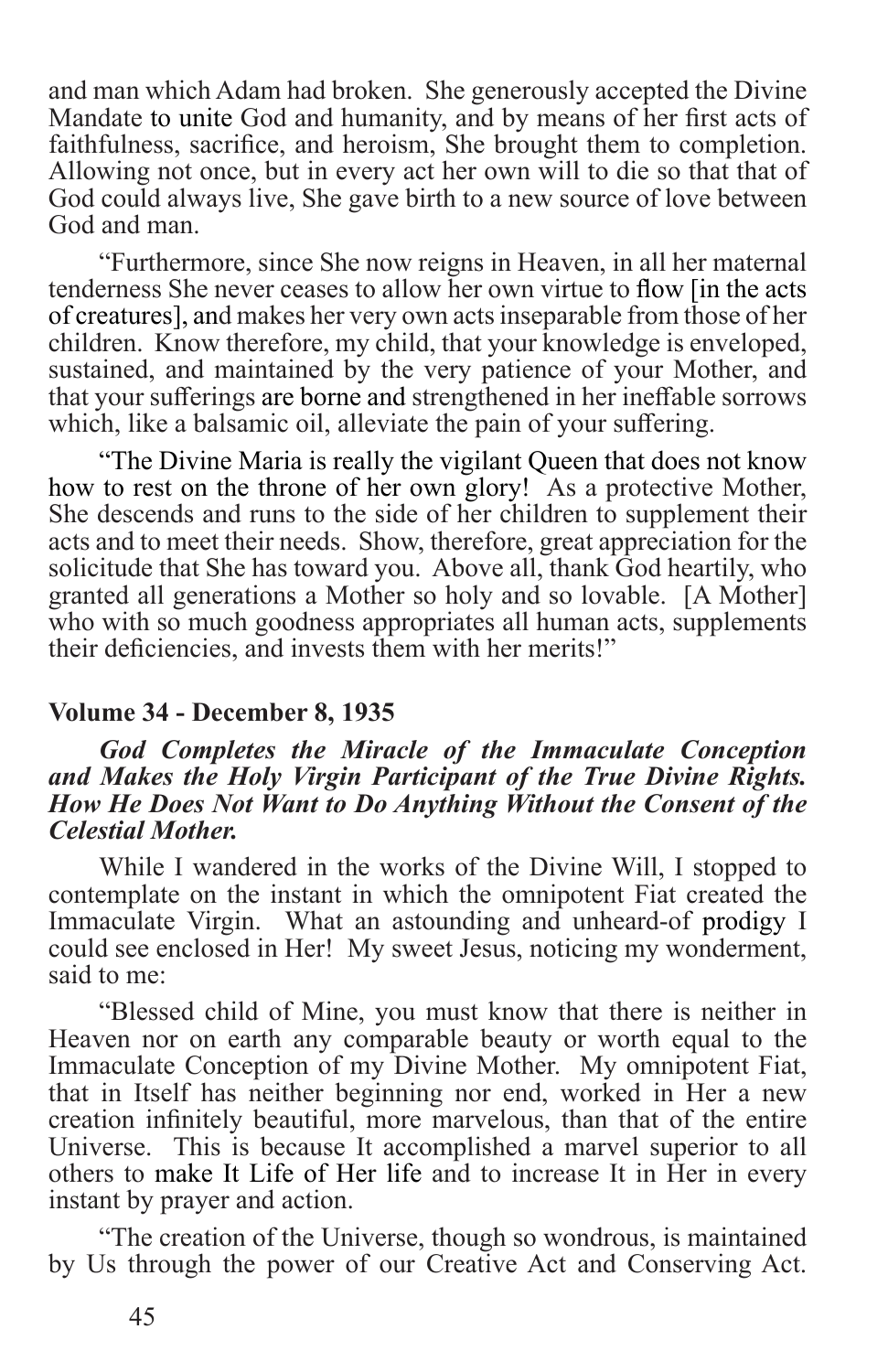and man which Adam had broken. She generously accepted the Divine Mandate to unite God and humanity, and by means of her first acts of faithfulness, sacrifice, and heroism, She brought them to completion. Allowing not once, but in every act her own will to die so that that of God could always live, She gave birth to a new source of love between God and man.

"Furthermore, since She now reigns in Heaven, in all her maternal tenderness She never ceases to allow her own virtue to flow [in the acts of creatures], and makes her very own acts inseparable from those of her children. Know therefore, my child, that your knowledge is enveloped, sustained, and maintained by the very patience of your Mother, and that your sufferings are borne and strengthened in her ineffable sorrows which, like a balsamic oil, alleviate the pain of your suffering.

"The Divine Maria is really the vigilant Queen that does not know how to rest on the throne of her own glory! As a protective Mother, She descends and runs to the side of her children to supplement their acts and to meet their needs. Show, therefore, great appreciation for the solicitude that She has toward you. Above all, thank God heartily, who granted all generations a Mother so holy and so lovable. [A Mother] who with so much goodness appropriates all human acts, supplements their deficiencies, and invests them with her merits!"

#### **Volume 34 - December 8, 1935**

#### *God Completes the Miracle of the Immaculate Conception and Makes the Holy Virgin Participant of the True Divine Rights. How He Does Not Want to Do Anything Without the Consent of the Celestial Mother.*

While I wandered in the works of the Divine Will, I stopped to contemplate on the instant in which the omnipotent Fiat created the Immaculate Virgin. What an astounding and unheard-of prodigy I could see enclosed in Her! My sweet Jesus, noticing my wonderment, said to me:

"Blessed child of Mine, you must know that there is neither in Heaven nor on earth any comparable beauty or worth equal to the Immaculate Conception of my Divine Mother. My omnipotent Fiat, that in Itself has neither beginning nor end, worked in Her a new creation infinitely beautiful, more marvelous, than that of the entire Universe. This is because It accomplished a marvel superior to all others to make It Life of Her life and to increase It in Her in every instant by prayer and action.

"The creation of the Universe, though so wondrous, is maintained by Us through the power of our Creative Act and Conserving Act.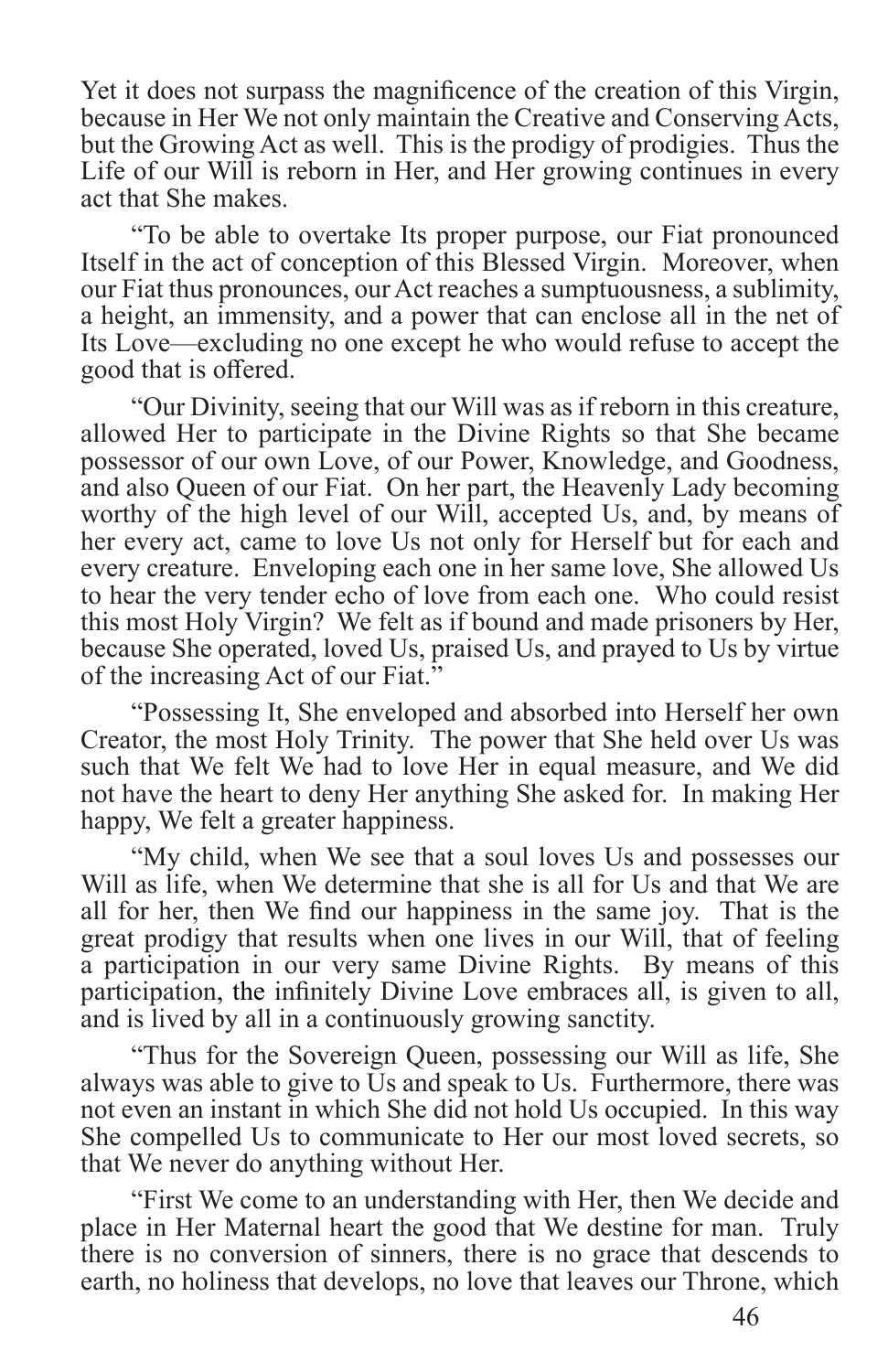Yet it does not surpass the magnificence of the creation of this Virgin, because in Her We not only maintain the Creative and Conserving Acts, but the Growing Act as well. This is the prodigy of prodigies. Thus the Life of our Will is reborn in Her, and Her growing continues in every act that She makes.

"To be able to overtake Its proper purpose, our Fiat pronounced Itself in the act of conception of this Blessed Virgin. Moreover, when our Fiat thus pronounces, our Act reaches a sumptuousness, a sublimity, a height, an immensity, and a power that can enclose all in the net of Its Love—excluding no one except he who would refuse to accept the good that is offered.

"Our Divinity, seeing that our Will was as if reborn in this creature, allowed Her to participate in the Divine Rights so that She became possessor of our own Love, of our Power, Knowledge, and Goodness, and also Queen of our Fiat. On her part, the Heavenly Lady becoming worthy of the high level of our Will, accepted Us, and, by means of her every act, came to love Us not only for Herself but for each and every creature. Enveloping each one in her same love, She allowed Us to hear the very tender echo of love from each one. Who could resist this most Holy Virgin? We felt as if bound and made prisoners by Her, because She operated, loved Us, praised Us, and prayed to Us by virtue of the increasing Act of our Fiat."

"Possessing It, She enveloped and absorbed into Herself her own Creator, the most Holy Trinity. The power that She held over Us was such that We felt We had to love Her in equal measure, and We did not have the heart to deny Her anything She asked for. In making Her happy, We felt a greater happiness.

"My child, when We see that a soul loves Us and possesses our Will as life, when We determine that she is all for Us and that We are all for her, then We find our happiness in the same joy. That is the great prodigy that results when one lives in our Will, that of feeling a participation in our very same Divine Rights. By means of this participation, the infinitely Divine Love embraces all, is given to all, and is lived by all in a continuously growing sanctity.

"Thus for the Sovereign Queen, possessing our Will as life, She always was able to give to Us and speak to Us. Furthermore, there was not even an instant in which She did not hold Us occupied. In this way She compelled Us to communicate to Her our most loved secrets, so that We never do anything without Her.

"First We come to an understanding with Her, then We decide and place in Her Maternal heart the good that We destine for man. Truly there is no conversion of sinners, there is no grace that descends to earth, no holiness that develops, no love that leaves our Throne, which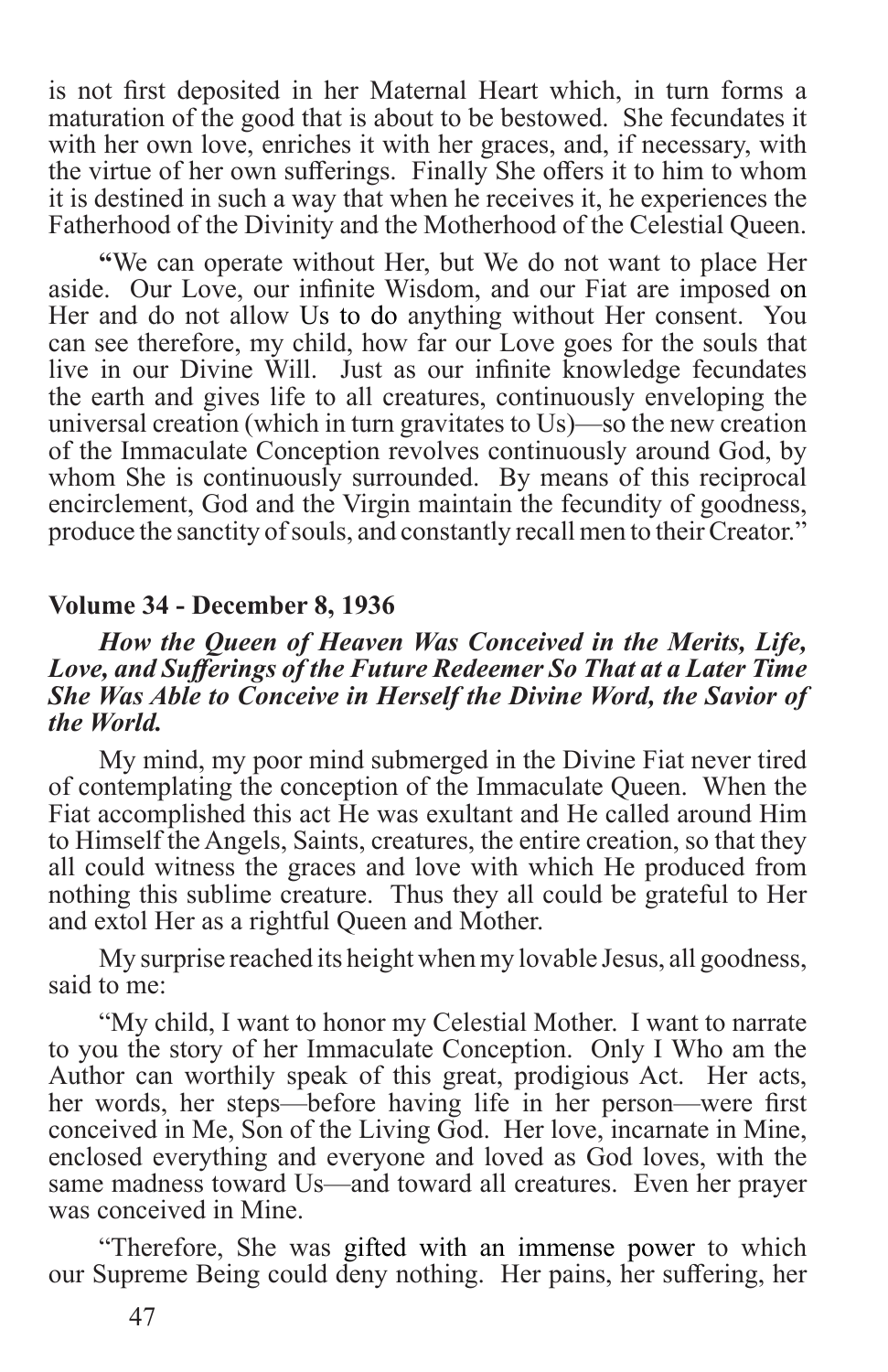is not first deposited in her Maternal Heart which, in turn forms a maturation of the good that is about to be bestowed. She fecundates it with her own love, enriches it with her graces, and, if necessary, with the virtue of her own sufferings. Finally She offers it to him to whom it is destined in such a way that when he receives it, he experiences the Fatherhood of the Divinity and the Motherhood of the Celestial Queen.

**"**We can operate without Her, but We do not want to place Her aside. Our Love, our infinite Wisdom, and our Fiat are imposed on Her and do not allow Us to do anything without Her consent. You can see therefore, my child, how far our Love goes for the souls that live in our Divine Will. Just as our infinite knowledge fecundates the earth and gives life to all creatures, continuously enveloping the universal creation (which in turn gravitates to Us)—so the new creation of the Immaculate Conception revolves continuously around God, by whom She is continuously surrounded. By means of this reciprocal encirclement, God and the Virgin maintain the fecundity of goodness, produce the sanctity of souls, and constantly recall men to their Creator."

#### **Volume 34 - December 8, 1936**

#### *How the Queen of Heaven Was Conceived in the Merits, Life, Love, and Sufferings of the Future Redeemer So That at a Later Time She Was Able to Conceive in Herself the Divine Word, the Savior of the World.*

My mind, my poor mind submerged in the Divine Fiat never tired of contemplating the conception of the Immaculate Queen. When the Fiat accomplished this act He was exultant and He called around Him to Himself the Angels, Saints, creatures, the entire creation, so that they all could witness the graces and love with which He produced from nothing this sublime creature. Thus they all could be grateful to Her and extol Her as a rightful Queen and Mother.

My surprise reached its height when my lovable Jesus, all goodness, said to me:

"My child, I want to honor my Celestial Mother. I want to narrate to you the story of her Immaculate Conception. Only I Who am the Author can worthily speak of this great, prodigious Act. Her acts, her words, her steps—before having life in her person—were first conceived in Me, Son of the Living God. Her love, incarnate in Mine, enclosed everything and everyone and loved as God loves, with the same madness toward Us—and toward all creatures. Even her prayer was conceived in Mine.

"Therefore, She was gifted with an immense power to which our Supreme Being could deny nothing. Her pains, her suffering, her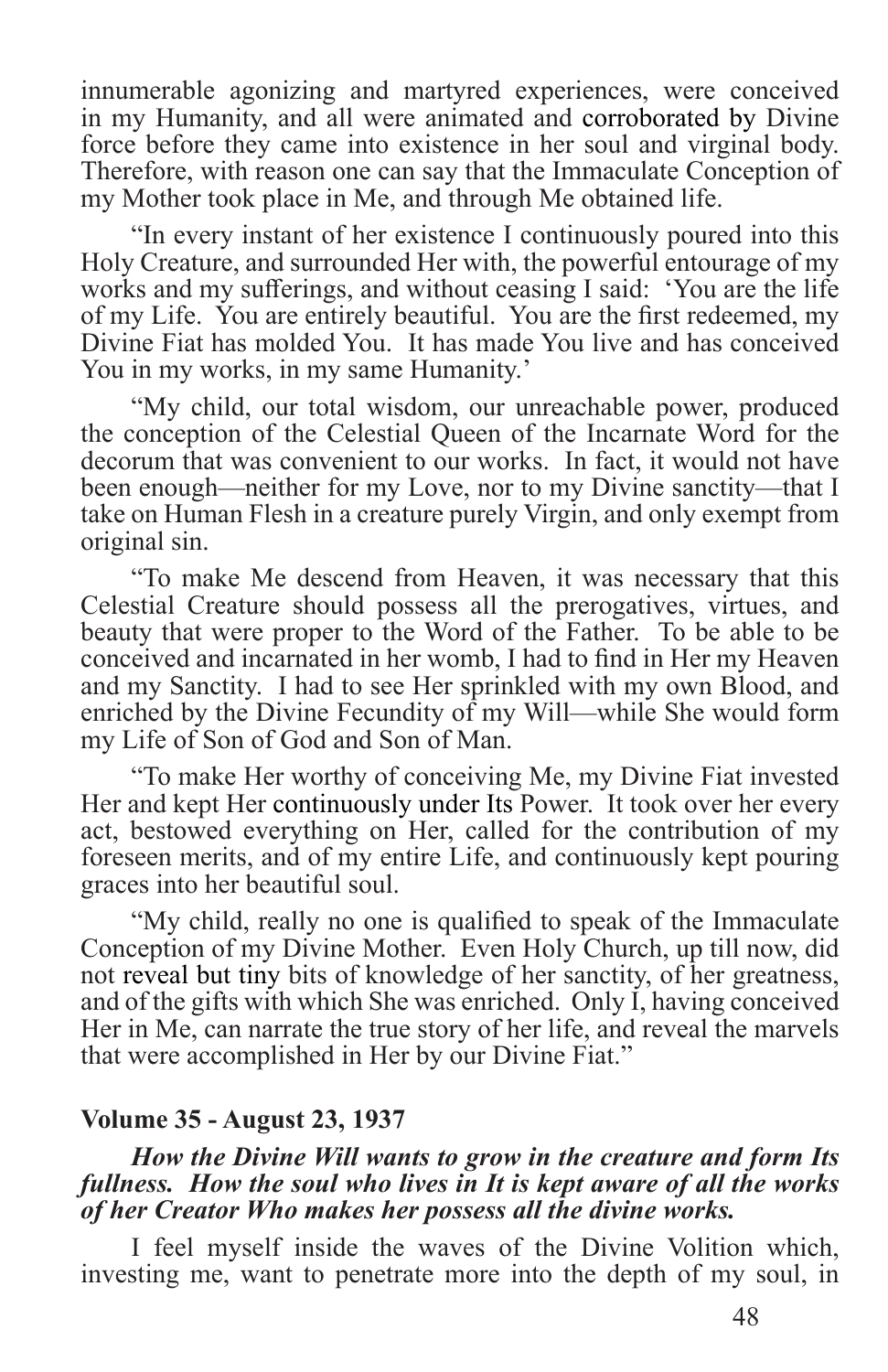innumerable agonizing and martyred experiences, were conceived in my Humanity, and all were animated and corroborated by Divine force before they came into existence in her soul and virginal body. Therefore, with reason one can say that the Immaculate Conception of my Mother took place in Me, and through Me obtained life.

"In every instant of her existence I continuously poured into this Holy Creature, and surrounded Her with, the powerful entourage of my works and my sufferings, and without ceasing I said: 'You are the life of my Life. You are entirely beautiful. You are the first redeemed, my Divine Fiat has molded You. It has made You live and has conceived You in my works, in my same Humanity.'

"My child, our total wisdom, our unreachable power, produced the conception of the Celestial Queen of the Incarnate Word for the decorum that was convenient to our works. In fact, it would not have been enough—neither for my Love, nor to my Divine sanctity—that I take on Human Flesh in a creature purely Virgin, and only exempt from original sin.

"To make Me descend from Heaven, it was necessary that this Celestial Creature should possess all the prerogatives, virtues, and beauty that were proper to the Word of the Father. To be able to be conceived and incarnated in her womb, I had to find in Her my Heaven and my Sanctity. I had to see Her sprinkled with my own Blood, and enriched by the Divine Fecundity of my Will—while She would form my Life of Son of God and Son of Man.

"To make Her worthy of conceiving Me, my Divine Fiat invested Her and kept Her continuously under Its Power. It took over her every act, bestowed everything on Her, called for the contribution of my foreseen merits, and of my entire Life, and continuously kept pouring graces into her beautiful soul.

"My child, really no one is qualified to speak of the Immaculate Conception of my Divine Mother. Even Holy Church, up till now, did not reveal but tiny bits of knowledge of her sanctity, of her greatness, and of the gifts with which She was enriched. Only I, having conceived Her in Me, can narrate the true story of her life, and reveal the marvels that were accomplished in Her by our Divine Fiat."

#### **Volume 35 - August 23, 1937**

#### *How the Divine Will wants to grow in the creature and form Its fullness. How the soul who lives in It is kept aware of all the works of her Creator Who makes her possess all the divine works.*

I feel myself inside the waves of the Divine Volition which, investing me, want to penetrate more into the depth of my soul, in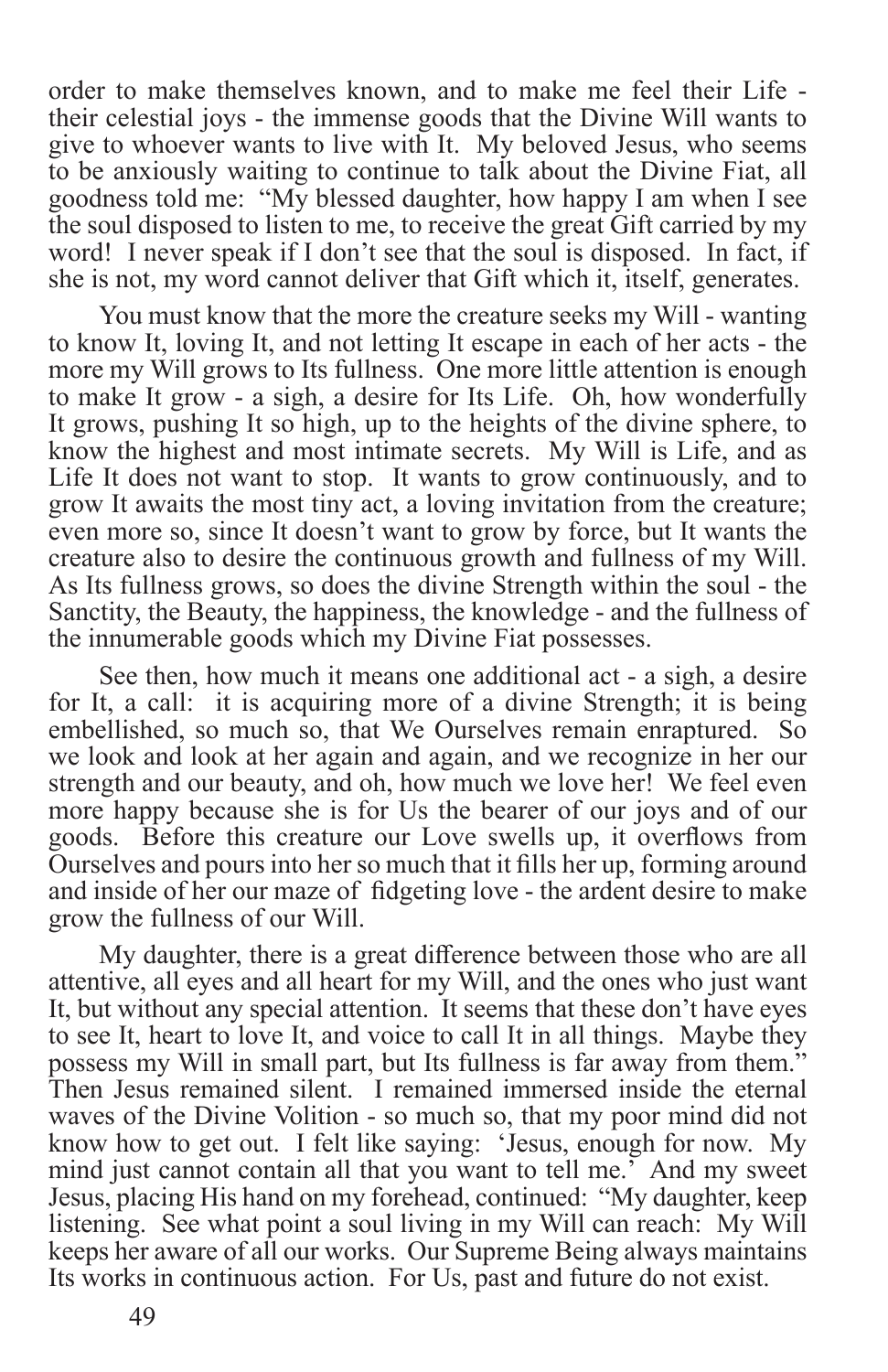order to make themselves known, and to make me feel their Life their celestial joys - the immense goods that the Divine Will wants to give to whoever wants to live with It. My beloved Jesus, who seems to be anxiously waiting to continue to talk about the Divine Fiat, all goodness told me: "My blessed daughter, how happy I am when I see the soul disposed to listen to me, to receive the great Gift carried by my word! I never speak if I don't see that the soul is disposed. In fact, if she is not, my word cannot deliver that Gift which it, itself, generates.

You must know that the more the creature seeks my Will - wanting to know It, loving It, and not letting It escape in each of her acts - the more my Will grows to Its fullness. One more little attention is enough to make It grow - a sigh, a desire for Its Life. Oh, how wonderfully It grows, pushing It so high, up to the heights of the divine sphere, to know the highest and most intimate secrets. My Will is Life, and as Life It does not want to stop. It wants to grow continuously, and to grow It awaits the most tiny act, a loving invitation from the creature; even more so, since It doesn't want to grow by force, but It wants the creature also to desire the continuous growth and fullness of my Will. As Its fullness grows, so does the divine Strength within the soul - the Sanctity, the Beauty, the happiness, the knowledge - and the fullness of the innumerable goods which my Divine Fiat possesses.

See then, how much it means one additional act - a sigh, a desire for It, a call: it is acquiring more of a divine Strength; it is being embellished, so much so, that We Ourselves remain enraptured. So we look and look at her again and again, and we recognize in her our strength and our beauty, and oh, how much we love her! We feel even more happy because she is for Us the bearer of our joys and of our goods. Before this creature our Love swells up, it overflows from Ourselves and pours into her so much that it fills her up, forming around and inside of her our maze of fidgeting love - the ardent desire to make grow the fullness of our Will.

My daughter, there is a great difference between those who are all attentive, all eyes and all heart for my Will, and the ones who just want It, but without any special attention. It seems that these don't have eyes to see It, heart to love It, and voice to call It in all things. Maybe they possess my Will in small part, but Its fullness is far away from them." Then Jesus remained silent. I remained immersed inside the eternal waves of the Divine Volition - so much so, that my poor mind did not know how to get out. I felt like saying: 'Jesus, enough for now. My mind just cannot contain all that you want to tell me.' And my sweet Jesus, placing His hand on my forehead, continued: "My daughter, keep listening. See what point a soul living in my Will can reach: My Will keeps her aware of all our works. Our Supreme Being always maintains Its works in continuous action. For Us, past and future do not exist.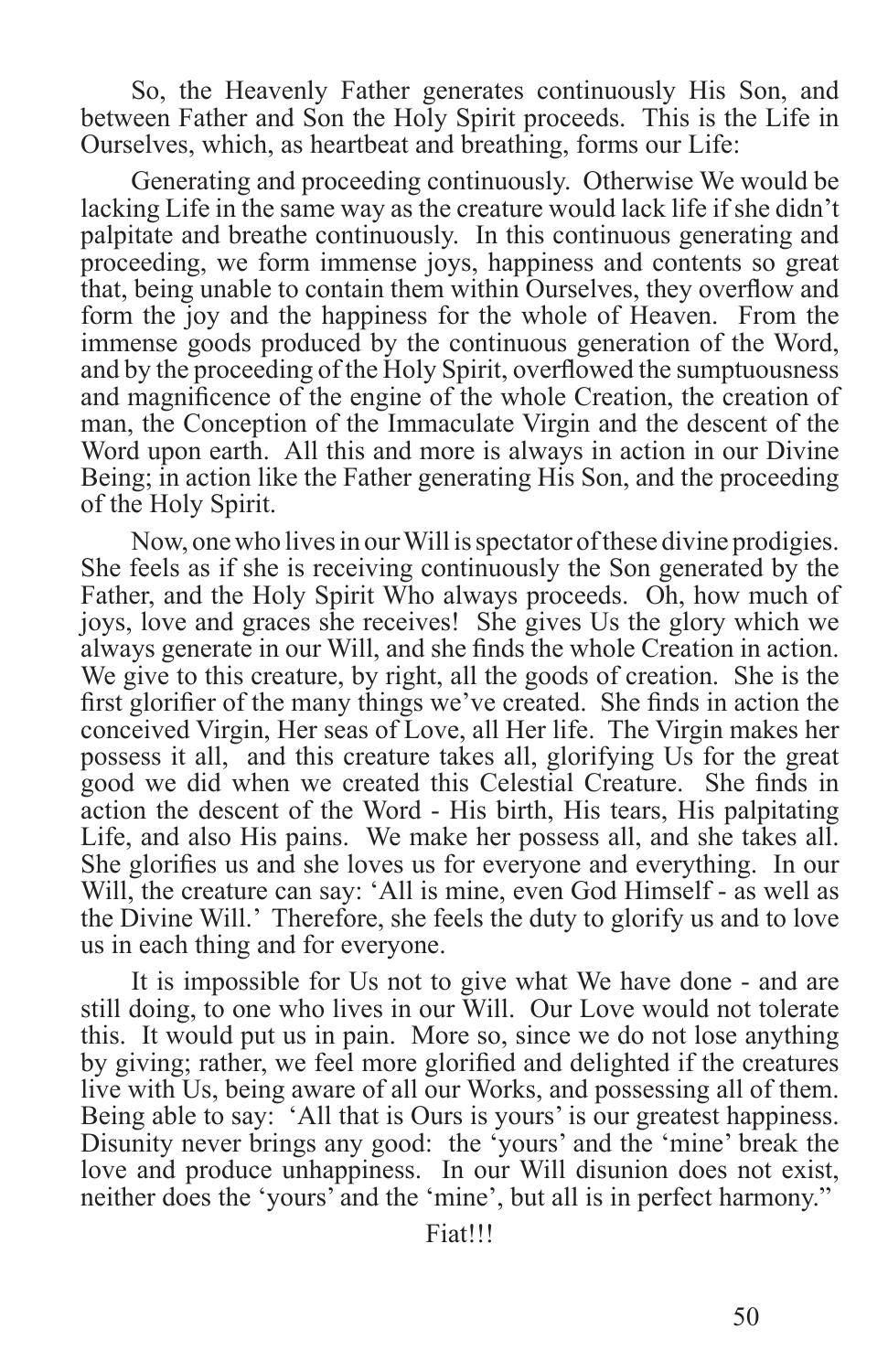So, the Heavenly Father generates continuously His Son, and between Father and Son the Holy Spirit proceeds. This is the Life in Ourselves, which, as heartbeat and breathing, forms our Life:

Generating and proceeding continuously. Otherwise We would be lacking Life in the same way as the creature would lack life if she didn't palpitate and breathe continuously. In this continuous generating and proceeding, we form immense joys, happiness and contents so great that, being unable to contain them within Ourselves, they overflow and form the joy and the happiness for the whole of Heaven. From the immense goods produced by the continuous generation of the Word, and by the proceeding of the Holy Spirit, overflowed the sumptuousness and magnificence of the engine of the whole Creation, the creation of man, the Conception of the Immaculate Virgin and the descent of the Word upon earth. All this and more is always in action in our Divine Being; in action like the Father generating His Son, and the proceeding of the Holy Spirit.

Now, one who lives in our Will is spectator of these divine prodigies. She feels as if she is receiving continuously the Son generated by the Father, and the Holy Spirit Who always proceeds. Oh, how much of joys, love and graces she receives! She gives Us the glory which we always generate in our Will, and she finds the whole Creation in action. We give to this creature, by right, all the goods of creation. She is the first glorifier of the many things we've created. She finds in action the conceived Virgin, Her seas of Love, all Her life. The Virgin makes her possess it all, and this creature takes all, glorifying Us for the great good we did when we created this Celestial Creature. She finds in action the descent of the Word - His birth, His tears, His palpitating Life, and also His pains. We make her possess all, and she takes all. She glorifies us and she loves us for everyone and everything. In our Will, the creature can say: 'All is mine, even God Himself - as well as the Divine Will.' Therefore, she feels the duty to glorify us and to love us in each thing and for everyone.

It is impossible for Us not to give what We have done - and are still doing, to one who lives in our Will. Our Love would not tolerate this. It would put us in pain. More so, since we do not lose anything by giving; rather, we feel more glorified and delighted if the creatures live with Us, being aware of all our Works, and possessing all of them. Being able to say: 'All that is Ours is yours' is our greatest happiness. Disunity never brings any good: the 'yours' and the 'mine' break the love and produce unhappiness. In our Will disunion does not exist, neither does the 'yours' and the 'mine', but all is in perfect harmony."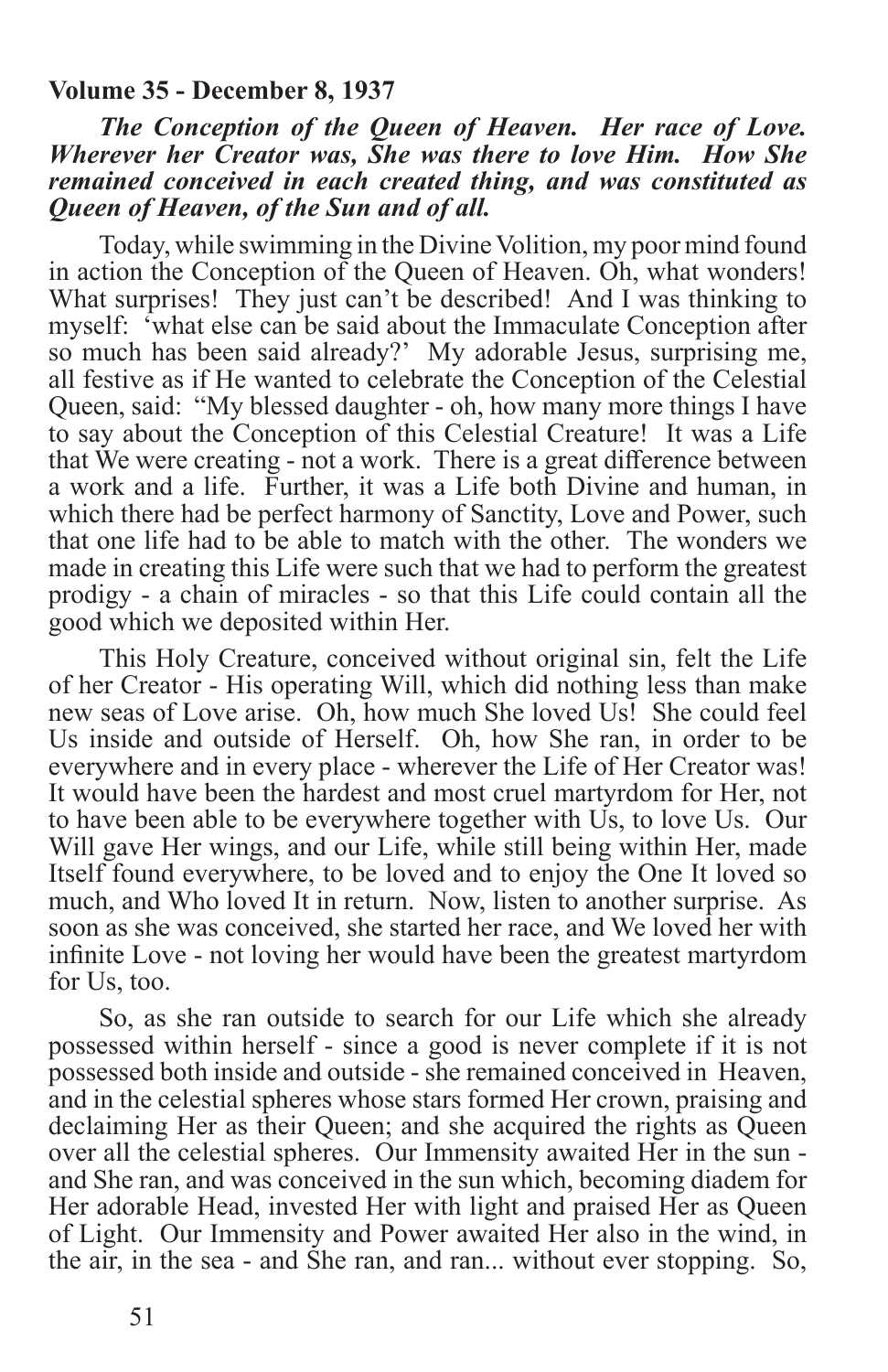#### **Volume 35 - December 8, 1937**

*The Conception of the Queen of Heaven. Her race of Love. Wherever her Creator was, She was there to love Him. How She remained conceived in each created thing, and was constituted as Queen of Heaven, of the Sun and of all.*

Today, while swimming in the Divine Volition, my poor mind found in action the Conception of the Queen of Heaven. Oh, what wonders! What surprises! They just can't be described! And I was thinking to myself: 'what else can be said about the Immaculate Conception after so much has been said already?' My adorable Jesus, surprising me, all festive as if He wanted to celebrate the Conception of the Celestial Queen, said: "My blessed daughter - oh, how many more things I have to say about the Conception of this Celestial Creature! It was a Life that We were creating - not a work. There is a great difference between a work and a life. Further, it was a Life both Divine and human, in which there had be perfect harmony of Sanctity, Love and Power, such that one life had to be able to match with the other. The wonders we made in creating this Life were such that we had to perform the greatest prodigy - a chain of miracles - so that this Life could contain all the good which we deposited within Her.

This Holy Creature, conceived without original sin, felt the Life of her Creator - His operating Will, which did nothing less than make new seas of Love arise. Oh, how much She loved Us! She could feel Us inside and outside of Herself. Oh, how She ran, in order to be everywhere and in every place - wherever the Life of Her Creator was! It would have been the hardest and most cruel martyrdom for Her, not to have been able to be everywhere together with Us, to love Us. Our Will gave Her wings, and our Life, while still being within Her, made Itself found everywhere, to be loved and to enjoy the One It loved so much, and Who loved It in return. Now, listen to another surprise. As soon as she was conceived, she started her race, and We loved her with infinite Love - not loving her would have been the greatest martyrdom for Us, too.

So, as she ran outside to search for our Life which she already possessed within herself - since a good is never complete if it is not possessed both inside and outside - she remained conceived in Heaven, and in the celestial spheres whose stars formed Her crown, praising and declaiming Her as their Queen; and she acquired the rights as Queen over all the celestial spheres. Our Immensity awaited Her in the sun and She ran, and was conceived in the sun which, becoming diadem for Her adorable Head, invested Her with light and praised Her as Queen of Light. Our Immensity and Power awaited Her also in the wind, in the air, in the sea - and She ran, and ran... without ever stopping. So,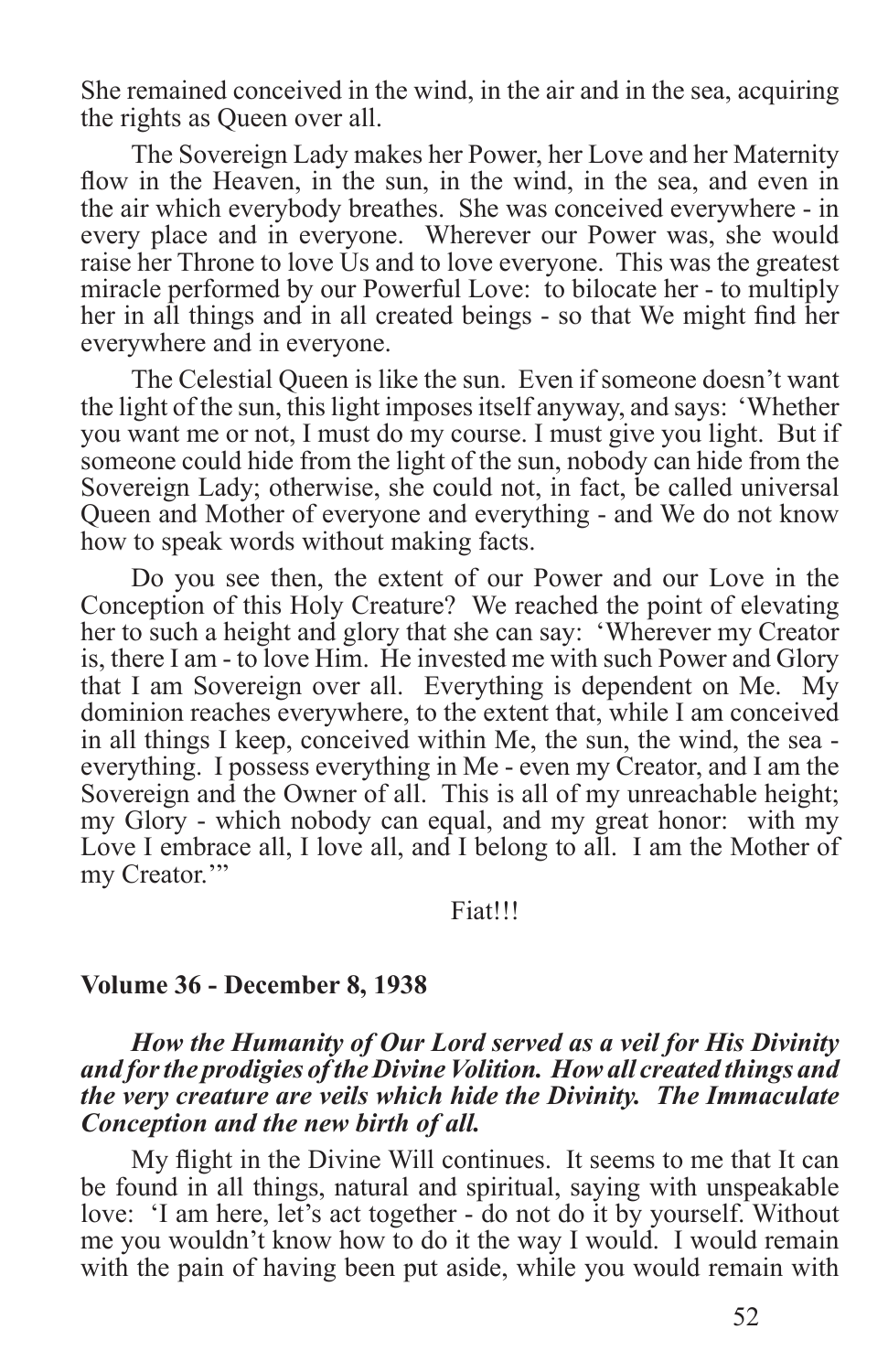She remained conceived in the wind, in the air and in the sea, acquiring the rights as Queen over all.

The Sovereign Lady makes her Power, her Love and her Maternity flow in the Heaven, in the sun, in the wind, in the sea, and even in the air which everybody breathes. She was conceived everywhere - in every place and in everyone. Wherever our Power was, she would raise her Throne to love Us and to love everyone. This was the greatest miracle performed by our Powerful Love: to bilocate her - to multiply her in all things and in all created beings - so that We might find her everywhere and in everyone.

The Celestial Queen is like the sun. Even if someone doesn't want the light of the sun, this light imposes itself anyway, and says: 'Whether you want me or not, I must do my course. I must give you light. But if someone could hide from the light of the sun, nobody can hide from the Sovereign Lady; otherwise, she could not, in fact, be called universal Queen and Mother of everyone and everything - and We do not know how to speak words without making facts.

Do you see then, the extent of our Power and our Love in the Conception of this Holy Creature? We reached the point of elevating her to such a height and glory that she can say: 'Wherever my Creator is, there I am - to love Him. He invested me with such Power and Glory that I am Sovereign over all. Everything is dependent on Me. My dominion reaches everywhere, to the extent that, while I am conceived in all things I keep, conceived within Me, the sun, the wind, the sea everything. I possess everything in Me - even my Creator, and I am the Sovereign and the Owner of all. This is all of my unreachable height; my Glory - which nobody can equal, and my great honor: with my Love I embrace all, I love all, and I belong to all. I am the Mother of my Creator."

Fiat!!!

#### **Volume 36 - December 8, 1938**

#### *How the Humanity of Our Lord served as a veil for His Divinity and for the prodigies of the Divine Volition. How all created things and the very creature are veils which hide the Divinity. The Immaculate Conception and the new birth of all.*

My flight in the Divine Will continues. It seems to me that It can be found in all things, natural and spiritual, saying with unspeakable love: 'I am here, let's act together - do not do it by yourself. Without me you wouldn't know how to do it the way I would. I would remain with the pain of having been put aside, while you would remain with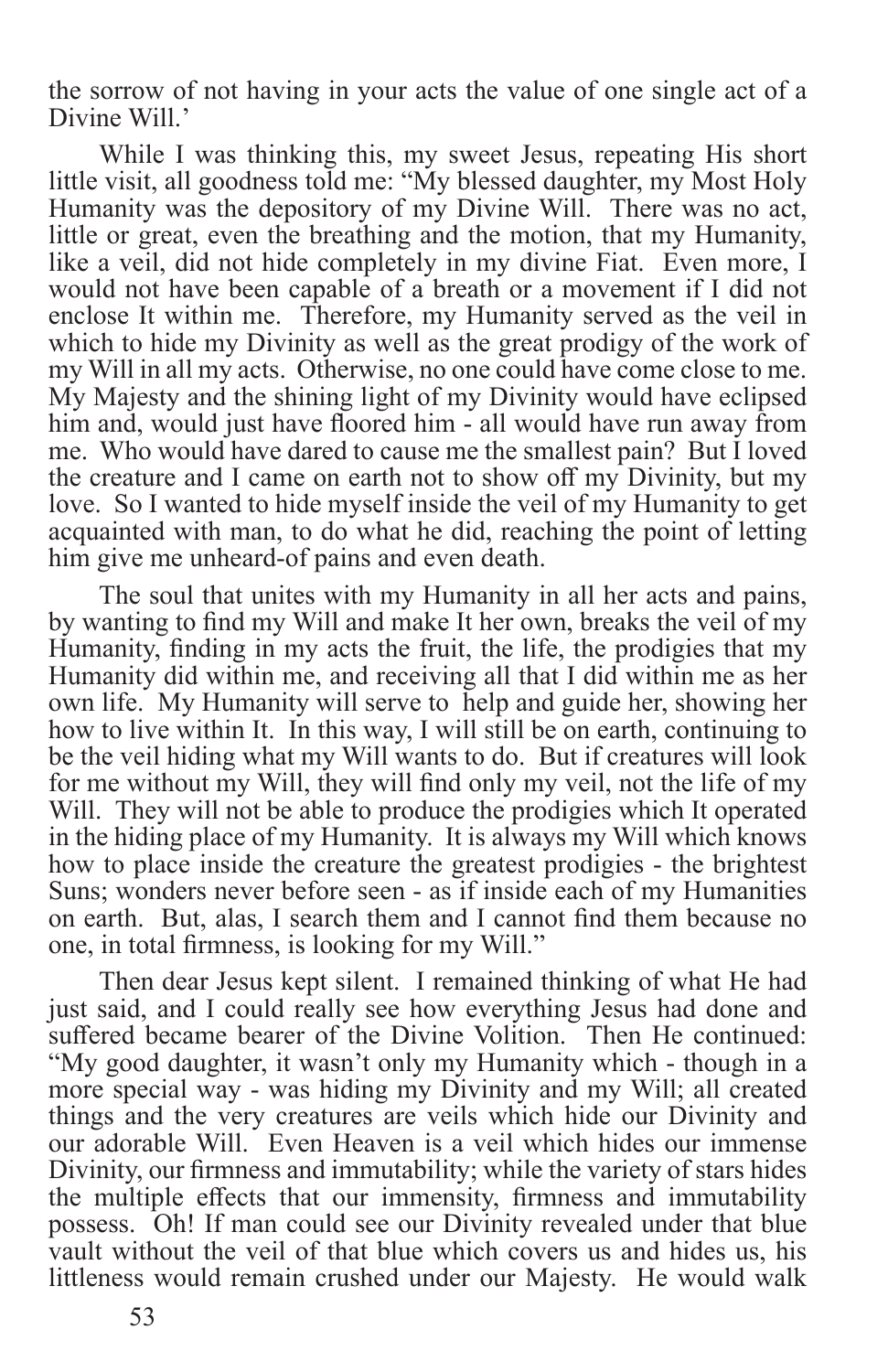the sorrow of not having in your acts the value of one single act of a Divine Will.'

While I was thinking this, my sweet Jesus, repeating His short little visit, all goodness told me: "My blessed daughter, my Most Holy Humanity was the depository of my Divine Will. There was no act, little or great, even the breathing and the motion, that my Humanity, like a veil, did not hide completely in my divine Fiat. Even more, I would not have been capable of a breath or a movement if I did not enclose It within me. Therefore, my Humanity served as the veil in which to hide my Divinity as well as the great prodigy of the work of my Will in all my acts. Otherwise, no one could have come close to me. My Majesty and the shining light of my Divinity would have eclipsed him and, would just have floored him - all would have run away from me. Who would have dared to cause me the smallest pain? But I loved the creature and I came on earth not to show off my Divinity, but my love. So I wanted to hide myself inside the veil of my Humanity to get acquainted with man, to do what he did, reaching the point of letting him give me unheard-of pains and even death.

The soul that unites with my Humanity in all her acts and pains, by wanting to find my Will and make It her own, breaks the veil of my Humanity, finding in my acts the fruit, the life, the prodigies that my Humanity did within me, and receiving all that I did within me as her own life. My Humanity will serve to help and guide her, showing her how to live within It. In this way, I will still be on earth, continuing to be the veil hiding what my Will wants to do. But if creatures will look for me without my Will, they will find only my veil, not the life of my Will. They will not be able to produce the prodigies which It operated in the hiding place of my Humanity. It is always my Will which knows how to place inside the creature the greatest prodigies - the brightest Suns; wonders never before seen - as if inside each of my Humanities on earth. But, alas, I search them and I cannot find them because no one, in total firmness, is looking for my Will."

Then dear Jesus kept silent. I remained thinking of what He had just said, and I could really see how everything Jesus had done and suffered became bearer of the Divine Volition. Then He continued: "My good daughter, it wasn't only my Humanity which - though in a more special way - was hiding my Divinity and my Will; all created things and the very creatures are veils which hide our Divinity and our adorable Will. Even Heaven is a veil which hides our immense Divinity, our firmness and immutability; while the variety of stars hides the multiple effects that our immensity, firmness and immutability possess. Oh! If man could see our Divinity revealed under that blue vault without the veil of that blue which covers us and hides us, his littleness would remain crushed under our Majesty. He would walk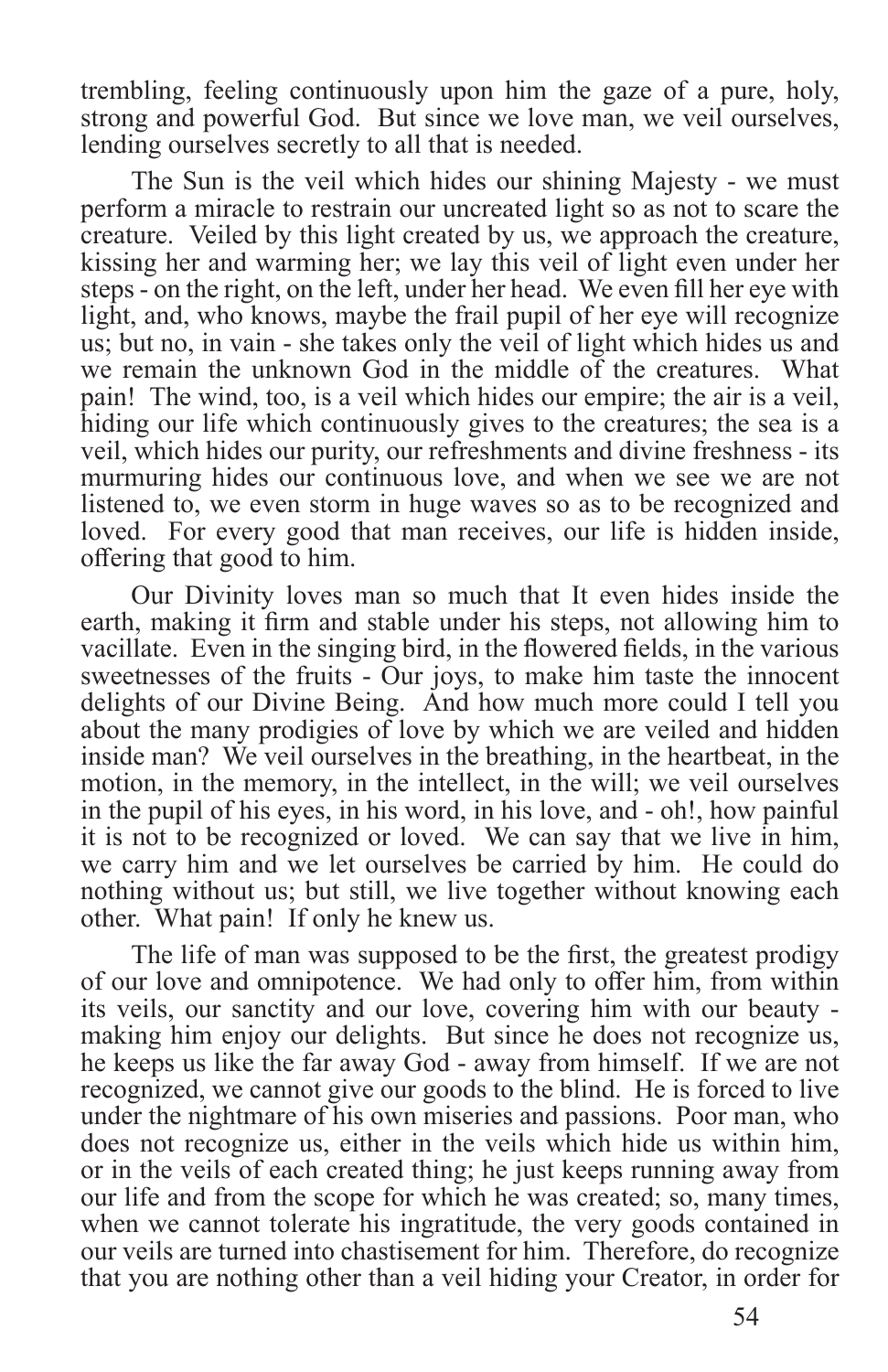trembling, feeling continuously upon him the gaze of a pure, holy, strong and powerful God. But since we love man, we veil ourselves, lending ourselves secretly to all that is needed.

The Sun is the veil which hides our shining Majesty - we must perform a miracle to restrain our uncreated light so as not to scare the creature. Veiled by this light created by us, we approach the creature, kissing her and warming her; we lay this veil of light even under her steps - on the right, on the left, under her head. We even fill her eye with light, and, who knows, maybe the frail pupil of her eye will recognize us; but no, in vain - she takes only the veil of light which hides us and we remain the unknown God in the middle of the creatures. What pain! The wind, too, is a veil which hides our empire; the air is a veil, hiding our life which continuously gives to the creatures; the sea is a veil, which hides our purity, our refreshments and divine freshness - its murmuring hides our continuous love, and when we see we are not listened to, we even storm in huge waves so as to be recognized and loved. For every good that man receives, our life is hidden inside, offering that good to him.

Our Divinity loves man so much that It even hides inside the earth, making it firm and stable under his steps, not allowing him to vacillate. Even in the singing bird, in the flowered fields, in the various sweetnesses of the fruits - Our joys, to make him taste the innocent delights of our Divine Being. And how much more could I tell you about the many prodigies of love by which we are veiled and hidden inside man? We veil ourselves in the breathing, in the heartbeat, in the motion, in the memory, in the intellect, in the will; we veil ourselves in the pupil of his eyes, in his word, in his love, and - oh!, how painful it is not to be recognized or loved. We can say that we live in him, we carry him and we let ourselves be carried by him. He could do nothing without us; but still, we live together without knowing each other. What pain! If only he knew us.

The life of man was supposed to be the first, the greatest prodigy of our love and omnipotence. We had only to offer him, from within its veils, our sanctity and our love, covering him with our beauty making him enjoy our delights. But since he does not recognize us, he keeps us like the far away God - away from himself. If we are not recognized, we cannot give our goods to the blind. He is forced to live under the nightmare of his own miseries and passions. Poor man, who does not recognize us, either in the veils which hide us within him, or in the veils of each created thing; he just keeps running away from our life and from the scope for which he was created; so, many times, when we cannot tolerate his ingratitude, the very goods contained in our veils are turned into chastisement for him. Therefore, do recognize that you are nothing other than a veil hiding your Creator, in order for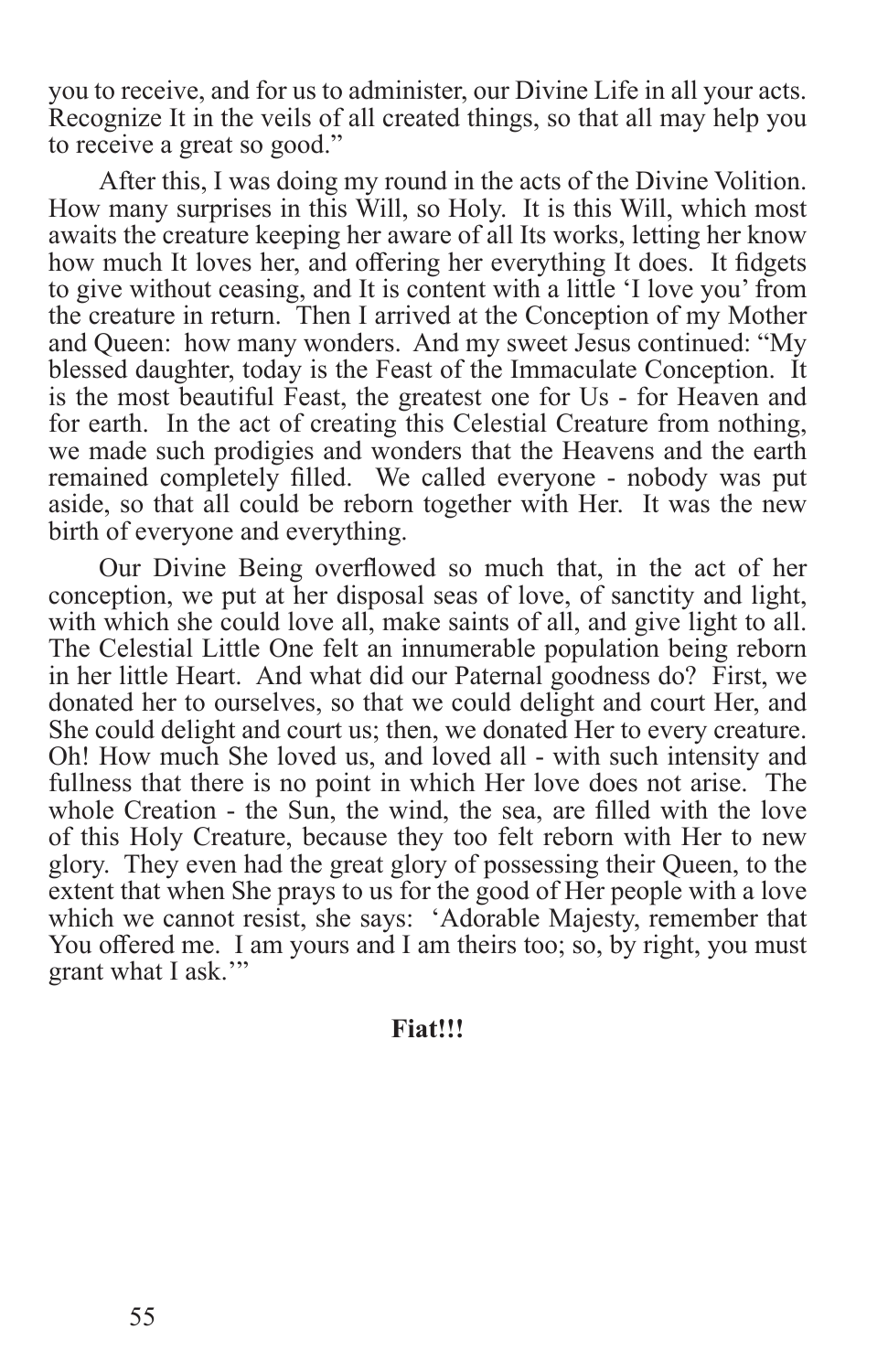you to receive, and for us to administer, our Divine Life in all your acts. Recognize It in the veils of all created things, so that all may help you to receive a great so good."

After this, I was doing my round in the acts of the Divine Volition. How many surprises in this Will, so Holy. It is this Will, which most awaits the creature keeping her aware of all Its works, letting her know how much It loves her, and offering her everything It does. It fidgets to give without ceasing, and It is content with a little 'I love you' from the creature in return. Then I arrived at the Conception of my Mother and Queen: how many wonders. And my sweet Jesus continued: "My blessed daughter, today is the Feast of the Immaculate Conception. It is the most beautiful Feast, the greatest one for Us - for Heaven and for earth. In the act of creating this Celestial Creature from nothing, we made such prodigies and wonders that the Heavens and the earth remained completely filled. We called everyone - nobody was put aside, so that all could be reborn together with Her. It was the new birth of everyone and everything.

Our Divine Being overflowed so much that, in the act of her conception, we put at her disposal seas of love, of sanctity and light, with which she could love all, make saints of all, and give light to all. The Celestial Little One felt an innumerable population being reborn in her little Heart. And what did our Paternal goodness do? First, we donated her to ourselves, so that we could delight and court Her, and She could delight and court us; then, we donated Her to every creature. Oh! How much She loved us, and loved all - with such intensity and fullness that there is no point in which Her love does not arise. The whole Creation - the Sun, the wind, the sea, are filled with the love of this Holy Creature, because they too felt reborn with Her to new glory. They even had the great glory of possessing their Queen, to the extent that when She prays to us for the good of Her people with a love which we cannot resist, she says: 'Adorable Majesty, remember that You offered me. I am yours and I am theirs too; so, by right, you must grant what I ask.'"

#### **Fiat!!!**